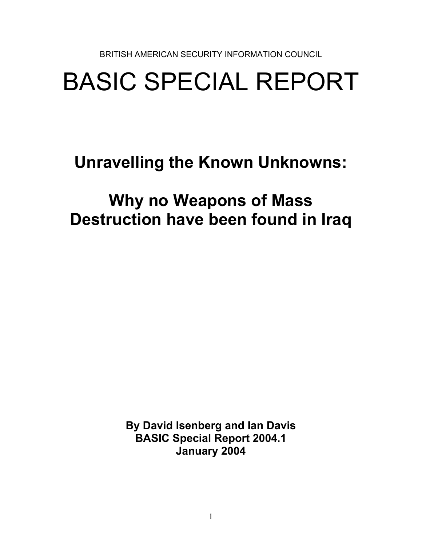BRITISH AMERICAN SECURITY INFORMATION COUNCIL

# BASIC SPECIAL REPORT

**Unravelling the Known Unknowns:** 

## **Why no Weapons of Mass Destruction have been found in Iraq**

**By David Isenberg and Ian Davis BASIC Special Report 2004.1 January 2004**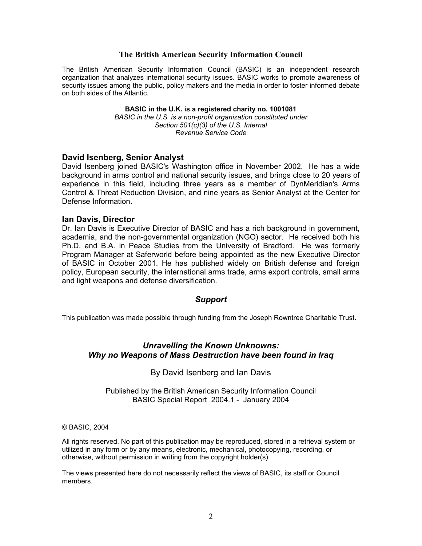#### **The British American Security Information Council**

The British American Security Information Council (BASIC) is an independent research organization that analyzes international security issues. BASIC works to promote awareness of security issues among the public, policy makers and the media in order to foster informed debate on both sides of the Atlantic.

#### **BASIC in the U.K. is a registered charity no. 1001081**

*BASIC in the U.S. is a non-profit organization constituted under Section 501(c)(3) of the U.S. Internal Revenue Service Code* 

#### **David Isenberg, Senior Analyst**

David Isenberg joined BASIC's Washington office in November 2002. He has a wide background in arms control and national security issues, and brings close to 20 years of experience in this field, including three years as a member of DynMeridian's Arms Control & Threat Reduction Division, and nine years as Senior Analyst at the Center for Defense Information.

#### **Ian Davis, Director**

Dr. Ian Davis is Executive Director of BASIC and has a rich background in government, academia, and the non-governmental organization (NGO) sector. He received both his Ph.D. and B.A. in Peace Studies from the University of Bradford. He was formerly Program Manager at Saferworld before being appointed as the new Executive Director of BASIC in October 2001. He has published widely on British defense and foreign policy, European security, the international arms trade, arms export controls, small arms and light weapons and defense diversification.

#### *Support*

This publication was made possible through funding from the Joseph Rowntree Charitable Trust.

#### *Unravelling the Known Unknowns: Why no Weapons of Mass Destruction have been found in Iraq*

By David Isenberg and Ian Davis

Published by the British American Security Information Council BASIC Special Report 2004.1 - January 2004

#### © BASIC, 2004

All rights reserved. No part of this publication may be reproduced, stored in a retrieval system or utilized in any form or by any means, electronic, mechanical, photocopying, recording, or otherwise, without permission in writing from the copyright holder(s).

The views presented here do not necessarily reflect the views of BASIC, its staff or Council members.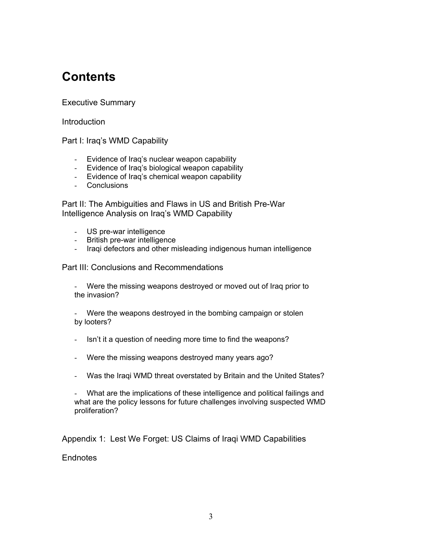## **Contents**

#### Executive Summary

**Introduction** 

Part I: Iraq's WMD Capability

- Evidence of Iraq's nuclear weapon capability
- Evidence of Iraq's biological weapon capability
- Evidence of Iraq's chemical weapon capability
- Conclusions

Part II: The Ambiguities and Flaws in US and British Pre-War Intelligence Analysis on Iraq's WMD Capability

- US pre-war intelligence
- British pre-war intelligence
- Iraqi defectors and other misleading indigenous human intelligence

Part III: Conclusions and Recommendations

- Were the missing weapons destroyed or moved out of Iraq prior to the invasion?

- Were the weapons destroyed in the bombing campaign or stolen by looters?

- Isn't it a question of needing more time to find the weapons?
- Were the missing weapons destroyed many years ago?
- Was the Iraqi WMD threat overstated by Britain and the United States?

- What are the implications of these intelligence and political failings and what are the policy lessons for future challenges involving suspected WMD proliferation?

Appendix 1: Lest We Forget: US Claims of Iraqi WMD Capabilities

**Endnotes**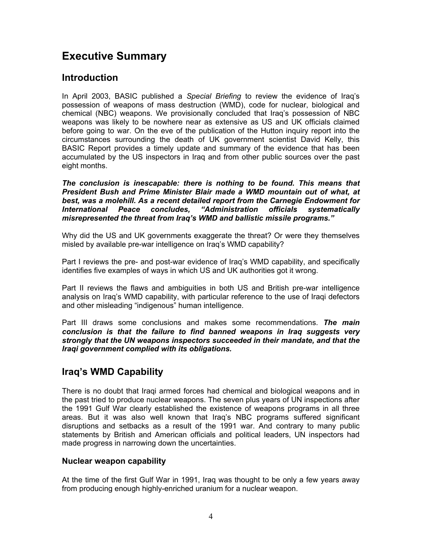## **Executive Summary**

## **Introduction**

In April 2003, BASIC published a *Special Briefing* to review the evidence of Iraq's possession of weapons of mass destruction (WMD), code for nuclear, biological and chemical (NBC) weapons. We provisionally concluded that Iraq's possession of NBC weapons was likely to be nowhere near as extensive as US and UK officials claimed before going to war. On the eve of the publication of the Hutton inquiry report into the circumstances surrounding the death of UK government scientist David Kelly, this BASIC Report provides a timely update and summary of the evidence that has been accumulated by the US inspectors in Iraq and from other public sources over the past eight months.

*The conclusion is inescapable: there is nothing to be found. This means that President Bush and Prime Minister Blair made a WMD mountain out of what, at best, was a molehill. As a recent detailed report from the Carnegie Endowment for International Peace concludes, "Administration officials systematically misrepresented the threat from Iraq's WMD and ballistic missile programs."* 

Why did the US and UK governments exaggerate the threat? Or were they themselves misled by available pre-war intelligence on Iraq's WMD capability?

Part I reviews the pre- and post-war evidence of Iraq's WMD capability, and specifically identifies five examples of ways in which US and UK authorities got it wrong.

Part II reviews the flaws and ambiguities in both US and British pre-war intelligence analysis on Iraq's WMD capability, with particular reference to the use of Iraqi defectors and other misleading "indigenous" human intelligence.

Part III draws some conclusions and makes some recommendations. *The main conclusion is that the failure to find banned weapons in Iraq suggests very strongly that the UN weapons inspectors succeeded in their mandate, and that the Iraqi government complied with its obligations.* 

## **Iraq's WMD Capability**

There is no doubt that Iraqi armed forces had chemical and biological weapons and in the past tried to produce nuclear weapons. The seven plus years of UN inspections after the 1991 Gulf War clearly established the existence of weapons programs in all three areas. But it was also well known that Iraq's NBC programs suffered significant disruptions and setbacks as a result of the 1991 war. And contrary to many public statements by British and American officials and political leaders, UN inspectors had made progress in narrowing down the uncertainties.

#### **Nuclear weapon capability**

At the time of the first Gulf War in 1991, Iraq was thought to be only a few years away from producing enough highly-enriched uranium for a nuclear weapon.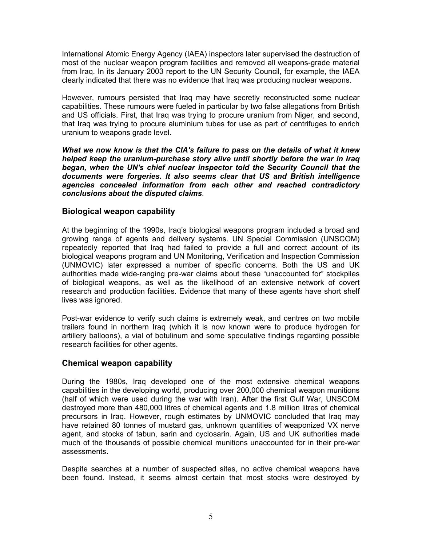International Atomic Energy Agency (IAEA) inspectors later supervised the destruction of most of the nuclear weapon program facilities and removed all weapons-grade material from Iraq. In its January 2003 report to the UN Security Council, for example, the IAEA clearly indicated that there was no evidence that Iraq was producing nuclear weapons.

However, rumours persisted that Iraq may have secretly reconstructed some nuclear capabilities. These rumours were fueled in particular by two false allegations from British and US officials. First, that Iraq was trying to procure uranium from Niger, and second, that Iraq was trying to procure aluminium tubes for use as part of centrifuges to enrich uranium to weapons grade level.

*What we now know is that the CIA's failure to pass on the details of what it knew helped keep the uranium-purchase story alive until shortly before the war in Iraq began, when the UN's chief nuclear inspector told the Security Council that the documents were forgeries. It also seems clear that US and British intelligence agencies concealed information from each other and reached contradictory conclusions about the disputed claims*.

#### **Biological weapon capability**

At the beginning of the 1990s, Iraq's biological weapons program included a broad and growing range of agents and delivery systems. UN Special Commission (UNSCOM) repeatedly reported that Iraq had failed to provide a full and correct account of its biological weapons program and UN Monitoring, Verification and Inspection Commission (UNMOVIC) later expressed a number of specific concerns. Both the US and UK authorities made wide-ranging pre-war claims about these "unaccounted for" stockpiles of biological weapons, as well as the likelihood of an extensive network of covert research and production facilities. Evidence that many of these agents have short shelf lives was ignored.

Post-war evidence to verify such claims is extremely weak, and centres on two mobile trailers found in northern Iraq (which it is now known were to produce hydrogen for artillery balloons), a vial of botulinum and some speculative findings regarding possible research facilities for other agents.

#### **Chemical weapon capability**

During the 1980s, Iraq developed one of the most extensive chemical weapons capabilities in the developing world, producing over 200,000 chemical weapon munitions (half of which were used during the war with Iran). After the first Gulf War, UNSCOM destroyed more than 480,000 litres of chemical agents and 1.8 million litres of chemical precursors in Iraq. However, rough estimates by UNMOVIC concluded that Iraq may have retained 80 tonnes of mustard gas, unknown quantities of weaponized VX nerve agent, and stocks of tabun, sarin and cyclosarin. Again, US and UK authorities made much of the thousands of possible chemical munitions unaccounted for in their pre-war assessments.

Despite searches at a number of suspected sites, no active chemical weapons have been found. Instead, it seems almost certain that most stocks were destroyed by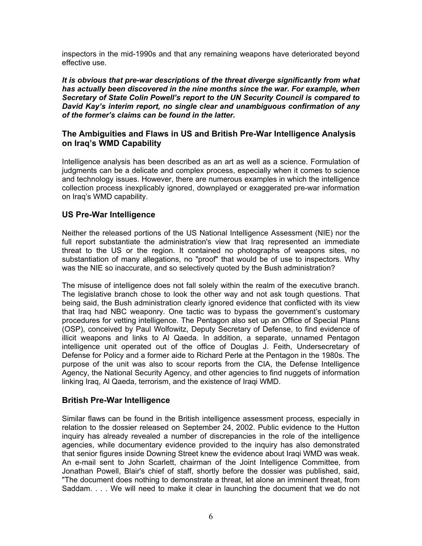inspectors in the mid-1990s and that any remaining weapons have deteriorated beyond effective use.

*It is obvious that pre-war descriptions of the threat diverge significantly from what has actually been discovered in the nine months since the war. For example, when Secretary of State Colin Powell's report to the UN Security Council is compared to David Kay's interim report, no single clear and unambiguous confirmation of any of the former's claims can be found in the latter.* 

#### **The Ambiguities and Flaws in US and British Pre-War Intelligence Analysis on Iraq's WMD Capability**

Intelligence analysis has been described as an art as well as a science. Formulation of judgments can be a delicate and complex process, especially when it comes to science and technology issues. However, there are numerous examples in which the intelligence collection process inexplicably ignored, downplayed or exaggerated pre-war information on Iraq's WMD capability.

#### **US Pre-War Intelligence**

Neither the released portions of the US National Intelligence Assessment (NIE) nor the full report substantiate the administration's view that Iraq represented an immediate threat to the US or the region. It contained no photographs of weapons sites, no substantiation of many allegations, no "proof" that would be of use to inspectors. Why was the NIE so inaccurate, and so selectively quoted by the Bush administration?

The misuse of intelligence does not fall solely within the realm of the executive branch. The legislative branch chose to look the other way and not ask tough questions. That being said, the Bush administration clearly ignored evidence that conflicted with its view that Iraq had NBC weaponry. One tactic was to bypass the government's customary procedures for vetting intelligence. The Pentagon also set up an Office of Special Plans (OSP), conceived by Paul Wolfowitz, Deputy Secretary of Defense, to find evidence of illicit weapons and links to Al Qaeda. In addition, a separate, unnamed Pentagon intelligence unit operated out of the office of Douglas J. Feith, Undersecretary of Defense for Policy and a former aide to Richard Perle at the Pentagon in the 1980s. The purpose of the unit was also to scour reports from the CIA, the Defense Intelligence Agency, the National Security Agency, and other agencies to find nuggets of information linking Iraq, Al Qaeda, terrorism, and the existence of Iraqi WMD.

#### **British Pre-War Intelligence**

Similar flaws can be found in the British intelligence assessment process, especially in relation to the dossier released on September 24, 2002. Public evidence to the Hutton inquiry has already revealed a number of discrepancies in the role of the intelligence agencies, while documentary evidence provided to the inquiry has also demonstrated that senior figures inside Downing Street knew the evidence about Iraqi WMD was weak. An e-mail sent to John Scarlett, chairman of the Joint Intelligence Committee, from Jonathan Powell, Blair's chief of staff, shortly before the dossier was published, said, "The document does nothing to demonstrate a threat, let alone an imminent threat, from Saddam. . . . We will need to make it clear in launching the document that we do not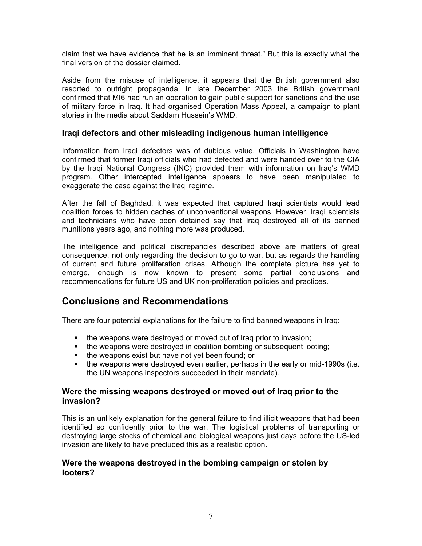claim that we have evidence that he is an imminent threat." But this is exactly what the final version of the dossier claimed.

Aside from the misuse of intelligence, it appears that the British government also resorted to outright propaganda. In late December 2003 the British government confirmed that MI6 had run an operation to gain public support for sanctions and the use of military force in Iraq. It had organised Operation Mass Appeal, a campaign to plant stories in the media about Saddam Hussein's WMD.

#### **Iraqi defectors and other misleading indigenous human intelligence**

Information from Iraqi defectors was of dubious value. Officials in Washington have confirmed that former Iraqi officials who had defected and were handed over to the CIA by the Iraqi National Congress (INC) provided them with information on Iraq's WMD program. Other intercepted intelligence appears to have been manipulated to exaggerate the case against the Iraqi regime.

After the fall of Baghdad, it was expected that captured Iraqi scientists would lead coalition forces to hidden caches of unconventional weapons. However, Iraqi scientists and technicians who have been detained say that Iraq destroyed all of its banned munitions years ago, and nothing more was produced.

The intelligence and political discrepancies described above are matters of great consequence, not only regarding the decision to go to war, but as regards the handling of current and future proliferation crises. Although the complete picture has yet to emerge, enough is now known to present some partial conclusions and recommendations for future US and UK non-proliferation policies and practices.

## **Conclusions and Recommendations**

There are four potential explanations for the failure to find banned weapons in Iraq:

- the weapons were destroyed or moved out of Iraq prior to invasion;
- the weapons were destroyed in coalition bombing or subsequent looting;
- the weapons exist but have not yet been found; or
- the weapons were destroyed even earlier, perhaps in the early or mid-1990s (i.e. the UN weapons inspectors succeeded in their mandate).

#### **Were the missing weapons destroyed or moved out of Iraq prior to the invasion?**

This is an unlikely explanation for the general failure to find illicit weapons that had been identified so confidently prior to the war. The logistical problems of transporting or destroying large stocks of chemical and biological weapons just days before the US-led invasion are likely to have precluded this as a realistic option.

#### **Were the weapons destroyed in the bombing campaign or stolen by looters?**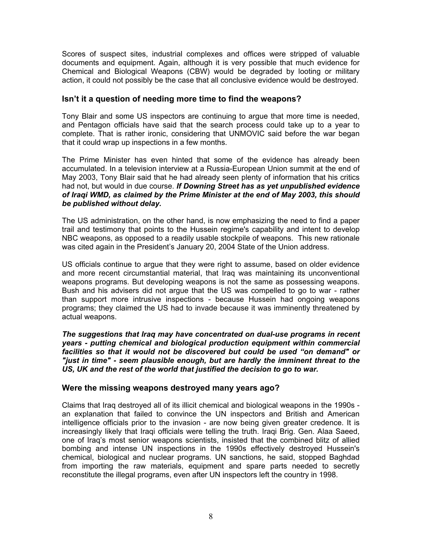Scores of suspect sites, industrial complexes and offices were stripped of valuable documents and equipment. Again, although it is very possible that much evidence for Chemical and Biological Weapons (CBW) would be degraded by looting or military action, it could not possibly be the case that all conclusive evidence would be destroyed.

#### **Isn't it a question of needing more time to find the weapons?**

Tony Blair and some US inspectors are continuing to argue that more time is needed, and Pentagon officials have said that the search process could take up to a year to complete. That is rather ironic, considering that UNMOVIC said before the war began that it could wrap up inspections in a few months.

The Prime Minister has even hinted that some of the evidence has already been accumulated. In a television interview at a Russia-European Union summit at the end of May 2003, Tony Blair said that he had already seen plenty of information that his critics had not, but would in due course. *If Downing Street has as yet unpublished evidence of Iraqi WMD, as claimed by the Prime Minister at the end of May 2003, this should be published without delay.* 

The US administration, on the other hand, is now emphasizing the need to find a paper trail and testimony that points to the Hussein regime's capability and intent to develop NBC weapons, as opposed to a readily usable stockpile of weapons. This new rationale was cited again in the President's January 20, 2004 State of the Union address.

US officials continue to argue that they were right to assume, based on older evidence and more recent circumstantial material, that Iraq was maintaining its unconventional weapons programs. But developing weapons is not the same as possessing weapons. Bush and his advisers did not argue that the US was compelled to go to war - rather than support more intrusive inspections - because Hussein had ongoing weapons programs; they claimed the US had to invade because it was imminently threatened by actual weapons.

*The suggestions that Iraq may have concentrated on dual-use programs in recent years - putting chemical and biological production equipment within commercial facilities so that it would not be discovered but could be used "on demand" or "just in time" - seem plausible enough, but are hardly the imminent threat to the US, UK and the rest of the world that justified the decision to go to war.* 

#### **Were the missing weapons destroyed many years ago?**

Claims that Iraq destroyed all of its illicit chemical and biological weapons in the 1990s an explanation that failed to convince the UN inspectors and British and American intelligence officials prior to the invasion - are now being given greater credence. It is increasingly likely that Iraqi officials were telling the truth. Iraqi Brig. Gen. Alaa Saeed, one of Iraq's most senior weapons scientists, insisted that the combined blitz of allied bombing and intense UN inspections in the 1990s effectively destroyed Hussein's chemical, biological and nuclear programs. UN sanctions, he said, stopped Baghdad from importing the raw materials, equipment and spare parts needed to secretly reconstitute the illegal programs, even after UN inspectors left the country in 1998.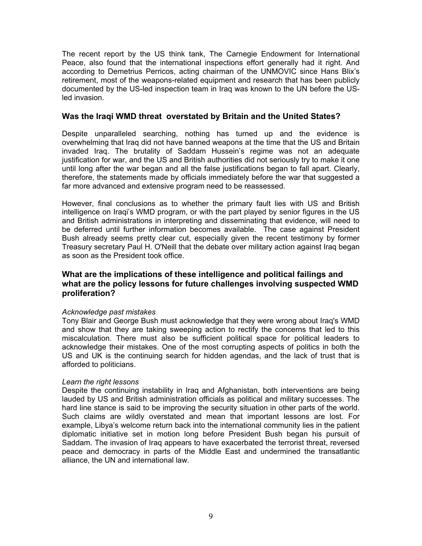The recent report by the US think tank, The Carnegie Endowment for International Peace, also found that the international inspections effort generally had it right. And according to Demetrius Perricos, acting chairman of the UNMOVIC since Hans Blix's retirement, most of the weapons-related equipment and research that has been publicly documented by the US-led inspection team in Iraq was known to the UN before the USled invasion.

#### **Was the Iraqi WMD threat overstated by Britain and the United States?**

Despite unparalleled searching, nothing has turned up and the evidence is overwhelming that Iraq did not have banned weapons at the time that the US and Britain invaded Iraq. The brutality of Saddam Hussein's regime was not an adequate justification for war, and the US and British authorities did not seriously try to make it one until long after the war began and all the false justifications began to fall apart. Clearly, therefore, the statements made by officials immediately before the war that suggested a far more advanced and extensive program need to be reassessed.

However, final conclusions as to whether the primary fault lies with US and British intelligence on Iraqi's WMD program, or with the part played by senior figures in the US and British administrations in interpreting and disseminating that evidence, will need to be deferred until further information becomes available. The case against President Bush already seems pretty clear cut, especially given the recent testimony by former Treasury secretary Paul H. O'Neill that the debate over military action against Iraq began as soon as the President took office.

#### **What are the implications of these intelligence and political failings and what are the policy lessons for future challenges involving suspected WMD proliferation?**

#### *Acknowledge past mistakes*

Tony Blair and George Bush must acknowledge that they were wrong about Iraq's WMD and show that they are taking sweeping action to rectify the concerns that led to this miscalculation. There must also be sufficient political space for political leaders to acknowledge their mistakes. One of the most corrupting aspects of politics in both the US and UK is the continuing search for hidden agendas, and the lack of trust that is afforded to politicians.

#### *Learn the right lessons*

Despite the continuing instability in Iraq and Afghanistan, both interventions are being lauded by US and British administration officials as political and military successes. The hard line stance is said to be improving the security situation in other parts of the world. Such claims are wildly overstated and mean that important lessons are lost. For example, Libya's welcome return back into the international community lies in the patient diplomatic initiative set in motion long before President Bush began his pursuit of Saddam. The invasion of Iraq appears to have exacerbated the terrorist threat, reversed peace and democracy in parts of the Middle East and undermined the transatlantic alliance, the UN and international law.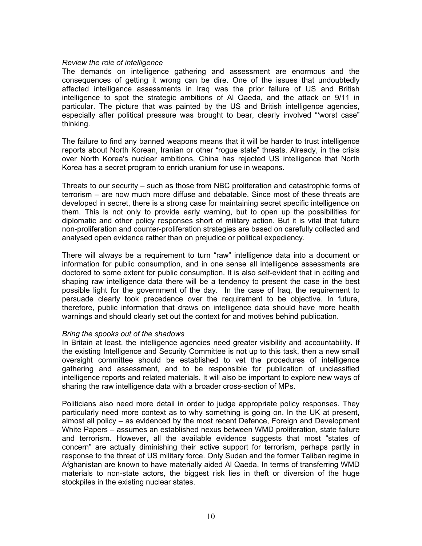#### *Review the role of intelligence*

The demands on intelligence gathering and assessment are enormous and the consequences of getting it wrong can be dire. One of the issues that undoubtedly affected intelligence assessments in Iraq was the prior failure of US and British intelligence to spot the strategic ambitions of Al Qaeda, and the attack on 9/11 in particular. The picture that was painted by the US and British intelligence agencies, especially after political pressure was brought to bear, clearly involved "'worst case" thinking.

The failure to find any banned weapons means that it will be harder to trust intelligence reports about North Korean, Iranian or other "rogue state" threats. Already, in the crisis over North Korea's nuclear ambitions, China has rejected US intelligence that North Korea has a secret program to enrich uranium for use in weapons.

Threats to our security – such as those from NBC proliferation and catastrophic forms of terrorism – are now much more diffuse and debatable. Since most of these threats are developed in secret, there is a strong case for maintaining secret specific intelligence on them. This is not only to provide early warning, but to open up the possibilities for diplomatic and other policy responses short of military action. But it is vital that future non-proliferation and counter-proliferation strategies are based on carefully collected and analysed open evidence rather than on prejudice or political expediency.

There will always be a requirement to turn "raw" intelligence data into a document or information for public consumption, and in one sense all intelligence assessments are doctored to some extent for public consumption. It is also self-evident that in editing and shaping raw intelligence data there will be a tendency to present the case in the best possible light for the government of the day. In the case of Iraq, the requirement to persuade clearly took precedence over the requirement to be objective. In future, therefore, public information that draws on intelligence data should have more health warnings and should clearly set out the context for and motives behind publication.

#### *Bring the spooks out of the shadows*

In Britain at least, the intelligence agencies need greater visibility and accountability. If the existing Intelligence and Security Committee is not up to this task, then a new small oversight committee should be established to vet the procedures of intelligence gathering and assessment, and to be responsible for publication of unclassified intelligence reports and related materials. It will also be important to explore new ways of sharing the raw intelligence data with a broader cross-section of MPs.

Politicians also need more detail in order to judge appropriate policy responses. They particularly need more context as to why something is going on. In the UK at present, almost all policy – as evidenced by the most recent Defence, Foreign and Development White Papers – assumes an established nexus between WMD proliferation, state failure and terrorism. However, all the available evidence suggests that most "states of concern" are actually diminishing their active support for terrorism, perhaps partly in response to the threat of US military force. Only Sudan and the former Taliban regime in Afghanistan are known to have materially aided Al Qaeda. In terms of transferring WMD materials to non-state actors, the biggest risk lies in theft or diversion of the huge stockpiles in the existing nuclear states.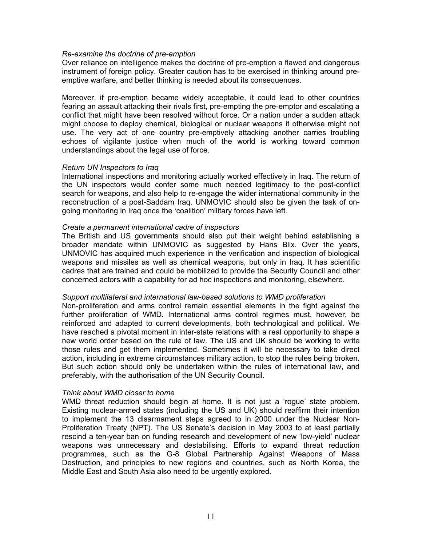#### *Re-examine the doctrine of pre-emption*

Over reliance on intelligence makes the doctrine of pre-emption a flawed and dangerous instrument of foreign policy. Greater caution has to be exercised in thinking around preemptive warfare, and better thinking is needed about its consequences.

Moreover, if pre-emption became widely acceptable, it could lead to other countries fearing an assault attacking their rivals first, pre-empting the pre-emptor and escalating a conflict that might have been resolved without force. Or a nation under a sudden attack might choose to deploy chemical, biological or nuclear weapons it otherwise might not use. The very act of one country pre-emptively attacking another carries troubling echoes of vigilante justice when much of the world is working toward common understandings about the legal use of force.

#### *Return UN Inspectors to Iraq*

International inspections and monitoring actually worked effectively in Iraq. The return of the UN inspectors would confer some much needed legitimacy to the post-conflict search for weapons, and also help to re-engage the wider international community in the reconstruction of a post-Saddam Iraq. UNMOVIC should also be given the task of ongoing monitoring in Iraq once the 'coalition' military forces have left.

#### *Create a permanent international cadre of inspectors*

The British and US governments should also put their weight behind establishing a broader mandate within UNMOVIC as suggested by Hans Blix. Over the years, UNMOVIC has acquired much experience in the verification and inspection of biological weapons and missiles as well as chemical weapons, but only in Iraq. It has scientific cadres that are trained and could be mobilized to provide the Security Council and other concerned actors with a capability for ad hoc inspections and monitoring, elsewhere.

#### *Support multilateral and international law-based solutions to WMD proliferation*

Non-proliferation and arms control remain essential elements in the fight against the further proliferation of WMD. International arms control regimes must, however, be reinforced and adapted to current developments, both technological and political. We have reached a pivotal moment in inter-state relations with a real opportunity to shape a new world order based on the rule of law. The US and UK should be working to write those rules and get them implemented. Sometimes it will be necessary to take direct action, including in extreme circumstances military action, to stop the rules being broken. But such action should only be undertaken within the rules of international law, and preferably, with the authorisation of the UN Security Council.

#### *Think about WMD closer to home*

WMD threat reduction should begin at home. It is not just a 'rogue' state problem. Existing nuclear-armed states (including the US and UK) should reaffirm their intention to implement the 13 disarmament steps agreed to in 2000 under the Nuclear Non-Proliferation Treaty (NPT). The US Senate's decision in May 2003 to at least partially rescind a ten-year ban on funding research and development of new 'low-yield' nuclear weapons was unnecessary and destabilising. Efforts to expand threat reduction programmes, such as the G-8 Global Partnership Against Weapons of Mass Destruction, and principles to new regions and countries, such as North Korea, the Middle East and South Asia also need to be urgently explored.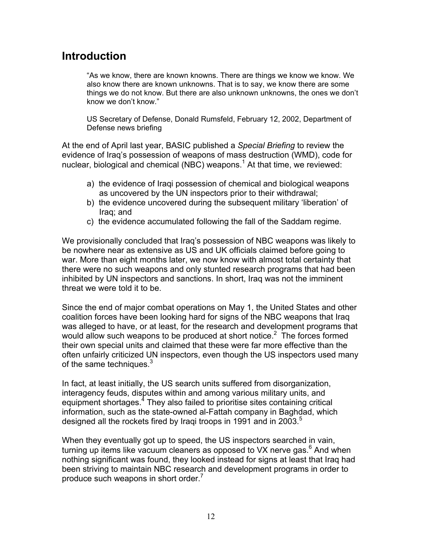## **Introduction**

"As we know, there are known knowns. There are things we know we know. We also know there are known unknowns. That is to say, we know there are some things we do not know. But there are also unknown unknowns, the ones we don't know we don't know."

US Secretary of Defense, Donald Rumsfeld, February 12, 2002, Department of Defense news briefing

At the end of April last year, BASIC published a *Special Briefing* to review the evidence of Iraq's possession of weapons of mass destruction (WMD), code for nuclear, biological and chemical (NBC) weapons.<sup>[1](#page-71-0)</sup> At that time, we reviewed:

- a) the evidence of Iraqi possession of chemical and biological weapons as uncovered by the UN inspectors prior to their withdrawal;
- b) the evidence uncovered during the subsequent military 'liberation' of Iraq; and
- c) the evidence accumulated following the fall of the Saddam regime.

We provisionally concluded that Iraq's possession of NBC weapons was likely to be nowhere near as extensive as US and UK officials claimed before going to war. More than eight months later, we now know with almost total certainty that there were no such weapons and only stunted research programs that had been inhibited by UN inspectors and sanctions. In short, Iraq was not the imminent threat we were told it to be.

Since the end of major combat operations on May 1, the United States and other coalition forces have been looking hard for signs of the NBC weapons that Iraq was alleged to have, or at least, for the research and development programs that would allow such weapons to be produced at short notice.<sup>[2](#page-71-1)</sup> The forces formed their own special units and claimed that these were far more effective than the often unfairly criticized UN inspectors, even though the US inspectors used many of the same techniques. $3$ 

In fact, at least initially, the US search units suffered from disorganization, interagency feuds, disputes within and among various military units, and equipment shortages.<sup>[4](#page-71-3)</sup> They also failed to prioritise sites containing critical information, such as the state-owned al-Fattah company in Baghdad, which designed all the rockets fired by Iragi troops in 1991 and in 2003. $^5$ 

When they eventually got up to speed, the US inspectors searched in vain. turning up items like vacuum cleaners as opposed to VX nerve gas.<sup>[6](#page-71-5)</sup> And when nothing significant was found, they looked instead for signs at least that Iraq had been striving to maintain NBC research and development programs in order to produce such weapons in short order. $<sup>7</sup>$  $<sup>7</sup>$  $<sup>7</sup>$ </sup>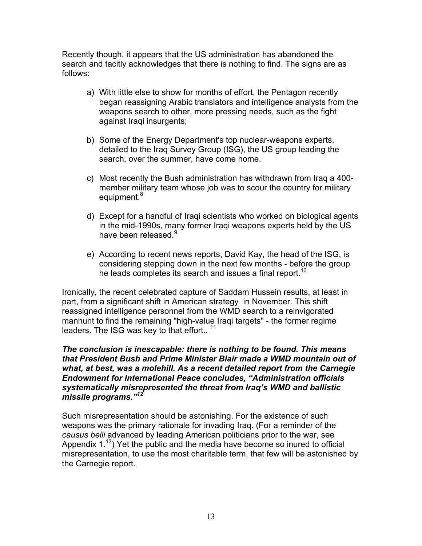Recently though, it appears that the US administration has abandoned the search and tacitly acknowledges that there is nothing to find. The signs are as follows:

- a) With little else to show for months of effort, the Pentagon recently began reassigning Arabic translators and intelligence analysts from the weapons search to other, more pressing needs, such as the fight against Iraqi insurgents;
- b) Some of the Energy Department's top nuclear-weapons experts, detailed to the Iraq Survey Group (ISG), the US group leading the search, over the summer, have come home.
- c) Most recently the Bush administration has withdrawn from Iraq a 400 member military team whose job was to scour the country for military equipment.<sup>[8](#page-71-7)</sup>
- d) Except for a handful of Iraqi scientists who worked on biological agents in the mid-1990s, many former Iraqi weapons experts held by the US have been released.<sup>[9](#page-71-8)</sup>
- e) According to recent news reports, David Kay, the head of the ISG, is considering stepping down in the next few months - before the group he leads completes its search and issues a final report.<sup>[10](#page-71-9)</sup>

Ironically, the recent celebrated capture of Saddam Hussein results, at least in part, from a significant shift in American strategy in November. This shift reassigned intelligence personnel from the WMD search to a reinvigorated manhunt to find the remaining "high-value Iraqi targets" - the former regime leaders. The ISG was key to that effort..<sup>11</sup>

#### *The conclusion is inescapable: there is nothing to be found. This means that President Bush and Prime Minister Blair made a WMD mountain out of what, at best, was a molehill. As a recent detailed report from the Carnegie Endowment for International Peace concludes, "Administration officials systematically misrepresented the threat from Iraq's WMD and ballistic missile programs."[12](#page-71-11)*

Such misrepresentation should be astonishing. For the existence of such weapons was the primary rationale for invading Iraq. (For a reminder of the *causus belli* advanced by leading American politicians prior to the war, see Appendix 1.<sup>13</sup>) Yet the public and the media have become so inured to official misrepresentation, to use the most charitable term, that few will be astonished by the Carnegie report.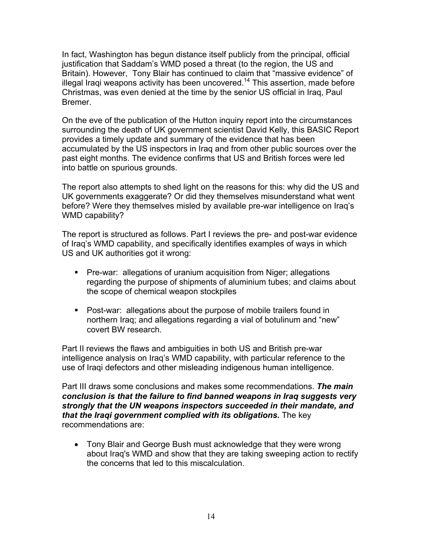In fact, Washington has begun distance itself publicly from the principal, official justification that Saddam's WMD posed a threat (to the region, the US and Britain). However, Tony Blair has continued to claim that "massive evidence" of illegal Iraqi weapons activity has been uncovered.<sup>14</sup> This assertion, made before Christmas, was even denied at the time by the senior US official in Iraq, Paul Bremer.

On the eve of the publication of the Hutton inquiry report into the circumstances surrounding the death of UK government scientist David Kelly, this BASIC Report provides a timely update and summary of the evidence that has been accumulated by the US inspectors in Iraq and from other public sources over the past eight months. The evidence confirms that US and British forces were led into battle on spurious grounds.

The report also attempts to shed light on the reasons for this: why did the US and UK governments exaggerate? Or did they themselves misunderstand what went before? Were they themselves misled by available pre-war intelligence on Iraq's WMD capability?

The report is structured as follows. Part I reviews the pre- and post-war evidence of Iraq's WMD capability, and specifically identifies examples of ways in which US and UK authorities got it wrong:

- Pre-war: allegations of uranium acquisition from Niger; allegations regarding the purpose of shipments of aluminium tubes; and claims about the scope of chemical weapon stockpiles
- Post-war: allegations about the purpose of mobile trailers found in northern Iraq; and allegations regarding a vial of botulinum and "new" covert BW research.

Part II reviews the flaws and ambiguities in both US and British pre-war intelligence analysis on Iraq's WMD capability, with particular reference to the use of Iraqi defectors and other misleading indigenous human intelligence.

Part III draws some conclusions and makes some recommendations. *The main conclusion is that the failure to find banned weapons in Iraq suggests very strongly that the UN weapons inspectors succeeded in their mandate, and that the Iraqi government complied with its obligations.* The key recommendations are:

• Tony Blair and George Bush must acknowledge that they were wrong about Iraq's WMD and show that they are taking sweeping action to rectify the concerns that led to this miscalculation.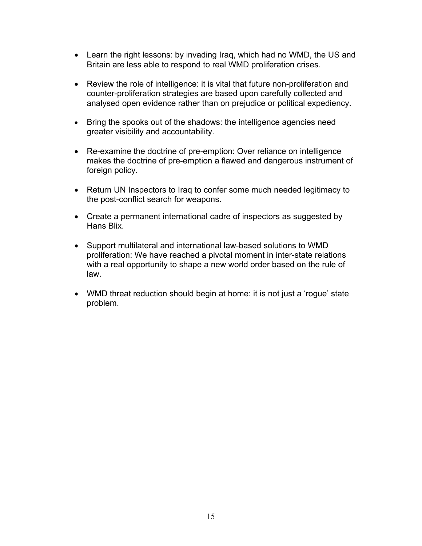- Learn the right lessons: by invading Iraq, which had no WMD, the US and Britain are less able to respond to real WMD proliferation crises.
- Review the role of intelligence: it is vital that future non-proliferation and counter-proliferation strategies are based upon carefully collected and analysed open evidence rather than on prejudice or political expediency.
- Bring the spooks out of the shadows: the intelligence agencies need greater visibility and accountability.
- Re-examine the doctrine of pre-emption: Over reliance on intelligence makes the doctrine of pre-emption a flawed and dangerous instrument of foreign policy.
- Return UN Inspectors to Iraq to confer some much needed legitimacy to the post-conflict search for weapons.
- Create a permanent international cadre of inspectors as suggested by Hans Blix.
- Support multilateral and international law-based solutions to WMD proliferation: We have reached a pivotal moment in inter-state relations with a real opportunity to shape a new world order based on the rule of law.
- WMD threat reduction should begin at home: it is not just a 'roque' state problem.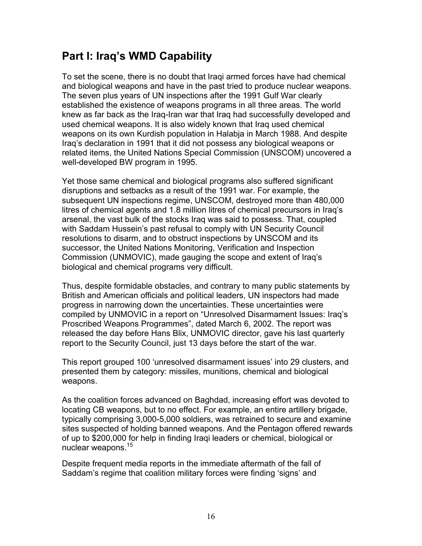## **Part I: Iraq's WMD Capability**

To set the scene, there is no doubt that Iraqi armed forces have had chemical and biological weapons and have in the past tried to produce nuclear weapons. The seven plus years of UN inspections after the 1991 Gulf War clearly established the existence of weapons programs in all three areas. The world knew as far back as the Iraq-Iran war that Iraq had successfully developed and used chemical weapons. It is also widely known that Iraq used chemical weapons on its own Kurdish population in Halabja in March 1988. And despite Iraq's declaration in 1991 that it did not possess any biological weapons or related items, the United Nations Special Commission (UNSCOM) uncovered a well-developed BW program in 1995.

Yet those same chemical and biological programs also suffered significant disruptions and setbacks as a result of the 1991 war. For example, the subsequent UN inspections regime, UNSCOM, destroyed more than 480,000 litres of chemical agents and 1.8 million litres of chemical precursors in Iraq's arsenal, the vast bulk of the stocks Iraq was said to possess. That, coupled with Saddam Hussein's past refusal to comply with UN Security Council resolutions to disarm, and to obstruct inspections by UNSCOM and its successor, the United Nations Monitoring, Verification and Inspection Commission (UNMOVIC), made gauging the scope and extent of Iraq's biological and chemical programs very difficult.

Thus, despite formidable obstacles, and contrary to many public statements by British and American officials and political leaders, UN inspectors had made progress in narrowing down the uncertainties. These uncertainties were compiled by UNMOVIC in a report on "Unresolved Disarmament Issues: Iraq's Proscribed Weapons Programmes", dated March 6, 2002. The report was released the day before Hans Blix, UNMOVIC director, gave his last quarterly report to the Security Council, just 13 days before the start of the war.

This report grouped 100 'unresolved disarmament issues' into 29 clusters, and presented them by category: missiles, munitions, chemical and biological weapons.

As the coalition forces advanced on Baghdad, increasing effort was devoted to locating CB weapons, but to no effect. For example, an entire artillery brigade, typically comprising 3,000-5,000 soldiers, was retrained to secure and examine sites suspected of holding banned weapons. And the Pentagon offered rewards of up to \$200,000 for help in finding Iraqi leaders or chemical, biological or nuclear weapons.<sup>15</sup>

Despite frequent media reports in the immediate aftermath of the fall of Saddam's regime that coalition military forces were finding 'signs' and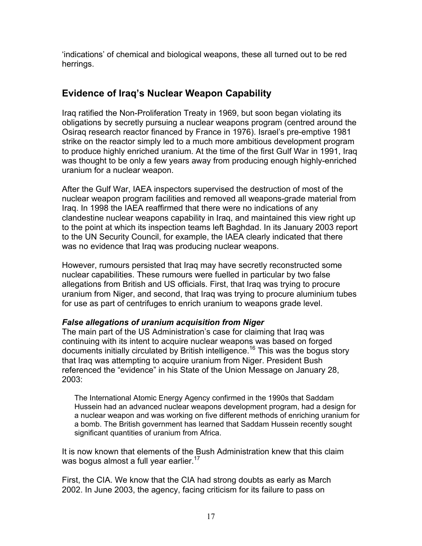'indications' of chemical and biological weapons, these all turned out to be red herrings.

## **Evidence of Iraq's Nuclear Weapon Capability**

Iraq ratified the Non-Proliferation Treaty in 1969, but soon began violating its obligations by secretly pursuing a nuclear weapons program (centred around the Osiraq research reactor financed by France in 1976). Israel's pre-emptive 1981 strike on the reactor simply led to a much more ambitious development program to produce highly enriched uranium. At the time of the first Gulf War in 1991, Iraq was thought to be only a few years away from producing enough highly-enriched uranium for a nuclear weapon.

After the Gulf War, IAEA inspectors supervised the destruction of most of the nuclear weapon program facilities and removed all weapons-grade material from Iraq. In 1998 the IAEA reaffirmed that there were no indications of any clandestine nuclear weapons capability in Iraq, and maintained this view right up to the point at which its inspection teams left Baghdad. In its January 2003 report to the UN Security Council, for example, the IAEA clearly indicated that there was no evidence that Iraq was producing nuclear weapons.

However, rumours persisted that Iraq may have secretly reconstructed some nuclear capabilities. These rumours were fuelled in particular by two false allegations from British and US officials. First, that Iraq was trying to procure uranium from Niger, and second, that Iraq was trying to procure aluminium tubes for use as part of centrifuges to enrich uranium to weapons grade level.

## *False allegations of uranium acquisition from Niger*

The main part of the US Administration's case for claiming that Iraq was continuing with its intent to acquire nuclear weapons was based on forged documents initially circulated by British intelligence.<sup>16</sup> This was the bogus story that Iraq was attempting to acquire uranium from Niger. President Bush referenced the "evidence" in his State of the Union Message on January 28, 2003:

The International Atomic Energy Agency confirmed in the 1990s that Saddam Hussein had an advanced nuclear weapons development program, had a design for a nuclear weapon and was working on five different methods of enriching uranium for a bomb. The British government has learned that Saddam Hussein recently sought significant quantities of uranium from Africa.

It is now known that elements of the Bush Administration knew that this claim was bogus almost a full year earlier.<sup>17</sup>

First, the CIA. We know that the CIA had strong doubts as early as March 2002. In June 2003, the agency, facing criticism for its failure to pass on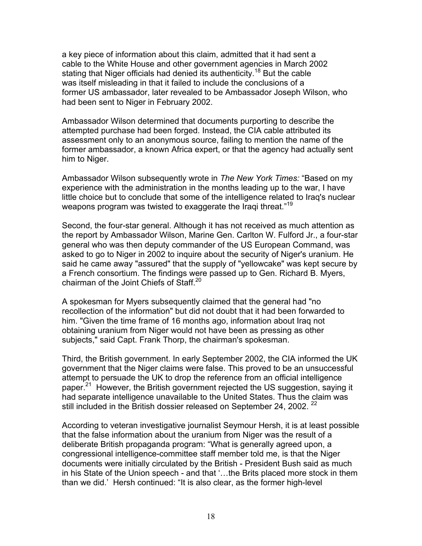a key piece of information about this claim, admitted that it had sent a cable to the White House and other government agencies in March 2002 stating that Niger officials had denied its authenticity.<sup>18</sup> But the cable was itself misleading in that it failed to include the conclusions of a former US ambassador, later revealed to be Ambassador Joseph Wilson, who had been sent to Niger in February 2002.

Ambassador Wilson determined that documents purporting to describe the attempted purchase had been forged. Instead, the CIA cable attributed its assessment only to an anonymous source, failing to mention the name of the former ambassador, a known Africa expert, or that the agency had actually sent him to Niger.

Ambassador Wilson subsequently wrote in *The New York Times:* "Based on my experience with the administration in the months leading up to the war, I have little choice but to conclude that some of the intelligence related to Iraq's nuclear weapons program was twisted to exaggerate the Iragi threat."<sup>19</sup>

Second, the four-star general. Although it has not received as much attention as the report by Ambassador Wilson, Marine Gen. Carlton W. Fulford Jr., a four-star general who was then deputy commander of the US European Command, was asked to go to Niger in 2002 to inquire about the security of Niger's uranium. He said he came away "assured" that the supply of "yellowcake" was kept secure by a French consortium. The findings were passed up to Gen. Richard B. Myers, chairman of the Joint Chiefs of Staff.<sup>[20](#page-71-19)</sup>

A spokesman for Myers subsequently claimed that the general had "no recollection of the information" but did not doubt that it had been forwarded to him. "Given the time frame of 16 months ago, information about Iraq not obtaining uranium from Niger would not have been as pressing as other subjects," said Capt. Frank Thorp, the chairman's spokesman.

Third, the British government. In early September 2002, the CIA informed the UK government that the Niger claims were false. This proved to be an unsuccessful attempt to persuade the UK to drop the reference from an official intelligence paper.<sup>21</sup> However, the British government rejected the US suggestion, saying it had separate intelligence unavailable to the United States. Thus the claim was still included in the British dossier released on September 24, 2002.<sup>[22](#page-71-21)</sup>

According to veteran investigative journalist Seymour Hersh, it is at least possible that the false information about the uranium from Niger was the result of a deliberate British propaganda program: "What is generally agreed upon, a congressional intelligence-committee staff member told me, is that the Niger documents were initially circulated by the British - President Bush said as much in his State of the Union speech - and that '…the Brits placed more stock in them than we did.' Hersh continued: "It is also clear, as the former high-level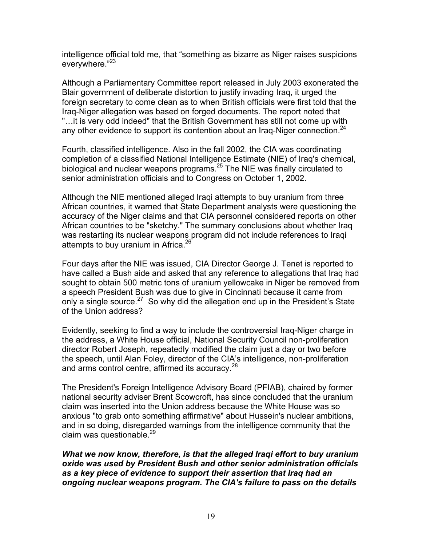intelligence official told me, that "something as bizarre as Niger raises suspicions everywhere."[23](#page-71-17)

Although a Parliamentary Committee report released in July 2003 exonerated the Blair government of deliberate distortion to justify invading Iraq, it urged the foreign secretary to come clean as to when British officials were first told that the Iraq-Niger allegation was based on forged documents. The report noted that "…it is very odd indeed" that the British Government has still not come up with any other evidence to support its contention about an Iraq-Niger connection.<sup>24</sup>

Fourth, classified intelligence. Also in the fall 2002, the CIA was coordinating completion of a classified National Intelligence Estimate (NIE) of Iraq's chemical, biological and nuclear weapons programs.<sup>25</sup> The NIE was finally circulated to senior administration officials and to Congress on October 1, 2002.

Although the NIE mentioned alleged Iraqi attempts to buy uranium from three African countries, it warned that State Department analysts were questioning the accuracy of the Niger claims and that CIA personnel considered reports on other African countries to be "sketchy." The summary conclusions about whether Iraq was restarting its nuclear weapons program did not include references to Iraqi attempts to buy uranium in Africa.<sup>[26](#page-71-24)</sup>

Four days after the NIE was issued, CIA Director George J. Tenet is reported to have called a Bush aide and asked that any reference to allegations that Iraq had sought to obtain 500 metric tons of uranium yellowcake in Niger be removed from a speech President Bush was due to give in Cincinnati because it came from only a single source.<sup>27</sup> So why did the allegation end up in the President's State of the Union address?

Evidently, seeking to find a way to include the controversial Iraq-Niger charge in the address, a White House official, National Security Council non-proliferation director Robert Joseph, repeatedly modified the claim just a day or two before the speech, until Alan Foley, director of the CIA's intelligence, non-proliferation and arms control centre, affirmed its accuracy.<sup>[28](#page-71-26)</sup>

The President's Foreign Intelligence Advisory Board (PFIAB), chaired by former national security adviser Brent Scowcroft, has since concluded that the uranium claim was inserted into the Union address because the White House was so anxious "to grab onto something affirmative" about Hussein's nuclear ambitions, and in so doing, disregarded warnings from the intelligence community that the claim was questionable. $^{29}$  $^{29}$  $^{29}$ 

*What we now know, therefore, is that the alleged Iraqi effort to buy uranium oxide was used by President Bush and other senior administration officials as a key piece of evidence to support their assertion that Iraq had an ongoing nuclear weapons program. The CIA's failure to pass on the details*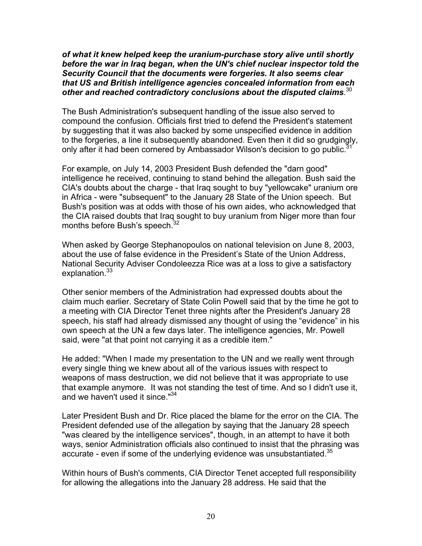*of what it knew helped keep the uranium-purchase story alive until shortly before the war in Iraq began, when the UN's chief nuclear inspector told the Security Council that the documents were forgeries. It also seems clear that US and British intelligence agencies concealed information from each other and reached contradictory conclusions about the disputed claims*. [30](#page-71-27)

The Bush Administration's subsequent handling of the issue also served to compound the confusion. Officials first tried to defend the President's statement by suggesting that it was also backed by some unspecified evidence in addition to the forgeries, a line it subsequently abandoned. Even then it did so grudgingly, only after it had been cornered by Ambassador Wilson's decision to go public. $\dot{3}$ 

For example, on July 14, 2003 President Bush defended the "darn good" intelligence he received, continuing to stand behind the allegation. Bush said the CIA's doubts about the charge - that Iraq sought to buy "yellowcake" uranium ore in Africa - were "subsequent" to the January 28 State of the Union speech. But Bush's position was at odds with those of his own aides, who acknowledged that the CIA raised doubts that Iraq sought to buy uranium from Niger more than four months before Bush's speech.<sup>32</sup>

When asked by George Stephanopoulos on national television on June 8, 2003, about the use of false evidence in the President's State of the Union Address, National Security Adviser Condoleezza Rice was at a loss to give a satisfactory explanation.<sup>33</sup>

Other senior members of the Administration had expressed doubts about the claim much earlier. Secretary of State Colin Powell said that by the time he got to a meeting with CIA Director Tenet three nights after the President's January 28 speech, his staff had already dismissed any thought of using the "evidence" in his own speech at the UN a few days later. The intelligence agencies, Mr. Powell said, were "at that point not carrying it as a credible item."

He added: "When I made my presentation to the UN and we really went through every single thing we knew about all of the various issues with respect to weapons of mass destruction, we did not believe that it was appropriate to use that example anymore. It was not standing the test of time. And so I didn't use it, and we haven't used it since."<sup>[34](#page-71-11)</sup>

Later President Bush and Dr. Rice placed the blame for the error on the CIA. The President defended use of the allegation by saying that the January 28 speech "was cleared by the intelligence services", though, in an attempt to have it both ways, senior Administration officials also continued to insist that the phrasing was accurate - even if some of the underlying evidence was unsubstantiated. $35$ 

Within hours of Bush's comments, CIA Director Tenet accepted full responsibility for allowing the allegations into the January 28 address. He said that the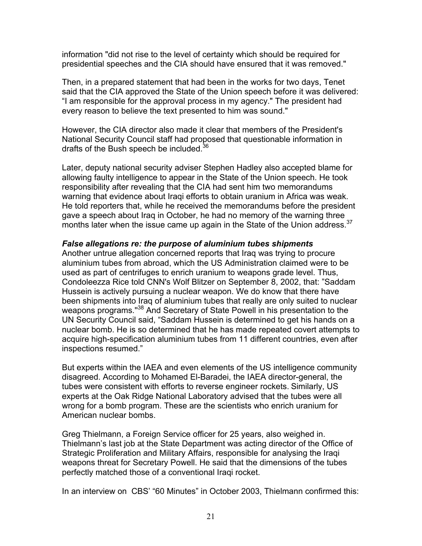information "did not rise to the level of certainty which should be required for presidential speeches and the CIA should have ensured that it was removed."

Then, in a prepared statement that had been in the works for two days, Tenet said that the CIA approved the State of the Union speech before it was delivered: "I am responsible for the approval process in my agency." The president had every reason to believe the text presented to him was sound."

However, the CIA director also made it clear that members of the President's National Security Council staff had proposed that questionable information in drafts of the Bush speech be included.<sup>36</sup>

Later, deputy national security adviser Stephen Hadley also accepted blame for allowing faulty intelligence to appear in the State of the Union speech. He took responsibility after revealing that the CIA had sent him two memorandums warning that evidence about Iraqi efforts to obtain uranium in Africa was weak. He told reporters that, while he received the memorandums before the president gave a speech about Iraq in October, he had no memory of the warning three months later when the issue came up again in the State of the Union address.<sup>37</sup>

#### *False allegations re: the purpose of aluminium tubes shipments*

Another untrue allegation concerned reports that Iraq was trying to procure aluminium tubes from abroad, which the US Administration claimed were to be used as part of centrifuges to enrich uranium to weapons grade level. Thus, Condoleezza Rice told CNN's Wolf Blitzer on September 8, 2002, that: "Saddam Hussein is actively pursuing a nuclear weapon. We do know that there have been shipments into Iraq of aluminium tubes that really are only suited to nuclear weapons programs."<sup>38</sup> And Secretary of State Powell in his presentation to the UN Security Council said, "Saddam Hussein is determined to get his hands on a nuclear bomb. He is so determined that he has made repeated covert attempts to acquire high-specification aluminium tubes from 11 different countries, even after inspections resumed."

But experts within the IAEA and even elements of the US intelligence community disagreed. According to Mohamed El-Baradei, the IAEA director-general, the tubes were consistent with efforts to reverse engineer rockets. Similarly, US experts at the Oak Ridge National Laboratory advised that the tubes were all wrong for a bomb program. These are the scientists who enrich uranium for American nuclear bombs.

Greg Thielmann, a Foreign Service officer for 25 years, also weighed in. Thielmann's last job at the State Department was acting director of the Office of Strategic Proliferation and Military Affairs, responsible for analysing the Iraqi weapons threat for Secretary Powell. He said that the dimensions of the tubes perfectly matched those of a conventional Iraqi rocket.

In an interview on CBS' "60 Minutes" in October 2003, Thielmann confirmed this: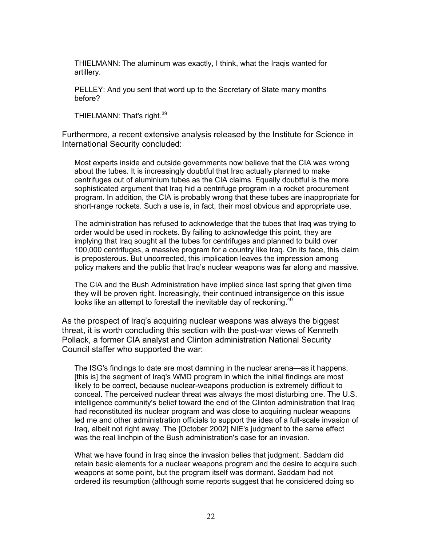THIELMANN: The aluminum was exactly, I think, what the Iraqis wanted for artillery.

PELLEY: And you sent that word up to the Secretary of State many months before?

THIELMANN: That's right.<sup>[39](#page-71-34)</sup>

Furthermore, a recent extensive analysis released by the Institute for Science in International Security concluded:

Most experts inside and outside governments now believe that the CIA was wrong about the tubes. It is increasingly doubtful that Iraq actually planned to make centrifuges out of aluminium tubes as the CIA claims. Equally doubtful is the more sophisticated argument that Iraq hid a centrifuge program in a rocket procurement program. In addition, the CIA is probably wrong that these tubes are inappropriate for short-range rockets. Such a use is, in fact, their most obvious and appropriate use.

The administration has refused to acknowledge that the tubes that Iraq was trying to order would be used in rockets. By failing to acknowledge this point, they are implying that Iraq sought all the tubes for centrifuges and planned to build over 100,000 centrifuges, a massive program for a country like Iraq. On its face, this claim is preposterous. But uncorrected, this implication leaves the impression among policy makers and the public that Iraq's nuclear weapons was far along and massive.

The CIA and the Bush Administration have implied since last spring that given time they will be proven right. Increasingly, their continued intransigence on this issue looks like an attempt to forestall the inevitable day of reckoning.<sup>[40](#page-71-35)</sup>

As the prospect of Iraq's acquiring nuclear weapons was always the biggest threat, it is worth concluding this section with the post-war views of Kenneth Pollack, a former CIA analyst and Clinton administration National Security Council staffer who supported the war:

The ISG's findings to date are most damning in the nuclear arena—as it happens, [this is] the segment of Iraq's WMD program in which the initial findings are most likely to be correct, because nuclear-weapons production is extremely difficult to conceal. The perceived nuclear threat was always the most disturbing one. The U.S. intelligence community's belief toward the end of the Clinton administration that Iraq had reconstituted its nuclear program and was close to acquiring nuclear weapons led me and other administration officials to support the idea of a full-scale invasion of Iraq, albeit not right away. The [October 2002] NIE's judgment to the same effect was the real linchpin of the Bush administration's case for an invasion.

What we have found in Iraq since the invasion belies that judgment. Saddam did retain basic elements for a nuclear weapons program and the desire to acquire such weapons at some point, but the program itself was dormant. Saddam had not ordered its resumption (although some reports suggest that he considered doing so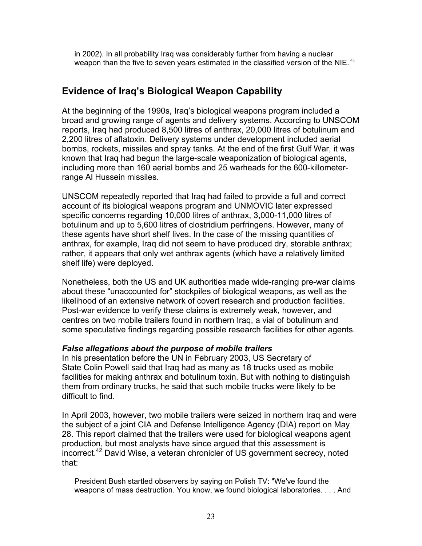in 2002). In all probability Iraq was considerably further from having a nuclear weapon than the five to seven years estimated in the classified version of the NIE.<sup>[41](#page-71-36)</sup>

## **Evidence of Iraq's Biological Weapon Capability**

At the beginning of the 1990s, Iraq's biological weapons program included a broad and growing range of agents and delivery systems. According to UNSCOM reports, Iraq had produced 8,500 litres of anthrax, 20,000 litres of botulinum and 2,200 litres of aflatoxin. Delivery systems under development included aerial bombs, rockets, missiles and spray tanks. At the end of the first Gulf War, it was known that Iraq had begun the large-scale weaponization of biological agents, including more than 160 aerial bombs and 25 warheads for the 600-killometerrange Al Hussein missiles.

UNSCOM repeatedly reported that Iraq had failed to provide a full and correct account of its biological weapons program and UNMOVIC later expressed specific concerns regarding 10,000 litres of anthrax, 3,000-11,000 litres of botulinum and up to 5,600 litres of clostridium perfringens. However, many of these agents have short shelf lives. In the case of the missing quantities of anthrax, for example, Iraq did not seem to have produced dry, storable anthrax; rather, it appears that only wet anthrax agents (which have a relatively limited shelf life) were deployed.

Nonetheless, both the US and UK authorities made wide-ranging pre-war claims about these "unaccounted for" stockpiles of biological weapons, as well as the likelihood of an extensive network of covert research and production facilities. Post-war evidence to verify these claims is extremely weak, however, and centres on two mobile trailers found in northern Iraq, a vial of botulinum and some speculative findings regarding possible research facilities for other agents.

#### *False allegations about the purpose of mobile trailers*

In his presentation before the UN in February 2003, US Secretary of State Colin Powell said that Iraq had as many as 18 trucks used as mobile facilities for making anthrax and botulinum toxin. But with nothing to distinguish them from ordinary trucks, he said that such mobile trucks were likely to be difficult to find.

In April 2003, however, two mobile trailers were seized in northern Iraq and were the subject of a joint CIA and Defense Intelligence Agency (DIA) report on May 28. This report claimed that the trailers were used for biological weapons agent production, but most analysts have since argued that this assessment is  $\frac{1}{2}$  incorrect.<sup>42</sup> David Wise, a veteran chronicler of US government secrecy, noted that:

President Bush startled observers by saying on Polish TV: "We've found the weapons of mass destruction. You know, we found biological laboratories. . . . And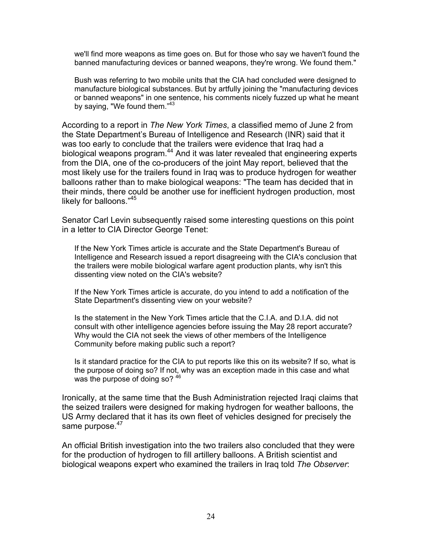we'll find more weapons as time goes on. But for those who say we haven't found the banned manufacturing devices or banned weapons, they're wrong. We found them."

Bush was referring to two mobile units that the CIA had concluded were designed to manufacture biological substances. But by artfully joining the "manufacturing devices or banned weapons" in one sentence, his comments nicely fuzzed up what he meant by saying, "We found them."<sup>[43](#page-71-38)</sup>

According to a report in *The New York Times*, a classified memo of June 2 from the State Department's Bureau of Intelligence and Research (INR) said that it was too early to conclude that the trailers were evidence that Iraq had a biological weapons program.<sup>44</sup> And it was later revealed that engineering experts from the DIA, one of the co-producers of the joint May report, believed that the most likely use for the trailers found in Iraq was to produce hydrogen for weather balloons rather than to make biological weapons: "The team has decided that in their minds, there could be another use for inefficient hydrogen production, most likely for balloons."<sup>45</sup>

Senator Carl Levin subsequently raised some interesting questions on this point in a letter to CIA Director George Tenet:

If the New York Times article is accurate and the State Department's Bureau of Intelligence and Research issued a report disagreeing with the CIA's conclusion that the trailers were mobile biological warfare agent production plants, why isn't this dissenting view noted on the CIA's website?

If the New York Times article is accurate, do you intend to add a notification of the State Department's dissenting view on your website?

Is the statement in the New York Times article that the C.I.A. and D.I.A. did not consult with other intelligence agencies before issuing the May 28 report accurate? Why would the CIA not seek the views of other members of the Intelligence Community before making public such a report?

Is it standard practice for the CIA to put reports like this on its website? If so, what is the purpose of doing so? If not, why was an exception made in this case and what was the purpose of doing so? [46](#page-71-41)

Ironically, at the same time that the Bush Administration rejected Iraqi claims that the seized trailers were designed for making hydrogen for weather balloons, the US Army declared that it has its own fleet of vehicles designed for precisely the same purpose.<sup>[47](#page-71-42)</sup>

An official British investigation into the two trailers also concluded that they were for the production of hydrogen to fill artillery balloons. A British scientist and biological weapons expert who examined the trailers in Iraq told *The Observer*: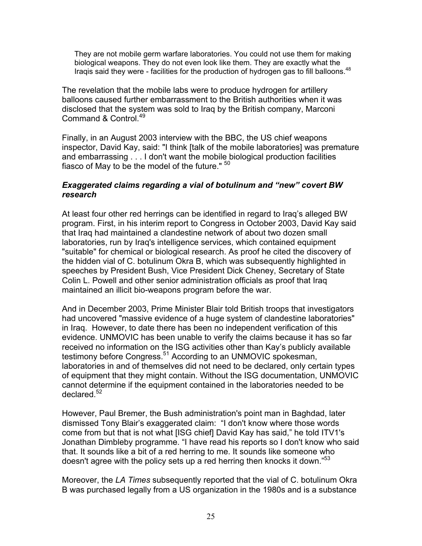They are not mobile germ warfare laboratories. You could not use them for making biological weapons. They do not even look like them. They are exactly what the Iraqis said they were - facilities for the production of hydrogen gas to fill balloons.<sup>[48](#page-71-43)</sup>

The revelation that the mobile labs were to produce hydrogen for artillery balloons caused further embarrassment to the British authorities when it was disclosed that the system was sold to Iraq by the British company, Marconi Command & Control.<sup>[49](#page-71-44)</sup>

Finally, in an August 2003 interview with the BBC, the US chief weapons inspector, David Kay, said: "I think [talk of the mobile laboratories] was premature and embarrassing . . . I don't want the mobile biological production facilities fiasco of May to be the model of the future." <sup>[50](#page-71-45)</sup>

#### *Exaggerated claims regarding a vial of botulinum and "new" covert BW research*

At least four other red herrings can be identified in regard to Iraq's alleged BW program. First, in his interim report to Congress in October 2003, David Kay said that Iraq had maintained a clandestine network of about two dozen small laboratories, run by Iraq's intelligence services, which contained equipment "suitable" for chemical or biological research. As proof he cited the discovery of the hidden vial of C. botulinum Okra B, which was subsequently highlighted in speeches by President Bush, Vice President Dick Cheney, Secretary of State Colin L. Powell and other senior administration officials as proof that Iraq maintained an illicit bio-weapons program before the war.

And in December 2003, Prime Minister Blair told British troops that investigators had uncovered "massive evidence of a huge system of clandestine laboratories" in Iraq. However, to date there has been no independent verification of this evidence. UNMOVIC has been unable to verify the claims because it has so far received no information on the ISG activities other than Kay's publicly available testimony before Congress.<sup>51</sup> According to an UNMOVIC spokesman, laboratories in and of themselves did not need to be declared, only certain types of equipment that they might contain. Without the ISG documentation, UNMOVIC cannot determine if the equipment contained in the laboratories needed to be declared.<sup>[52](#page-71-47)</sup>

However, Paul Bremer, the Bush administration's point man in Baghdad, later dismissed Tony Blair's exaggerated claim: "I don't know where those words come from but that is not what [ISG chief] David Kay has said," he told ITV1's Jonathan Dimbleby programme. "I have read his reports so I don't know who said that. It sounds like a bit of a red herring to me. It sounds like someone who doesn't agree with the policy sets up a red herring then knocks it down."<sup>53</sup>

Moreover, the *LA Times* subsequently reported that the vial of C. botulinum Okra B was purchased legally from a US organization in the 1980s and is a substance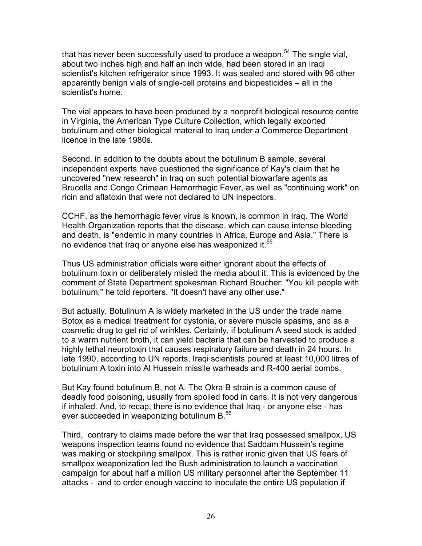that has never been successfully used to produce a weapon.<sup>54</sup> The single vial, about two inches high and half an inch wide, had been stored in an Iraqi scientist's kitchen refrigerator since 1993. It was sealed and stored with 96 other apparently benign vials of single-cell proteins and biopesticides – all in the scientist's home.

The vial appears to have been produced by a nonprofit biological resource centre in Virginia, the American Type Culture Collection, which legally exported botulinum and other biological material to Iraq under a Commerce Department licence in the late 1980s.

Second, in addition to the doubts about the botulinum B sample, several independent experts have questioned the significance of Kay's claim that he uncovered "new research" in Iraq on such potential biowarfare agents as Brucella and Congo Crimean Hemorrhagic Fever, as well as "continuing work" on ricin and aflatoxin that were not declared to UN inspectors.

CCHF, as the hemorrhagic fever virus is known, is common in Iraq. The World Health Organization reports that the disease, which can cause intense bleeding and death, is "endemic in many countries in Africa, Europe and Asia." There is no evidence that Iraq or anyone else has weaponized it.<sup>[55](#page-71-24)</sup>

Thus US administration officials were either ignorant about the effects of botulinum toxin or deliberately misled the media about it. This is evidenced by the comment of State Department spokesman Richard Boucher: "You kill people with botulinum," he told reporters. "It doesn't have any other use."

But actually, Botulinum A is widely marketed in the US under the trade name Botox as a medical treatment for dystonia, or severe muscle spasms, and as a cosmetic drug to get rid of wrinkles. Certainly, if botulinum A seed stock is added to a warm nutrient broth, it can yield bacteria that can be harvested to produce a highly lethal neurotoxin that causes respiratory failure and death in 24 hours. In late 1990, according to UN reports, Iraqi scientists poured at least 10,000 litres of botulinum A toxin into Al Hussein missile warheads and R-400 aerial bombs.

But Kay found botulinum B, not A. The Okra B strain is a common cause of deadly food poisoning, usually from spoiled food in cans. It is not very dangerous if inhaled. And, to recap, there is no evidence that Iraq - or anyone else - has ever succeeded in weaponizing botulinum B.<sup>56</sup>

Third, contrary to claims made before the war that Iraq possessed smallpox, US weapons inspection teams found no evidence that Saddam Hussein's regime was making or stockpiling smallpox. This is rather ironic given that US fears of smallpox weaponization led the Bush administration to launch a vaccination campaign for about half a million US military personnel after the September 11 attacks - and to order enough vaccine to inoculate the entire US population if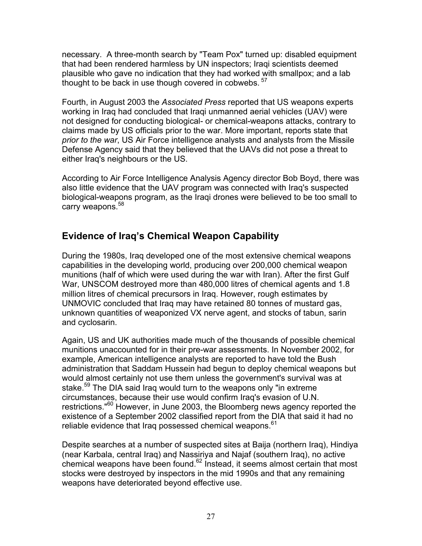necessary. A three-month search by "Team Pox" turned up: disabled equipment that had been rendered harmless by UN inspectors; Iraqi scientists deemed plausible who gave no indication that they had worked with smallpox; and a lab thought to be back in use though covered in cobwebs.  $5<sup>7</sup>$ 

Fourth, in August 2003 the *Associated Press* reported that US weapons experts working in Iraq had concluded that Iraqi unmanned aerial vehicles (UAV) were not designed for conducting biological- or chemical-weapons attacks, contrary to claims made by US officials prior to the war. More important, reports state that *prior to the war*, US Air Force intelligence analysts and analysts from the Missile Defense Agency said that they believed that the UAVs did not pose a threat to either Iraq's neighbours or the US.

According to Air Force Intelligence Analysis Agency director Bob Boyd, there was also little evidence that the UAV program was connected with Iraq's suspected biological-weapons program, as the Iraqi drones were believed to be too small to carry weapons.<sup>[58](#page-71-18)</sup>

## **Evidence of Iraq's Chemical Weapon Capability**

During the 1980s, Iraq developed one of the most extensive chemical weapons capabilities in the developing world, producing over 200,000 chemical weapon munitions (half of which were used during the war with Iran). After the first Gulf War, UNSCOM destroyed more than 480,000 litres of chemical agents and 1.8 million litres of chemical precursors in Iraq. However, rough estimates by UNMOVIC concluded that Iraq may have retained 80 tonnes of mustard gas, unknown quantities of weaponized VX nerve agent, and stocks of tabun, sarin and cyclosarin.

Again, US and UK authorities made much of the thousands of possible chemical munitions unaccounted for in their pre-war assessments. In November 2002, for example, American intelligence analysts are reported to have told the Bush administration that Saddam Hussein had begun to deploy chemical weapons but would almost certainly not use them unless the government's survival was at stake.<sup>59</sup> The DIA said Irag would turn to the weapons only "in extreme circumstances, because their use would confirm Iraq's evasion of U.N. restrictions."[60](#page-71-11) However, in June 2003, the Bloomberg news agency reported the existence of a September 2002 classified report from the DIA that said it had no reliable evidence that Iraq possessed chemical weapons.<sup>61</sup>

Despite searches at a number of suspected sites at Baija (northern Iraq), Hindiya (near Karbala, central Iraq) and Nassiriya and Najaf (southern Iraq), no active chemical weapons have been found.[62](#page-71-50) Instead, it seems almost certain that most stocks were destroyed by inspectors in the mid 1990s and that any remaining weapons have deteriorated beyond effective use.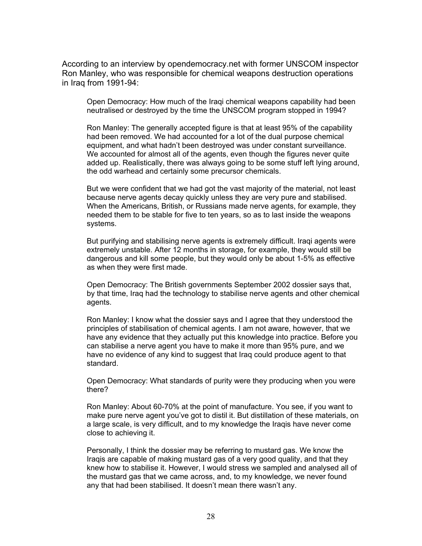According to an interview by opendemocracy.net with former UNSCOM inspector Ron Manley, who was responsible for chemical weapons destruction operations in Iraq from 1991-94:

Open Democracy: How much of the Iraqi chemical weapons capability had been neutralised or destroyed by the time the UNSCOM program stopped in 1994?

Ron Manley: The generally accepted figure is that at least 95% of the capability had been removed. We had accounted for a lot of the dual purpose chemical equipment, and what hadn't been destroyed was under constant surveillance. We accounted for almost all of the agents, even though the figures never quite added up. Realistically, there was always going to be some stuff left lying around, the odd warhead and certainly some precursor chemicals.

But we were confident that we had got the vast majority of the material, not least because nerve agents decay quickly unless they are very pure and stabilised. When the Americans, British, or Russians made nerve agents, for example, they needed them to be stable for five to ten years, so as to last inside the weapons systems.

But purifying and stabilising nerve agents is extremely difficult. Iraqi agents were extremely unstable. After 12 months in storage, for example, they would still be dangerous and kill some people, but they would only be about 1-5% as effective as when they were first made.

Open Democracy: The British governments September 2002 dossier says that, by that time, Iraq had the technology to stabilise nerve agents and other chemical agents.

Ron Manley: I know what the dossier says and I agree that they understood the principles of stabilisation of chemical agents. I am not aware, however, that we have any evidence that they actually put this knowledge into practice. Before you can stabilise a nerve agent you have to make it more than 95% pure, and we have no evidence of any kind to suggest that Iraq could produce agent to that standard.

Open Democracy: What standards of purity were they producing when you were there?

Ron Manley: About 60-70% at the point of manufacture. You see, if you want to make pure nerve agent you've got to distil it. But distillation of these materials, on a large scale, is very difficult, and to my knowledge the Iraqis have never come close to achieving it.

Personally, I think the dossier may be referring to mustard gas. We know the Iraqis are capable of making mustard gas of a very good quality, and that they knew how to stabilise it. However, I would stress we sampled and analysed all of the mustard gas that we came across, and, to my knowledge, we never found any that had been stabilised. It doesn't mean there wasn't any.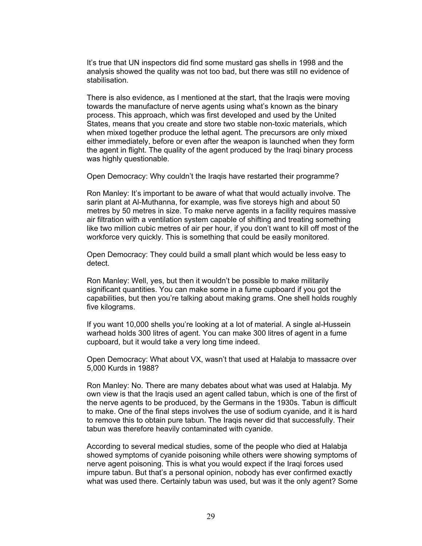It's true that UN inspectors did find some mustard gas shells in 1998 and the analysis showed the quality was not too bad, but there was still no evidence of stabilisation.

There is also evidence, as I mentioned at the start, that the Iraqis were moving towards the manufacture of nerve agents using what's known as the binary process. This approach, which was first developed and used by the United States, means that you create and store two stable non-toxic materials, which when mixed together produce the lethal agent. The precursors are only mixed either immediately, before or even after the weapon is launched when they form the agent in flight. The quality of the agent produced by the Iraqi binary process was highly questionable.

Open Democracy: Why couldn't the Iraqis have restarted their programme?

Ron Manley: It's important to be aware of what that would actually involve. The sarin plant at Al-Muthanna, for example, was five storeys high and about 50 metres by 50 metres in size. To make nerve agents in a facility requires massive air filtration with a ventilation system capable of shifting and treating something like two million cubic metres of air per hour, if you don't want to kill off most of the workforce very quickly. This is something that could be easily monitored.

Open Democracy: They could build a small plant which would be less easy to detect.

Ron Manley: Well, yes, but then it wouldn't be possible to make militarily significant quantities. You can make some in a fume cupboard if you got the capabilities, but then you're talking about making grams. One shell holds roughly five kilograms.

If you want 10,000 shells you're looking at a lot of material. A single al-Hussein warhead holds 300 litres of agent. You can make 300 litres of agent in a fume cupboard, but it would take a very long time indeed.

Open Democracy: What about VX, wasn't that used at Halabja to massacre over 5,000 Kurds in 1988?

Ron Manley: No. There are many debates about what was used at Halabja. My own view is that the Iraqis used an agent called tabun, which is one of the first of the nerve agents to be produced, by the Germans in the 1930s. Tabun is difficult to make. One of the final steps involves the use of sodium cyanide, and it is hard to remove this to obtain pure tabun. The Iraqis never did that successfully. Their tabun was therefore heavily contaminated with cyanide.

According to several medical studies, some of the people who died at Halabja showed symptoms of cyanide poisoning while others were showing symptoms of nerve agent poisoning. This is what you would expect if the Iraqi forces used impure tabun. But that's a personal opinion, nobody has ever confirmed exactly what was used there. Certainly tabun was used, but was it the only agent? Some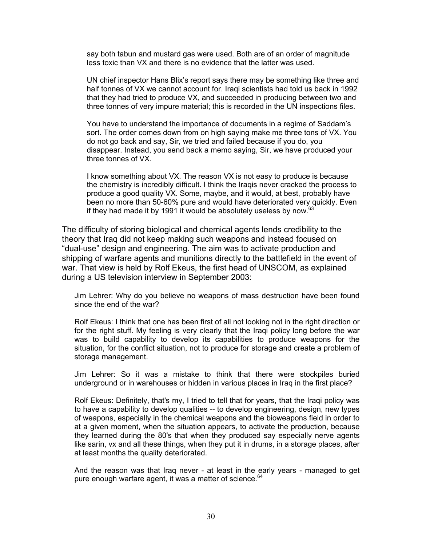say both tabun and mustard gas were used. Both are of an order of magnitude less toxic than VX and there is no evidence that the latter was used.

UN chief inspector Hans Blix's report says there may be something like three and half tonnes of VX we cannot account for. Iraqi scientists had told us back in 1992 that they had tried to produce VX, and succeeded in producing between two and three tonnes of very impure material; this is recorded in the UN inspections files.

You have to understand the importance of documents in a regime of Saddam's sort. The order comes down from on high saying make me three tons of VX. You do not go back and say, Sir, we tried and failed because if you do, you disappear. Instead, you send back a memo saying, Sir, we have produced your three tonnes of VX.

I know something about VX. The reason VX is not easy to produce is because the chemistry is incredibly difficult. I think the Iraqis never cracked the process to produce a good quality VX. Some, maybe, and it would, at best, probably have been no more than 50-60% pure and would have deteriorated very quickly. Even if they had made it by 1991 it would be absolutely useless by now. $63$ 

The difficulty of storing biological and chemical agents lends credibility to the theory that Iraq did not keep making such weapons and instead focused on "dual-use" design and engineering. The aim was to activate production and shipping of warfare agents and munitions directly to the battlefield in the event of war. That view is held by Rolf Ekeus, the first head of UNSCOM, as explained during a US television interview in September 2003:

Jim Lehrer: Why do you believe no weapons of mass destruction have been found since the end of the war?

Rolf Ekeus: I think that one has been first of all not looking not in the right direction or for the right stuff. My feeling is very clearly that the Iraqi policy long before the war was to build capability to develop its capabilities to produce weapons for the situation, for the conflict situation, not to produce for storage and create a problem of storage management.

Jim Lehrer: So it was a mistake to think that there were stockpiles buried underground or in warehouses or hidden in various places in Iraq in the first place?

Rolf Ekeus: Definitely, that's my, I tried to tell that for years, that the Iraqi policy was to have a capability to develop qualities -- to develop engineering, design, new types of weapons, especially in the chemical weapons and the bioweapons field in order to at a given moment, when the situation appears, to activate the production, because they learned during the 80's that when they produced say especially nerve agents like sarin, vx and all these things, when they put it in drums, in a storage places, after at least months the quality deteriorated.

And the reason was that Iraq never - at least in the early years - managed to get pure enough warfare agent, it was a matter of science.<sup>[64](#page-71-52)</sup>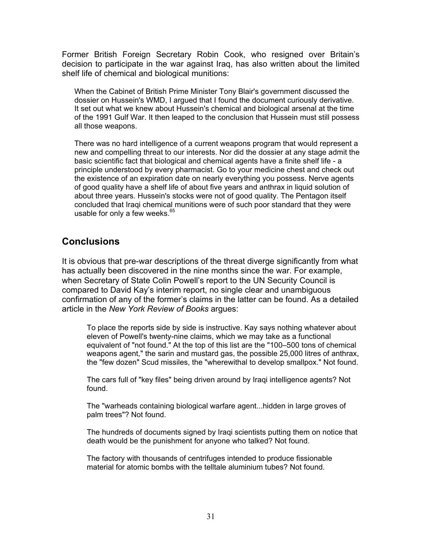Former British Foreign Secretary Robin Cook, who resigned over Britain's decision to participate in the war against Iraq, has also written about the limited shelf life of chemical and biological munitions:

When the Cabinet of British Prime Minister Tony Blair's government discussed the dossier on Hussein's WMD, I argued that I found the document curiously derivative. It set out what we knew about Hussein's chemical and biological arsenal at the time of the 1991 Gulf War. It then leaped to the conclusion that Hussein must still possess all those weapons.

There was no hard intelligence of a current weapons program that would represent a new and compelling threat to our interests. Nor did the dossier at any stage admit the basic scientific fact that biological and chemical agents have a finite shelf life - a principle understood by every pharmacist. Go to your medicine chest and check out the existence of an expiration date on nearly everything you possess. Nerve agents of good quality have a shelf life of about five years and anthrax in liquid solution of about three years. Hussein's stocks were not of good quality. The Pentagon itself concluded that Iraqi chemical munitions were of such poor standard that they were usable for only a few weeks. $65$ 

## **Conclusions**

It is obvious that pre-war descriptions of the threat diverge significantly from what has actually been discovered in the nine months since the war. For example, when Secretary of State Colin Powell's report to the UN Security Council is compared to David Kay's interim report, no single clear and unambiguous confirmation of any of the former's claims in the latter can be found. As a detailed article in the *New York Review of Books* argues:

To place the reports side by side is instructive. Kay says nothing whatever about eleven of Powell's twenty-nine claims, which we may take as a functional equivalent of "not found." At the top of this list are the "100–500 tons of chemical weapons agent," the sarin and mustard gas, the possible 25,000 litres of anthrax, the "few dozen" Scud missiles, the "wherewithal to develop smallpox." Not found.

The cars full of "key files" being driven around by Iraqi intelligence agents? Not found.

The "warheads containing biological warfare agent...hidden in large groves of palm trees"? Not found.

The hundreds of documents signed by Iraqi scientists putting them on notice that death would be the punishment for anyone who talked? Not found.

The factory with thousands of centrifuges intended to produce fissionable material for atomic bombs with the telltale aluminium tubes? Not found.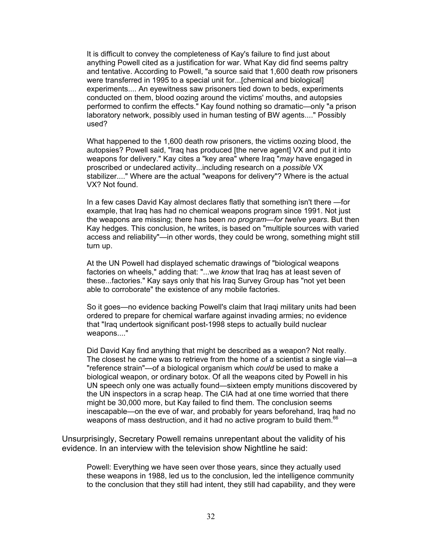It is difficult to convey the completeness of Kay's failure to find just about anything Powell cited as a justification for war. What Kay did find seems paltry and tentative. According to Powell, "a source said that 1,600 death row prisoners were transferred in 1995 to a special unit for...[chemical and biological] experiments.... An eyewitness saw prisoners tied down to beds, experiments conducted on them, blood oozing around the victims' mouths, and autopsies performed to confirm the effects." Kay found nothing so dramatic—only "a prison laboratory network, possibly used in human testing of BW agents...." Possibly used?

What happened to the 1,600 death row prisoners, the victims oozing blood, the autopsies? Powell said, "Iraq has produced [the nerve agent] VX and put it into weapons for delivery." Kay cites a "key area" where Iraq "*may* have engaged in proscribed or undeclared activity...including research on a *possible* VX stabilizer...." Where are the actual "weapons for delivery"? Where is the actual VX? Not found.

In a few cases David Kay almost declares flatly that something isn't there —for example, that Iraq has had no chemical weapons program since 1991. Not just the weapons are missing; there has been *no program*—*for twelve years*. But then Kay hedges. This conclusion, he writes, is based on "multiple sources with varied access and reliability"—in other words, they could be wrong, something might still turn up.

At the UN Powell had displayed schematic drawings of "biological weapons factories on wheels," adding that: "...we *know* that Iraq has at least seven of these...factories." Kay says only that his Iraq Survey Group has "not yet been able to corroborate" the existence of any mobile factories.

So it goes—no evidence backing Powell's claim that Iraqi military units had been ordered to prepare for chemical warfare against invading armies; no evidence that "Iraq undertook significant post-1998 steps to actually build nuclear weapons...."

Did David Kay find anything that might be described as a weapon? Not really. The closest he came was to retrieve from the home of a scientist a single vial—a "reference strain"—of a biological organism which *could* be used to make a biological weapon, or ordinary botox. Of all the weapons cited by Powell in his UN speech only one was actually found—sixteen empty munitions discovered by the UN inspectors in a scrap heap. The CIA had at one time worried that there might be 30,000 more, but Kay failed to find them. The conclusion seems inescapable—on the eve of war, and probably for years beforehand, Iraq had no weapons of mass destruction, and it had no active program to build them.<sup>66</sup>

Unsurprisingly, Secretary Powell remains unrepentant about the validity of his evidence. In an interview with the television show Nightline he said:

Powell: Everything we have seen over those years, since they actually used these weapons in 1988, led us to the conclusion, led the intelligence community to the conclusion that they still had intent, they still had capability, and they were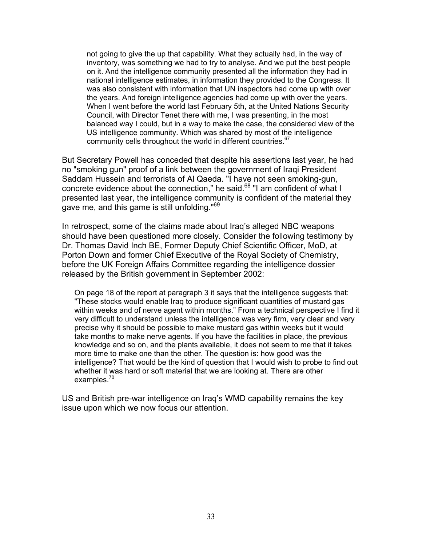not going to give the up that capability. What they actually had, in the way of inventory, was something we had to try to analyse. And we put the best people on it. And the intelligence community presented all the information they had in national intelligence estimates, in information they provided to the Congress. It was also consistent with information that UN inspectors had come up with over the years. And foreign intelligence agencies had come up with over the years. When I went before the world last February 5th, at the United Nations Security Council, with Director Tenet there with me, I was presenting, in the most balanced way I could, but in a way to make the case, the considered view of the US intelligence community. Which was shared by most of the intelligence community cells throughout the world in different countries.<sup>[67](#page-71-55)</sup>

But Secretary Powell has conceded that despite his assertions last year, he had no "smoking gun" proof of a link between the government of Iraqi President Saddam Hussein and terrorists of Al Qaeda. "I have not seen smoking-gun, concrete evidence about the connection," he said.<sup>68</sup> "I am confident of what I presented last year, the intelligence community is confident of the material they gave me, and this game is still unfolding."<sup>[69](#page-71-57)</sup>

In retrospect, some of the claims made about Iraq's alleged NBC weapons should have been questioned more closely. Consider the following testimony by Dr. Thomas David Inch BE, Former Deputy Chief Scientific Officer, MoD, at Porton Down and former Chief Executive of the Royal Society of Chemistry, before the UK Foreign Affairs Committee regarding the intelligence dossier released by the British government in September 2002:

On page 18 of the report at paragraph 3 it says that the intelligence suggests that: "These stocks would enable Iraq to produce significant quantities of mustard gas within weeks and of nerve agent within months." From a technical perspective I find it very difficult to understand unless the intelligence was very firm, very clear and very precise why it should be possible to make mustard gas within weeks but it would take months to make nerve agents. If you have the facilities in place, the previous knowledge and so on, and the plants available, it does not seem to me that it takes more time to make one than the other. The question is: how good was the intelligence? That would be the kind of question that I would wish to probe to find out whether it was hard or soft material that we are looking at. There are other examples.<sup>[70](#page-71-58)</sup>

US and British pre-war intelligence on Iraq's WMD capability remains the key issue upon which we now focus our attention.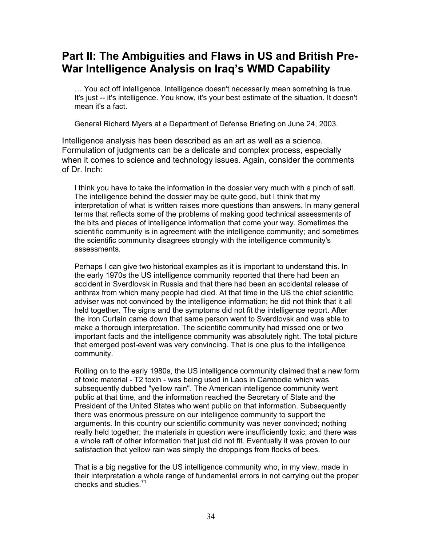## **Part II: The Ambiguities and Flaws in US and British Pre-War Intelligence Analysis on Iraq's WMD Capability**

… You act off intelligence. Intelligence doesn't necessarily mean something is true. It's just -- it's intelligence. You know, it's your best estimate of the situation. It doesn't mean it's a fact.

General Richard Myers at a Department of Defense Briefing on June 24, 2003.

Intelligence analysis has been described as an art as well as a science. Formulation of judgments can be a delicate and complex process, especially when it comes to science and technology issues. Again, consider the comments of Dr. Inch:

I think you have to take the information in the dossier very much with a pinch of salt. The intelligence behind the dossier may be quite good, but I think that my interpretation of what is written raises more questions than answers. In many general terms that reflects some of the problems of making good technical assessments of the bits and pieces of intelligence information that come your way. Sometimes the scientific community is in agreement with the intelligence community; and sometimes the scientific community disagrees strongly with the intelligence community's assessments.

Perhaps I can give two historical examples as it is important to understand this. In the early 1970s the US intelligence community reported that there had been an accident in Sverdlovsk in Russia and that there had been an accidental release of anthrax from which many people had died. At that time in the US the chief scientific adviser was not convinced by the intelligence information; he did not think that it all held together. The signs and the symptoms did not fit the intelligence report. After the Iron Curtain came down that same person went to Sverdlovsk and was able to make a thorough interpretation. The scientific community had missed one or two important facts and the intelligence community was absolutely right. The total picture that emerged post-event was very convincing. That is one plus to the intelligence community.

Rolling on to the early 1980s, the US intelligence community claimed that a new form of toxic material - T2 toxin - was being used in Laos in Cambodia which was subsequently dubbed "yellow rain". The American intelligence community went public at that time, and the information reached the Secretary of State and the President of the United States who went public on that information. Subsequently there was enormous pressure on our intelligence community to support the arguments. In this country our scientific community was never convinced; nothing really held together; the materials in question were insufficiently toxic; and there was a whole raft of other information that just did not fit. Eventually it was proven to our satisfaction that yellow rain was simply the droppings from flocks of bees.

That is a big negative for the US intelligence community who, in my view, made in their interpretation a whole range of fundamental errors in not carrying out the proper checks and studies.[71](#page-71-59)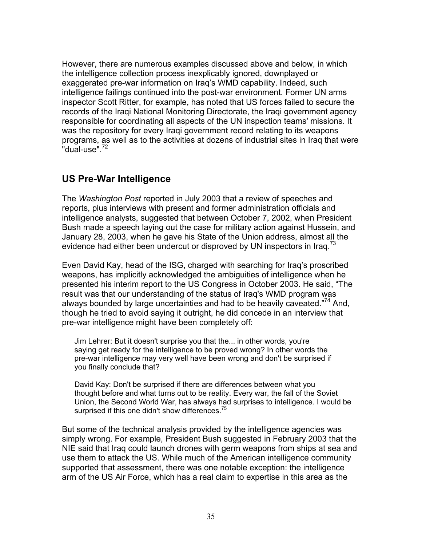However, there are numerous examples discussed above and below, in which the intelligence collection process inexplicably ignored, downplayed or exaggerated pre-war information on Iraq's WMD capability. Indeed, such intelligence failings continued into the post-war environment. Former UN arms inspector Scott Ritter, for example, has noted that US forces failed to secure the records of the Iraqi National Monitoring Directorate, the Iraqi government agency responsible for coordinating all aspects of the UN inspection teams' missions. It was the repository for every Iraqi government record relating to its weapons programs, as well as to the activities at dozens of industrial sites in Iraq that were  $"$ dual-use".  $^{72}$  $^{72}$  $^{72}$ 

## **US Pre-War Intelligence**

The *Washington Post* reported in July 2003 that a review of speeches and reports, plus interviews with present and former administration officials and intelligence analysts, suggested that between October 7, 2002, when President Bush made a speech laying out the case for military action against Hussein, and January 28, 2003, when he gave his State of the Union address, almost all the evidence had either been undercut or disproved by UN inspectors in Iraq.<sup>[73](#page-71-60)</sup>

Even David Kay, head of the ISG, charged with searching for Iraq's proscribed weapons, has implicitly acknowledged the ambiguities of intelligence when he presented his interim report to the US Congress in October 2003. He said, "The result was that our understanding of the status of Iraq's WMD program was always bounded by large uncertainties and had to be heavily caveated."<sup>74</sup> And, though he tried to avoid saying it outright, he did concede in an interview that pre-war intelligence might have been completely off:

Jim Lehrer: But it doesn't surprise you that the... in other words, you're saying get ready for the intelligence to be proved wrong? In other words the pre-war intelligence may very well have been wrong and don't be surprised if you finally conclude that?

David Kay: Don't be surprised if there are differences between what you thought before and what turns out to be reality. Every war, the fall of the Soviet Union, the Second World War, has always had surprises to intelligence. I would be surprised if this one didn't show differences. $75$ 

But some of the technical analysis provided by the intelligence agencies was simply wrong. For example, President Bush suggested in February 2003 that the NIE said that Iraq could launch drones with germ weapons from ships at sea and use them to attack the US. While much of the American intelligence community supported that assessment, there was one notable exception: the intelligence arm of the US Air Force, which has a real claim to expertise in this area as the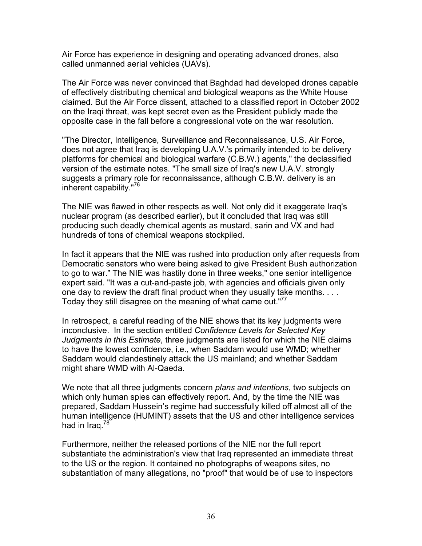Air Force has experience in designing and operating advanced drones, also called unmanned aerial vehicles (UAVs).

The Air Force was never convinced that Baghdad had developed drones capable of effectively distributing chemical and biological weapons as the White House claimed. But the Air Force dissent, attached to a classified report in October 2002 on the Iraqi threat, was kept secret even as the President publicly made the opposite case in the fall before a congressional vote on the war resolution.

"The Director, Intelligence, Surveillance and Reconnaissance, U.S. Air Force, does not agree that Iraq is developing U.A.V.'s primarily intended to be delivery platforms for chemical and biological warfare (C.B.W.) agents," the declassified version of the estimate notes. "The small size of Iraq's new U.A.V. strongly suggests a primary role for reconnaissance, although C.B.W. delivery is an inherent capability.["76](#page-71-7)

The NIE was flawed in other respects as well. Not only did it exaggerate Iraq's nuclear program (as described earlier), but it concluded that Iraq was still producing such deadly chemical agents as mustard, sarin and VX and had hundreds of tons of chemical weapons stockpiled.

In fact it appears that the NIE was rushed into production only after requests from Democratic senators who were being asked to give President Bush authorization to go to war." The NIE was hastily done in three weeks," one senior intelligence expert said. "It was a cut-and-paste job, with agencies and officials given only one day to review the draft final product when they usually take months. . . . Today they still disagree on the meaning of what came out."<sup>[77](#page-71-35)</sup>

In retrospect, a careful reading of the NIE shows that its key judgments were inconclusive. In the section entitled *Confidence Levels for Selected Key Judgments in this Estimate*, three judgments are listed for which the NIE claims to have the lowest confidence, i.e., when Saddam would use WMD; whether Saddam would clandestinely attack the US mainland; and whether Saddam might share WMD with Al-Qaeda.

We note that all three judgments concern *plans and intentions*, two subjects on which only human spies can effectively report. And, by the time the NIE was prepared, Saddam Hussein's regime had successfully killed off almost all of the human intelligence (HUMINT) assets that the US and other intelligence services had in Iraq.<sup>[78](#page-71-63)</sup>

Furthermore, neither the released portions of the NIE nor the full report substantiate the administration's view that Iraq represented an immediate threat to the US or the region. It contained no photographs of weapons sites, no substantiation of many allegations, no "proof" that would be of use to inspectors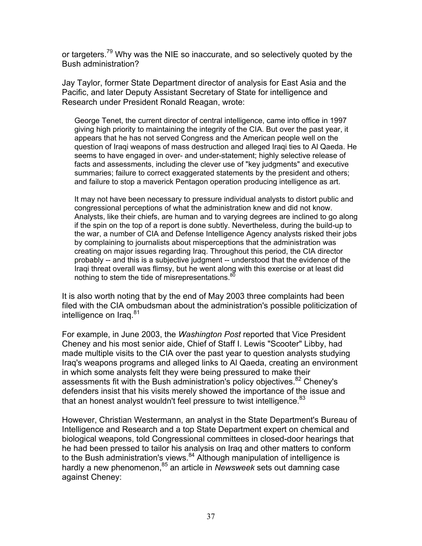or targeters.<sup>79</sup> Why was the NIE so inaccurate, and so selectively quoted by the Bush administration?

Jay Taylor, former State Department director of analysis for East Asia and the Pacific, and later Deputy Assistant Secretary of State for intelligence and Research under President Ronald Reagan, wrote:

George Tenet, the current director of central intelligence, came into office in 1997 giving high priority to maintaining the integrity of the CIA. But over the past year, it appears that he has not served Congress and the American people well on the question of Iraqi weapons of mass destruction and alleged Iraqi ties to Al Qaeda. He seems to have engaged in over- and under-statement; highly selective release of facts and assessments, including the clever use of "key judgments" and executive summaries; failure to correct exaggerated statements by the president and others; and failure to stop a maverick Pentagon operation producing intelligence as art.

It may not have been necessary to pressure individual analysts to distort public and congressional perceptions of what the administration knew and did not know. Analysts, like their chiefs, are human and to varying degrees are inclined to go along if the spin on the top of a report is done subtly. Nevertheless, during the build-up to the war, a number of CIA and Defense Intelligence Agency analysts risked their jobs by complaining to journalists about misperceptions that the administration was creating on major issues regarding Iraq. Throughout this period, the CIA director probably -- and this is a subjective judgment -- understood that the evidence of the Iraqi threat overall was flimsy, but he went along with this exercise or at least did nothing to stem the tide of misrepresentations. $80$ 

It is also worth noting that by the end of May 2003 three complaints had been filed with the CIA ombudsman about the administration's possible politicization of intelligence on Iraq.<sup>[81](#page-71-2)</sup>

For example, in June 2003, the *Washington Post* reported that Vice President Cheney and his most senior aide, Chief of Staff I. Lewis "Scooter" Libby, had made multiple visits to the CIA over the past year to question analysts studying Iraq's weapons programs and alleged links to Al Qaeda, creating an environment in which some analysts felt they were being pressured to make their assessments fit with the Bush administration's policy objectives.<sup>82</sup> Cheney's defenders insist that his visits merely showed the importance of the issue and that an honest analyst wouldn't feel pressure to twist intelligence.<sup>[83](#page-71-4)</sup>

However, Christian Westermann, an analyst in the State Department's Bureau of Intelligence and Research and a top State Department expert on chemical and biological weapons, told Congressional committees in closed-door hearings that he had been pressed to tailor his analysis on Iraq and other matters to conform to the Bush administration's views. $84$  Although manipulation of intelligence is hardly a new phenomenon,<sup>85</sup> an article in *Newsweek* sets out damning case against Cheney: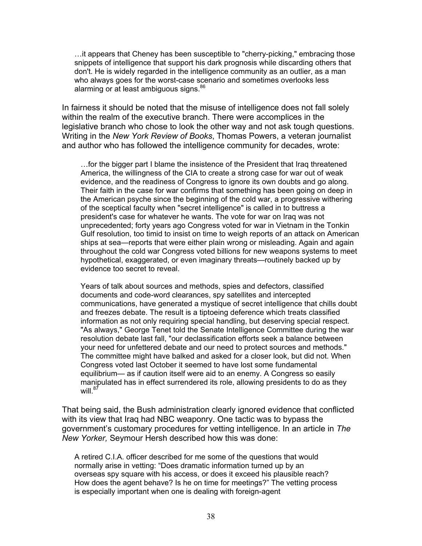…it appears that Cheney has been susceptible to "cherry-picking," embracing those snippets of intelligence that support his dark prognosis while discarding others that don't. He is widely regarded in the intelligence community as an outlier, as a man who always goes for the worst-case scenario and sometimes overlooks less alarming or at least ambiguous signs.<sup>[86](#page-71-7)</sup>

In fairness it should be noted that the misuse of intelligence does not fall solely within the realm of the executive branch. There were accomplices in the legislative branch who chose to look the other way and not ask tough questions. Writing in the *New York Review of Books*, Thomas Powers, a veteran journalist and author who has followed the intelligence community for decades, wrote:

…for the bigger part I blame the insistence of the President that Iraq threatened America, the willingness of the CIA to create a strong case for war out of weak evidence, and the readiness of Congress to ignore its own doubts and go along. Their faith in the case for war confirms that something has been going on deep in the American psyche since the beginning of the cold war, a progressive withering of the sceptical faculty when "secret intelligence" is called in to buttress a president's case for whatever he wants. The vote for war on Iraq was not unprecedented; forty years ago Congress voted for war in Vietnam in the Tonkin Gulf resolution, too timid to insist on time to weigh reports of an attack on American ships at sea—reports that were either plain wrong or misleading. Again and again throughout the cold war Congress voted billions for new weapons systems to meet hypothetical, exaggerated, or even imaginary threats—routinely backed up by evidence too secret to reveal.

Years of talk about sources and methods, spies and defectors, classified documents and code-word clearances, spy satellites and intercepted communications, have generated a mystique of secret intelligence that chills doubt and freezes debate. The result is a tiptoeing deference which treats classified information as not only requiring special handling, but deserving special respect. "As always," George Tenet told the Senate Intelligence Committee during the war resolution debate last fall, "our declassification efforts seek a balance between your need for unfettered debate and our need to protect sources and methods." The committee might have balked and asked for a closer look, but did not. When Congress voted last October it seemed to have lost some fundamental equilibrium— as if caution itself were aid to an enemy. A Congress so easily manipulated has in effect surrendered its role, allowing presidents to do as they will. $87$ 

That being said, the Bush administration clearly ignored evidence that conflicted with its view that Iraq had NBC weaponry. One tactic was to bypass the government's customary procedures for vetting intelligence. In an article in *The New Yorker,* Seymour Hersh described how this was done:

A retired C.I.A. officer described for me some of the questions that would normally arise in vetting: "Does dramatic information turned up by an overseas spy square with his access, or does it exceed his plausible reach? How does the agent behave? Is he on time for meetings?" The vetting process is especially important when one is dealing with foreign-agent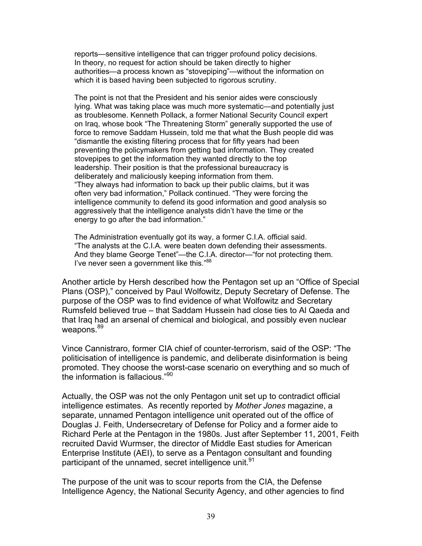reports—sensitive intelligence that can trigger profound policy decisions. In theory, no request for action should be taken directly to higher authorities—a process known as "stovepiping"—without the information on which it is based having been subjected to rigorous scrutiny.

The point is not that the President and his senior aides were consciously lying. What was taking place was much more systematic—and potentially just as troublesome. Kenneth Pollack, a former National Security Council expert on Iraq, whose book "The Threatening Storm" generally supported the use of force to remove Saddam Hussein, told me that what the Bush people did was "dismantle the existing filtering process that for fifty years had been preventing the policymakers from getting bad information. They created stovepipes to get the information they wanted directly to the top leadership. Their position is that the professional bureaucracy is deliberately and maliciously keeping information from them. "They always had information to back up their public claims, but it was often very bad information," Pollack continued. "They were forcing the intelligence community to defend its good information and good analysis so aggressively that the intelligence analysts didn't have the time or the energy to go after the bad information."

The Administration eventually got its way, a former C.I.A. official said. "The analysts at the C.I.A. were beaten down defending their assessments. And they blame George Tenet"—the C.I.A. director—"for not protecting them. I've never seen a government like this."<sup>[88](#page-71-9)</sup>

Another article by Hersh described how the Pentagon set up an "Office of Special Plans (OSP)," conceived by Paul Wolfowitz, Deputy Secretary of Defense. The purpose of the OSP was to find evidence of what Wolfowitz and Secretary Rumsfeld believed true – that Saddam Hussein had close ties to Al Qaeda and that Iraq had an arsenal of chemical and biological, and possibly even nuclear weapons.<sup>[89](#page-71-10)</sup>

Vince Cannistraro, former CIA chief of counter-terrorism, said of the OSP: "The politicisation of intelligence is pandemic, and deliberate disinformation is being promoted. They choose the worst-case scenario on everything and so much of the information is fallacious."[90](#page-71-11)

Actually, the OSP was not the only Pentagon unit set up to contradict official intelligence estimates. As recently reported by *Mother Jones* magazine, a separate, unnamed Pentagon intelligence unit operated out of the office of Douglas J. Feith, Undersecretary of Defense for Policy and a former aide to Richard Perle at the Pentagon in the 1980s. Just after September 11, 2001, Feith recruited David Wurmser, the director of Middle East studies for American Enterprise Institute (AEI), to serve as a Pentagon consultant and founding participant of the unnamed, secret intelligence unit.<sup>91</sup>

The purpose of the unit was to scour reports from the CIA, the Defense Intelligence Agency, the National Security Agency, and other agencies to find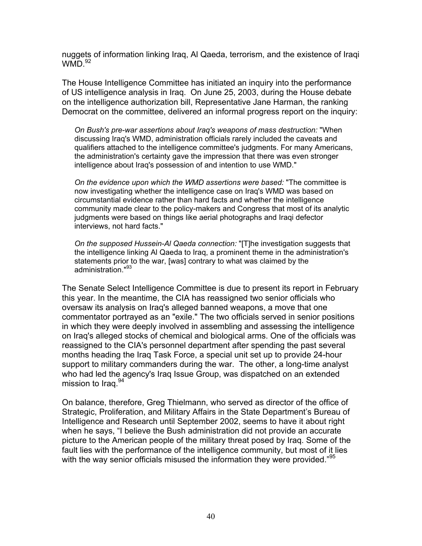nuggets of information linking Iraq, Al Qaeda, terrorism, and the existence of Iraqi  $WMD.<sup>92</sup>$  $WMD.<sup>92</sup>$  $WMD.<sup>92</sup>$ 

The House Intelligence Committee has initiated an inquiry into the performance of US intelligence analysis in Iraq. On June 25, 2003, during the House debate on the intelligence authorization bill, Representative Jane Harman, the ranking Democrat on the committee, delivered an informal progress report on the inquiry:

*On Bush's pre-war assertions about Iraq's weapons of mass destruction:* "When discussing Iraq's WMD, administration officials rarely included the caveats and qualifiers attached to the intelligence committee's judgments. For many Americans, the administration's certainty gave the impression that there was even stronger intelligence about Iraq's possession of and intention to use WMD."

*On the evidence upon which the WMD assertions were based:* "The committee is now investigating whether the intelligence case on Iraq's WMD was based on circumstantial evidence rather than hard facts and whether the intelligence community made clear to the policy-makers and Congress that most of its analytic judgments were based on things like aerial photographs and Iraqi defector interviews, not hard facts."

*On the supposed Hussein-Al Qaeda connection:* "[T]he investigation suggests that the intelligence linking Al Qaeda to Iraq, a prominent theme in the administration's statements prior to the war, [was] contrary to what was claimed by the administration."<sup>93</sup>

The Senate Select Intelligence Committee is due to present its report in February this year. In the meantime, the CIA has reassigned two senior officials who oversaw its analysis on Iraq's alleged banned weapons, a move that one commentator portrayed as an "exile." The two officials served in senior positions in which they were deeply involved in assembling and assessing the intelligence on Iraq's alleged stocks of chemical and biological arms. One of the officials was reassigned to the CIA's personnel department after spending the past several months heading the Iraq Task Force, a special unit set up to provide 24-hour support to military commanders during the war. The other, a long-time analyst who had led the agency's Iraq Issue Group, was dispatched on an extended mission to Iraq.<sup>94</sup>

On balance, therefore, Greg Thielmann, who served as director of the office of Strategic, Proliferation, and Military Affairs in the State Department's Bureau of Intelligence and Research until September 2002, seems to have it about right when he says, "I believe the Bush administration did not provide an accurate picture to the American people of the military threat posed by Iraq. Some of the fault lies with the performance of the intelligence community, but most of it lies with the way senior officials misused the information they were provided."<sup>[95](#page-71-16)</sup>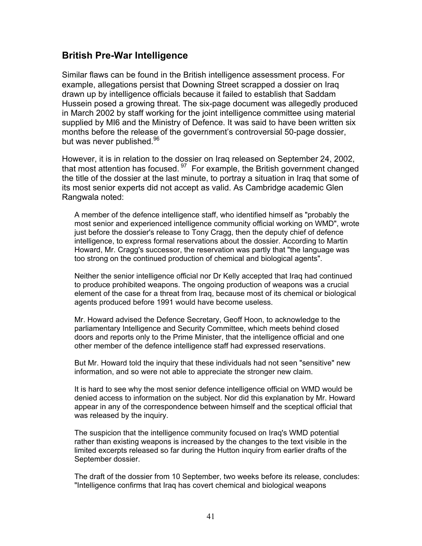## **British Pre-War Intelligence**

Similar flaws can be found in the British intelligence assessment process. For example, allegations persist that Downing Street scrapped a dossier on Iraq drawn up by intelligence officials because it failed to establish that Saddam Hussein posed a growing threat. The six-page document was allegedly produced in March 2002 by staff working for the joint intelligence committee using material supplied by MI6 and the Ministry of Defence. It was said to have been written six months before the release of the government's controversial 50-page dossier, but was never published.<sup>[96](#page-71-17)</sup>

However, it is in relation to the dossier on Iraq released on September 24, 2002, that most attention has focused. <sup>97</sup> For example, the British government changed the title of the dossier at the last minute, to portray a situation in Iraq that some of its most senior experts did not accept as valid. As Cambridge academic Glen Rangwala noted:

A member of the defence intelligence staff, who identified himself as "probably the most senior and experienced intelligence community official working on WMD", wrote just before the dossier's release to Tony Cragg, then the deputy chief of defence intelligence, to express formal reservations about the dossier. According to Martin Howard, Mr. Cragg's successor, the reservation was partly that "the language was too strong on the continued production of chemical and biological agents".

Neither the senior intelligence official nor Dr Kelly accepted that Iraq had continued to produce prohibited weapons. The ongoing production of weapons was a crucial element of the case for a threat from Iraq, because most of its chemical or biological agents produced before 1991 would have become useless.

Mr. Howard advised the Defence Secretary, Geoff Hoon, to acknowledge to the parliamentary Intelligence and Security Committee, which meets behind closed doors and reports only to the Prime Minister, that the intelligence official and one other member of the defence intelligence staff had expressed reservations.

But Mr. Howard told the inquiry that these individuals had not seen "sensitive" new information, and so were not able to appreciate the stronger new claim.

It is hard to see why the most senior defence intelligence official on WMD would be denied access to information on the subject. Nor did this explanation by Mr. Howard appear in any of the correspondence between himself and the sceptical official that was released by the inquiry.

The suspicion that the intelligence community focused on Iraq's WMD potential rather than existing weapons is increased by the changes to the text visible in the limited excerpts released so far during the Hutton inquiry from earlier drafts of the September dossier.

The draft of the dossier from 10 September, two weeks before its release, concludes: "Intelligence confirms that Iraq has covert chemical and biological weapons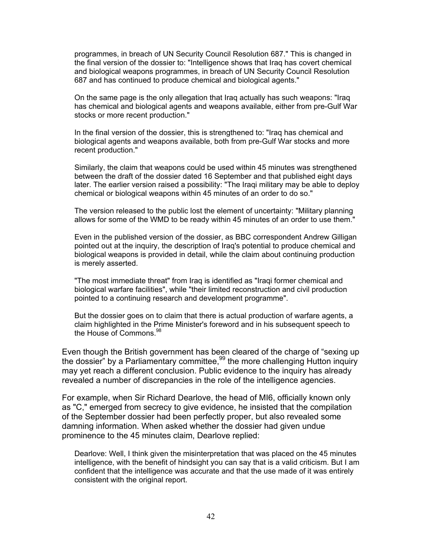programmes, in breach of UN Security Council Resolution 687." This is changed in the final version of the dossier to: "Intelligence shows that Iraq has covert chemical and biological weapons programmes, in breach of UN Security Council Resolution 687 and has continued to produce chemical and biological agents."

On the same page is the only allegation that Iraq actually has such weapons: "Iraq has chemical and biological agents and weapons available, either from pre-Gulf War stocks or more recent production."

In the final version of the dossier, this is strengthened to: "Iraq has chemical and biological agents and weapons available, both from pre-Gulf War stocks and more recent production."

Similarly, the claim that weapons could be used within 45 minutes was strengthened between the draft of the dossier dated 16 September and that published eight days later. The earlier version raised a possibility: "The Iraqi military may be able to deploy chemical or biological weapons within 45 minutes of an order to do so."

The version released to the public lost the element of uncertainty: "Military planning allows for some of the WMD to be ready within 45 minutes of an order to use them."

Even in the published version of the dossier, as BBC correspondent Andrew Gilligan pointed out at the inquiry, the description of Iraq's potential to produce chemical and biological weapons is provided in detail, while the claim about continuing production is merely asserted.

"The most immediate threat" from Iraq is identified as "Iraqi former chemical and biological warfare facilities", while "their limited reconstruction and civil production pointed to a continuing research and development programme".

But the dossier goes on to claim that there is actual production of warfare agents, a claim highlighted in the Prime Minister's foreword and in his subsequent speech to the House of Commons.<sup>[98](#page-71-19)</sup>

Even though the British government has been cleared of the charge of "sexing up the dossier" by a Parliamentary committee,  $99$  the more challenging Hutton inquiry may yet reach a different conclusion. Public evidence to the inquiry has already revealed a number of discrepancies in the role of the intelligence agencies.

For example, when Sir Richard Dearlove, the head of MI6, officially known only as "C," emerged from secrecy to give evidence, he insisted that the compilation of the September dossier had been perfectly proper, but also revealed some damning information. When asked whether the dossier had given undue prominence to the 45 minutes claim, Dearlove replied:

Dearlove: Well, I think given the misinterpretation that was placed on the 45 minutes intelligence, with the benefit of hindsight you can say that is a valid criticism. But I am confident that the intelligence was accurate and that the use made of it was entirely consistent with the original report.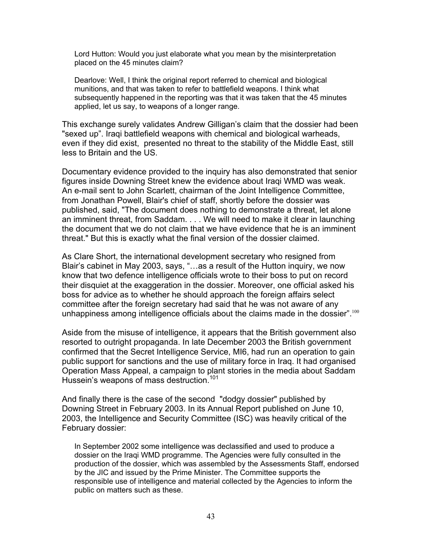Lord Hutton: Would you just elaborate what you mean by the misinterpretation placed on the 45 minutes claim?

Dearlove: Well, I think the original report referred to chemical and biological munitions, and that was taken to refer to battlefield weapons. I think what subsequently happened in the reporting was that it was taken that the 45 minutes applied, let us say, to weapons of a longer range.

This exchange surely validates Andrew Gilligan's claim that the dossier had been "sexed up". Iraqi battlefield weapons with chemical and biological warheads, even if they did exist, presented no threat to the stability of the Middle East, still less to Britain and the US.

Documentary evidence provided to the inquiry has also demonstrated that senior figures inside Downing Street knew the evidence about Iraqi WMD was weak. An e-mail sent to John Scarlett, chairman of the Joint Intelligence Committee, from Jonathan Powell, Blair's chief of staff, shortly before the dossier was published, said, "The document does nothing to demonstrate a threat, let alone an imminent threat, from Saddam. . . . We will need to make it clear in launching the document that we do not claim that we have evidence that he is an imminent threat." But this is exactly what the final version of the dossier claimed.

As Clare Short, the international development secretary who resigned from Blair's cabinet in May 2003, says, "…as a result of the Hutton inquiry, we now know that two defence intelligence officials wrote to their boss to put on record their disquiet at the exaggeration in the dossier. Moreover, one official asked his boss for advice as to whether he should approach the foreign affairs select committee after the foreign secretary had said that he was not aware of any unhappiness among intelligence officials about the claims made in the dossier".<sup>[100](#page-71-21)</sup>

Aside from the misuse of intelligence, it appears that the British government also resorted to outright propaganda. In late December 2003 the British government confirmed that the Secret Intelligence Service, MI6, had run an operation to gain public support for sanctions and the use of military force in Iraq. It had organised Operation Mass Appeal, a campaign to plant stories in the media about Saddam Hussein's weapons of mass destruction.<sup>[101](#page-71-22)</sup>

And finally there is the case of the second "dodgy dossier" published by Downing Street in February 2003. In its Annual Report published on June 10, 2003, the Intelligence and Security Committee (ISC) was heavily critical of the February dossier:

In September 2002 some intelligence was declassified and used to produce a dossier on the Iraqi WMD programme. The Agencies were fully consulted in the production of the dossier, which was assembled by the Assessments Staff, endorsed by the JIC and issued by the Prime Minister. The Committee supports the responsible use of intelligence and material collected by the Agencies to inform the public on matters such as these.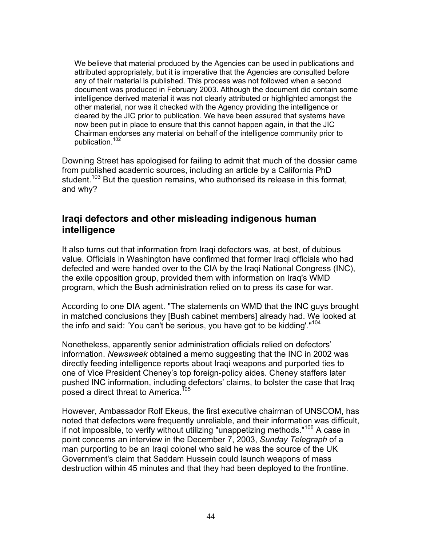We believe that material produced by the Agencies can be used in publications and attributed appropriately, but it is imperative that the Agencies are consulted before any of their material is published. This process was not followed when a second document was produced in February 2003. Although the document did contain some intelligence derived material it was not clearly attributed or highlighted amongst the other material, nor was it checked with the Agency providing the intelligence or cleared by the JIC prior to publication. We have been assured that systems have now been put in place to ensure that this cannot happen again, in that the JIC Chairman endorses any material on behalf of the intelligence community prior to publication.[102](#page-71-17)

Downing Street has apologised for failing to admit that much of the dossier came from published academic sources, including an article by a California PhD student.<sup>103</sup> But the question remains, who authorised its release in this format, and why?

## **Iraqi defectors and other misleading indigenous human intelligence**

It also turns out that information from Iraqi defectors was, at best, of dubious value. Officials in Washington have confirmed that former Iraqi officials who had defected and were handed over to the CIA by the Iraqi National Congress (INC), the exile opposition group, provided them with information on Iraq's WMD program, which the Bush administration relied on to press its case for war.

According to one DIA agent. "The statements on WMD that the INC guys brought in matched conclusions they [Bush cabinet members] already had. We looked at the info and said: 'You can't be serious, you have got to be kidding'.["104](#page-71-24)

Nonetheless, apparently senior administration officials relied on defectors' information. *Newsweek* obtained a memo suggesting that the INC in 2002 was directly feeding intelligence reports about Iraqi weapons and purported ties to one of Vice President Cheney's top foreign-policy aides. Cheney staffers later pushed INC information, including defectors' claims, to bolster the case that Iraq posed a direct threat to America.<sup>[105](#page-71-25)</sup>

However, Ambassador Rolf Ekeus, the first executive chairman of UNSCOM, has noted that defectors were frequently unreliable, and their information was difficult, if not impossible, to verify without utilizing "unappetizing methods."<sup>106</sup> A case in point concerns an interview in the December 7, 2003, *Sunday Telegraph* of a man purporting to be an Iraqi colonel who said he was the source of the UK Government's claim that Saddam Hussein could launch weapons of mass destruction within 45 minutes and that they had been deployed to the frontline.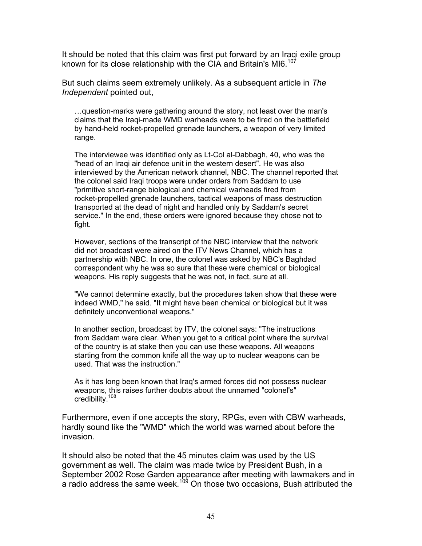It should be noted that this claim was first put forward by an Iraqi exile group known for its close relationship with the CIA and Britain's MI6.<sup>[107](#page-71-13)</sup>

But such claims seem extremely unlikely. As a subsequent article in *The Independent* pointed out,

…question-marks were gathering around the story, not least over the man's claims that the Iraqi-made WMD warheads were to be fired on the battlefield by hand-held rocket-propelled grenade launchers, a weapon of very limited range.

The interviewee was identified only as Lt-Col al-Dabbagh, 40, who was the "head of an Iraqi air defence unit in the western desert". He was also interviewed by the American network channel, NBC. The channel reported that the colonel said Iraqi troops were under orders from Saddam to use "primitive short-range biological and chemical warheads fired from rocket-propelled grenade launchers, tactical weapons of mass destruction transported at the dead of night and handled only by Saddam's secret service." In the end, these orders were ignored because they chose not to fight.

However, sections of the transcript of the NBC interview that the network did not broadcast were aired on the ITV News Channel, which has a partnership with NBC. In one, the colonel was asked by NBC's Baghdad correspondent why he was so sure that these were chemical or biological weapons. His reply suggests that he was not, in fact, sure at all.

"We cannot determine exactly, but the procedures taken show that these were indeed WMD," he said. "It might have been chemical or biological but it was definitely unconventional weapons."

In another section, broadcast by ITV, the colonel says: "The instructions from Saddam were clear. When you get to a critical point where the survival of the country is at stake then you can use these weapons. All weapons starting from the common knife all the way up to nuclear weapons can be used. That was the instruction."

As it has long been known that Iraq's armed forces did not possess nuclear weapons, this raises further doubts about the unnamed "colonel's" credibility.[108](#page-71-27)

Furthermore, even if one accepts the story, RPGs, even with CBW warheads, hardly sound like the "WMD" which the world was warned about before the invasion.

It should also be noted that the 45 minutes claim was used by the US government as well. The claim was made twice by President Bush, in a September 2002 Rose Garden appearance after meeting with lawmakers and in a radio address the same week.<sup>109</sup> On those two occasions, Bush attributed the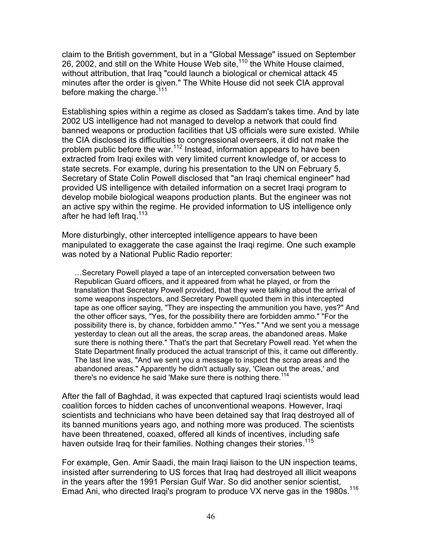claim to the British government, but in a "Global Message" issued on September 26, 2002, and still on the White House Web site,<sup>110</sup> the White House claimed, without attribution, that Iraq "could launch a biological or chemical attack 45 minutes after the order is given." The White House did not seek CIA approval before making the charge.<sup>111</sup>

Establishing spies within a regime as closed as Saddam's takes time. And by late 2002 US intelligence had not managed to develop a network that could find banned weapons or production facilities that US officials were sure existed. While the CIA disclosed its difficulties to congressional overseers, it did not make the problem public before the war.<sup>112</sup> Instead, information appears to have been extracted from Iraqi exiles with very limited current knowledge of, or access to state secrets. For example, during his presentation to the UN on February 5, Secretary of State Colin Powell disclosed that "an Iraqi chemical engineer" had provided US intelligence with detailed information on a secret Iraqi program to develop mobile biological weapons production plants. But the engineer was not an active spy within the regime. He provided information to US intelligence only after he had left Iraq.<sup>[113](#page-71-32)</sup>

More disturbingly, other intercepted intelligence appears to have been manipulated to exaggerate the case against the Iraqi regime. One such example was noted by a National Public Radio reporter:

…Secretary Powell played a tape of an intercepted conversation between two Republican Guard officers, and it appeared from what he played, or from the translation that Secretary Powell provided, that they were talking about the arrival of some weapons inspectors, and Secretary Powell quoted them in this intercepted tape as one officer saying, "They are inspecting the ammunition you have, yes?" And the other officer says, "Yes, for the possibility there are forbidden ammo." "For the possibility there is, by chance, forbidden ammo." "Yes." "And we sent you a message yesterday to clean out all the areas, the scrap areas, the abandoned areas. Make sure there is nothing there." That's the part that Secretary Powell read. Yet when the State Department finally produced the actual transcript of this, it came out differently. The last line was, "And we sent you a message to inspect the scrap areas and the abandoned areas." Apparently he didn't actually say, 'Clean out the areas,' and there's no evidence he said 'Make sure there is nothing there.<sup>114</sup>

After the fall of Baghdad, it was expected that captured Iraqi scientists would lead coalition forces to hidden caches of unconventional weapons. However, Iraqi scientists and technicians who have been detained say that Iraq destroyed all of its banned munitions years ago, and nothing more was produced. The scientists have been threatened, coaxed, offered all kinds of incentives, including safe haven outside Iraq for their families. Nothing changes their stories.<sup>[115](#page-71-34)</sup>

For example, Gen. Amir Saadi, the main Iraqi liaison to the UN inspection teams, insisted after surrendering to US forces that Iraq had destroyed all illicit weapons in the years after the 1991 Persian Gulf War. So did another senior scientist, Emad Ani, who directed Iraqi's program to produce VX nerve gas in the 1980s.<sup>[116](#page-71-0)</sup>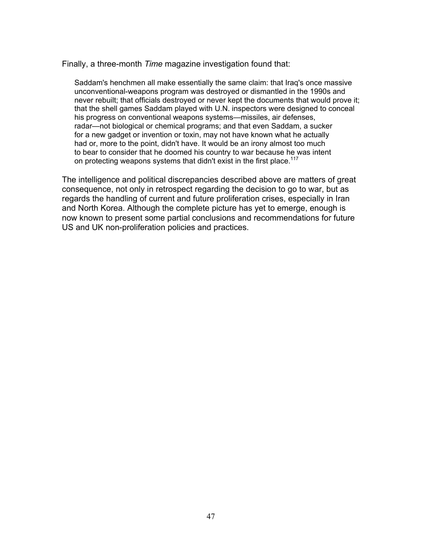Finally, a three-month *Time* magazine investigation found that:

Saddam's henchmen all make essentially the same claim: that Iraq's once massive unconventional-weapons program was destroyed or dismantled in the 1990s and never rebuilt; that officials destroyed or never kept the documents that would prove it; that the shell games Saddam played with U.N. inspectors were designed to conceal his progress on conventional weapons systems—missiles, air defenses, radar—not biological or chemical programs; and that even Saddam, a sucker for a new gadget or invention or toxin, may not have known what he actually had or, more to the point, didn't have. It would be an irony almost too much to bear to consider that he doomed his country to war because he was intent on protecting weapons systems that didn't exist in the first place.<sup>[117](#page-71-35)</sup>

The intelligence and political discrepancies described above are matters of great consequence, not only in retrospect regarding the decision to go to war, but as regards the handling of current and future proliferation crises, especially in Iran and North Korea. Although the complete picture has yet to emerge, enough is now known to present some partial conclusions and recommendations for future US and UK non-proliferation policies and practices.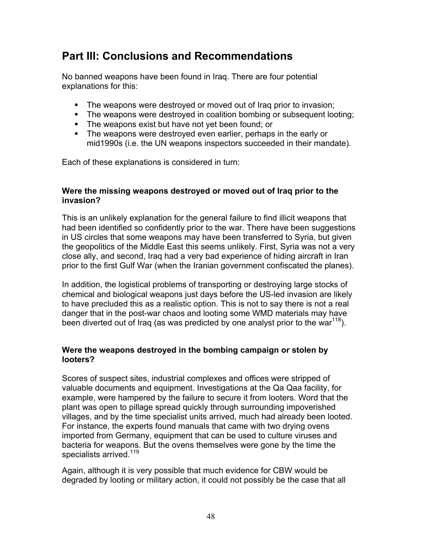# **Part III: Conclusions and Recommendations**

No banned weapons have been found in Iraq. There are four potential explanations for this:

- The weapons were destroyed or moved out of Iraq prior to invasion;
- The weapons were destroved in coalition bombing or subsequent looting;
- **The weapons exist but have not yet been found; or**
- The weapons were destroyed even earlier, perhaps in the early or mid1990s (i.e. the UN weapons inspectors succeeded in their mandate).

Each of these explanations is considered in turn:

## **Were the missing weapons destroyed or moved out of Iraq prior to the invasion?**

This is an unlikely explanation for the general failure to find illicit weapons that had been identified so confidently prior to the war. There have been suggestions in US circles that some weapons may have been transferred to Syria, but given the geopolitics of the Middle East this seems unlikely. First, Syria was not a very close ally, and second, Iraq had a very bad experience of hiding aircraft in Iran prior to the first Gulf War (when the Iranian government confiscated the planes).

In addition, the logistical problems of transporting or destroying large stocks of chemical and biological weapons just days before the US-led invasion are likely to have precluded this as a realistic option. This is not to say there is not a real danger that in the post-war chaos and looting some WMD materials may have been diverted out of Iraq (as was predicted by one analyst prior to the war<sup>118</sup>).

## **Were the weapons destroyed in the bombing campaign or stolen by looters?**

Scores of suspect sites, industrial complexes and offices were stripped of valuable documents and equipment. Investigations at the Qa Qaa facility, for example, were hampered by the failure to secure it from looters. Word that the plant was open to pillage spread quickly through surrounding impoverished villages, and by the time specialist units arrived, much had already been looted. For instance, the experts found manuals that came with two drying ovens imported from Germany, equipment that can be used to culture viruses and bacteria for weapons. But the ovens themselves were gone by the time the specialists arrived.<sup>[119](#page-71-37)</sup>

Again, although it is very possible that much evidence for CBW would be degraded by looting or military action, it could not possibly be the case that all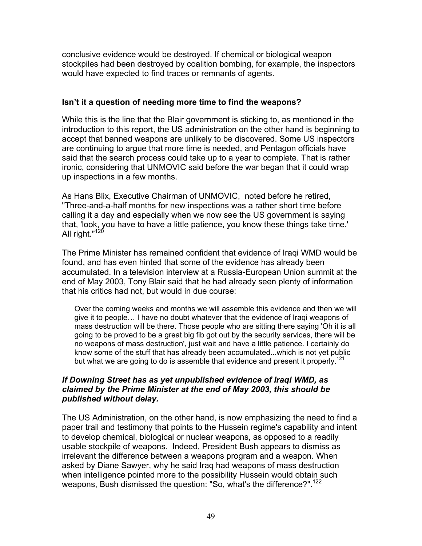conclusive evidence would be destroyed. If chemical or biological weapon stockpiles had been destroyed by coalition bombing, for example, the inspectors would have expected to find traces or remnants of agents.

## **Isn't it a question of needing more time to find the weapons?**

While this is the line that the Blair government is sticking to, as mentioned in the introduction to this report, the US administration on the other hand is beginning to accept that banned weapons are unlikely to be discovered. Some US inspectors are continuing to argue that more time is needed, and Pentagon officials have said that the search process could take up to a year to complete. That is rather ironic, considering that UNMOVIC said before the war began that it could wrap up inspections in a few months.

As Hans Blix, Executive Chairman of UNMOVIC, noted before he retired, "Three-and-a-half months for new inspections was a rather short time before calling it a day and especially when we now see the US government is saying that, 'look, you have to have a little patience, you know these things take time.' All right."<sup>[120](#page-71-38)</sup>

The Prime Minister has remained confident that evidence of Iraqi WMD would be found, and has even hinted that some of the evidence has already been accumulated. In a television interview at a Russia-European Union summit at the end of May 2003, Tony Blair said that he had already seen plenty of information that his critics had not, but would in due course:

Over the coming weeks and months we will assemble this evidence and then we will give it to people… I have no doubt whatever that the evidence of Iraqi weapons of mass destruction will be there. Those people who are sitting there saying 'Oh it is all going to be proved to be a great big fib got out by the security services, there will be no weapons of mass destruction', just wait and have a little patience. I certainly do know some of the stuff that has already been accumulated...which is not yet public but what we are going to do is assemble that evidence and present it properly.<sup>[121](#page-71-39)</sup>

## *If Downing Street has as yet unpublished evidence of Iraqi WMD, as claimed by the Prime Minister at the end of May 2003, this should be published without delay.*

The US Administration, on the other hand, is now emphasizing the need to find a paper trail and testimony that points to the Hussein regime's capability and intent to develop chemical, biological or nuclear weapons, as opposed to a readily usable stockpile of weapons. Indeed, President Bush appears to dismiss as irrelevant the difference between a weapons program and a weapon. When asked by Diane Sawyer, why he said Iraq had weapons of mass destruction when intelligence pointed more to the possibility Hussein would obtain such weapons, Bush dismissed the question: "So, what's the difference?".<sup>[122](#page-71-0)</sup>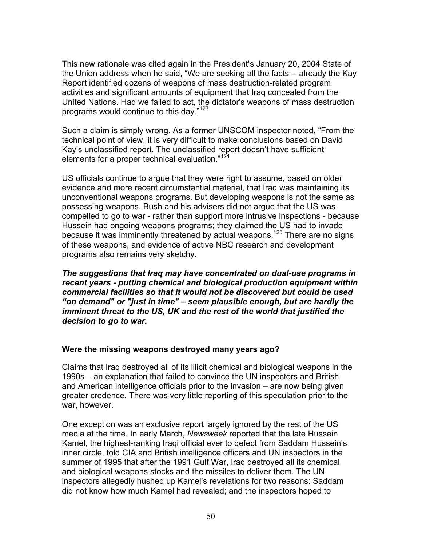This new rationale was cited again in the President's January 20, 2004 State of the Union address when he said, "We are seeking all the facts -- already the Kay Report identified dozens of weapons of mass destruction-related program activities and significant amounts of equipment that Iraq concealed from the United Nations. Had we failed to act, the dictator's weapons of mass destruction programs would continue to this day."<sup>[123](#page-71-40)</sup>

Such a claim is simply wrong. As a former UNSCOM inspector noted, "From the technical point of view, it is very difficult to make conclusions based on David Kay's unclassified report. The unclassified report doesn't have sufficient elements for a proper technical evaluation."<sup>124</sup>

US officials continue to argue that they were right to assume, based on older evidence and more recent circumstantial material, that Iraq was maintaining its unconventional weapons programs. But developing weapons is not the same as possessing weapons. Bush and his advisers did not argue that the US was compelled to go to war - rather than support more intrusive inspections - because Hussein had ongoing weapons programs; they claimed the US had to invade because it was imminently threatened by actual weapons.<sup>125</sup> There are no signs of these weapons, and evidence of active NBC research and development programs also remains very sketchy.

*The suggestions that Iraq may have concentrated on dual-use programs in recent years - putting chemical and biological production equipment within commercial facilities so that it would not be discovered but could be used "on demand" or "just in time" – seem plausible enough, but are hardly the imminent threat to the US, UK and the rest of the world that justified the decision to go to war.* 

## **Were the missing weapons destroyed many years ago?**

Claims that Iraq destroyed all of its illicit chemical and biological weapons in the 1990s – an explanation that failed to convince the UN inspectors and British and American intelligence officials prior to the invasion – are now being given greater credence. There was very little reporting of this speculation prior to the war, however.

One exception was an exclusive report largely ignored by the rest of the US media at the time. In early March, *Newsweek* reported that the late Hussein Kamel, the highest-ranking Iraqi official ever to defect from Saddam Hussein's inner circle, told CIA and British intelligence officers and UN inspectors in the summer of 1995 that after the 1991 Gulf War, Iraq destroyed all its chemical and biological weapons stocks and the missiles to deliver them. The UN inspectors allegedly hushed up Kamel's revelations for two reasons: Saddam did not know how much Kamel had revealed; and the inspectors hoped to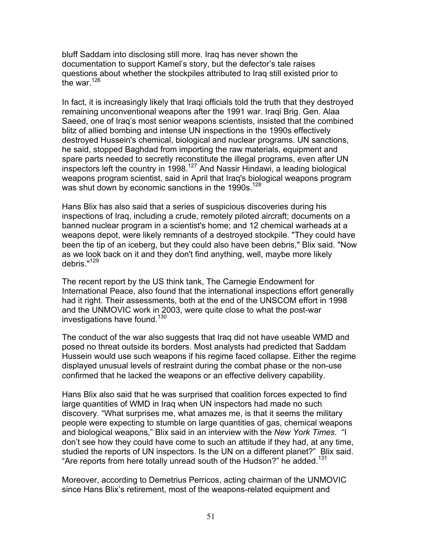bluff Saddam into disclosing still more. Iraq has never shown the documentation to support Kamel's story, but the defector's tale raises questions about whether the stockpiles attributed to Iraq still existed prior to the war.<sup>[126](#page-71-30)</sup>

In fact, it is increasingly likely that Iraqi officials told the truth that they destroyed remaining unconventional weapons after the 1991 war. Iraqi Brig. Gen. Alaa Saeed, one of Iraq's most senior weapons scientists, insisted that the combined blitz of allied bombing and intense UN inspections in the 1990s effectively destroyed Hussein's chemical, biological and nuclear programs. UN sanctions, he said, stopped Baghdad from importing the raw materials, equipment and spare parts needed to secretly reconstitute the illegal programs, even after UN inspectors left the country in 1998.<sup>127</sup> And Nassir Hindawi, a leading biological weapons program scientist, said in April that Iraq's biological weapons program was shut down by economic sanctions in the 1990s.<sup>128</sup>

Hans Blix has also said that a series of suspicious discoveries during his inspections of Iraq, including a crude, remotely piloted aircraft; documents on a banned nuclear program in a scientist's home; and 12 chemical warheads at a weapons depot, were likely remnants of a destroyed stockpile. "They could have been the tip of an iceberg, but they could also have been debris," Blix said. "Now as we look back on it and they don't find anything, well, maybe more likely debris."<sup>[129](#page-71-9)</sup>

The recent report by the US think tank, The Carnegie Endowment for International Peace, also found that the international inspections effort generally had it right. Their assessments, both at the end of the UNSCOM effort in 1998 and the UNMOVIC work in 2003, were quite close to what the post-war investigations have found.<sup>[130](#page-71-44)</sup>

The conduct of the war also suggests that Iraq did not have useable WMD and posed no threat outside its borders. Most analysts had predicted that Saddam Hussein would use such weapons if his regime faced collapse. Either the regime displayed unusual levels of restraint during the combat phase or the non-use confirmed that he lacked the weapons or an effective delivery capability.

Hans Blix also said that he was surprised that coalition forces expected to find large quantities of WMD in Iraq when UN inspectors had made no such discovery. "What surprises me, what amazes me, is that it seems the military people were expecting to stumble on large quantities of gas, chemical weapons and biological weapons," Blix said in an interview with the *New York Times*. "I don't see how they could have come to such an attitude if they had, at any time, studied the reports of UN inspectors. Is the UN on a different planet?" Blix said. "Are reports from here totally unread south of the Hudson?" he added.<sup>[131](#page-71-45)</sup>

Moreover, according to Demetrius Perricos, acting chairman of the UNMOVIC since Hans Blix's retirement, most of the weapons-related equipment and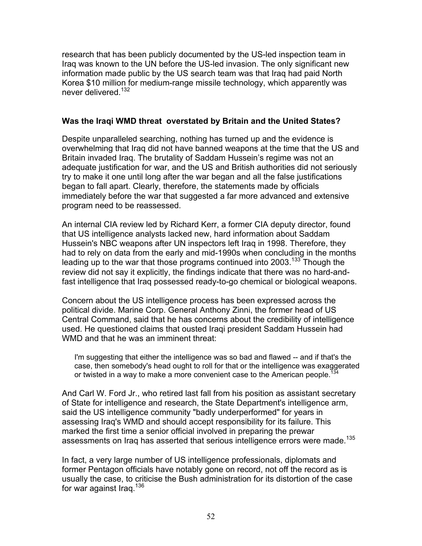research that has been publicly documented by the US-led inspection team in Iraq was known to the UN before the US-led invasion. The only significant new information made public by the US search team was that Iraq had paid North Korea \$10 million for medium-range missile technology, which apparently was never delivered.<sup>[132](#page-71-46)</sup>

## **Was the Iraqi WMD threat overstated by Britain and the United States?**

Despite unparalleled searching, nothing has turned up and the evidence is overwhelming that Iraq did not have banned weapons at the time that the US and Britain invaded Iraq. The brutality of Saddam Hussein's regime was not an adequate justification for war, and the US and British authorities did not seriously try to make it one until long after the war began and all the false justifications began to fall apart. Clearly, therefore, the statements made by officials immediately before the war that suggested a far more advanced and extensive program need to be reassessed.

An internal CIA review led by Richard Kerr, a former CIA deputy director, found that US intelligence analysts lacked new, hard information about Saddam Hussein's NBC weapons after UN inspectors left Iraq in 1998. Therefore, they had to rely on data from the early and mid-1990s when concluding in the months leading up to the war that those programs continued into  $2003$ .<sup>133</sup> Though the review did not say it explicitly, the findings indicate that there was no hard-andfast intelligence that Iraq possessed ready-to-go chemical or biological weapons.

Concern about the US intelligence process has been expressed across the political divide. Marine Corp. General Anthony Zinni, the former head of US Central Command, said that he has concerns about the credibility of intelligence used. He questioned claims that ousted Iraqi president Saddam Hussein had WMD and that he was an imminent threat:

I'm suggesting that either the intelligence was so bad and flawed -- and if that's the case, then somebody's head ought to roll for that or the intelligence was exaggerated or twisted in a way to make a more convenient case to the American people.<sup>13</sup>

And Carl W. Ford Jr., who retired last fall from his position as assistant secretary of State for intelligence and research, the State Department's intelligence arm, said the US intelligence community "badly underperformed" for years in assessing Iraq's WMD and should accept responsibility for its failure. This marked the first time a senior official involved in preparing the prewar assessments on Iraq has asserted that serious intelligence errors were made.<sup>135</sup>

In fact, a very large number of US intelligence professionals, diplomats and former Pentagon officials have notably gone on record, not off the record as is usually the case, to criticise the Bush administration for its distortion of the case for war against Iraq.<sup>136</sup>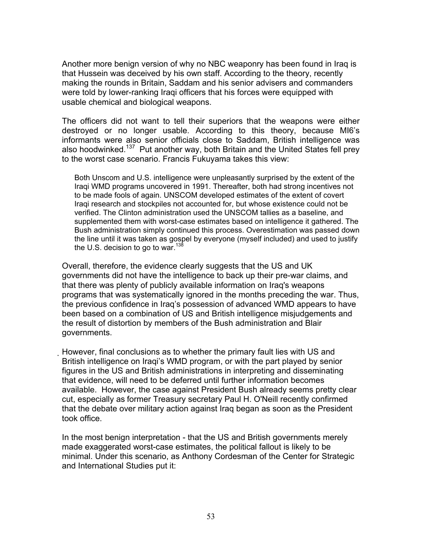Another more benign version of why no NBC weaponry has been found in Iraq is that Hussein was deceived by his own staff. According to the theory, recently making the rounds in Britain, Saddam and his senior advisers and commanders were told by lower-ranking Iraqi officers that his forces were equipped with usable chemical and biological weapons.

The officers did not want to tell their superiors that the weapons were either destroyed or no longer usable. According to this theory, because MI6's informants were also senior officials close to Saddam, British intelligence was also hoodwinked.<sup>137</sup> Put another way, both Britain and the United States fell prey to the worst case scenario. Francis Fukuyama takes this view:

Both Unscom and U.S. intelligence were unpleasantly surprised by the extent of the Iraqi WMD programs uncovered in 1991. Thereafter, both had strong incentives not to be made fools of again. UNSCOM developed estimates of the extent of covert Iraqi research and stockpiles not accounted for, but whose existence could not be verified. The Clinton administration used the UNSCOM tallies as a baseline, and supplemented them with worst-case estimates based on intelligence it gathered. The Bush administration simply continued this process. Overestimation was passed down the line until it was taken as gospel by everyone (myself included) and used to justify the U.S. decision to go to war.<sup>[138](#page-71-50)</sup>

Overall, therefore, the evidence clearly suggests that the US and UK governments did not have the intelligence to back up their pre-war claims, and that there was plenty of publicly available information on Iraq's weapons programs that was systematically ignored in the months preceding the war. Thus, the previous confidence in Iraq's possession of advanced WMD appears to have been based on a combination of US and British intelligence misjudgements and the result of distortion by members of the Bush administration and Blair governments.

However, final conclusions as to whether the primary fault lies with US and British intelligence on Iraqi's WMD program, or with the part played by senior figures in the US and British administrations in interpreting and disseminating that evidence, will need to be deferred until further information becomes available. However, the case against President Bush already seems pretty clear cut, especially as former Treasury secretary Paul H. O'Neill recently confirmed that the debate over military action against Iraq began as soon as the President took office.

In the most benign interpretation - that the US and British governments merely made exaggerated worst-case estimates, the political fallout is likely to be minimal. Under this scenario, as Anthony Cordesman of the Center for Strategic and International Studies put it: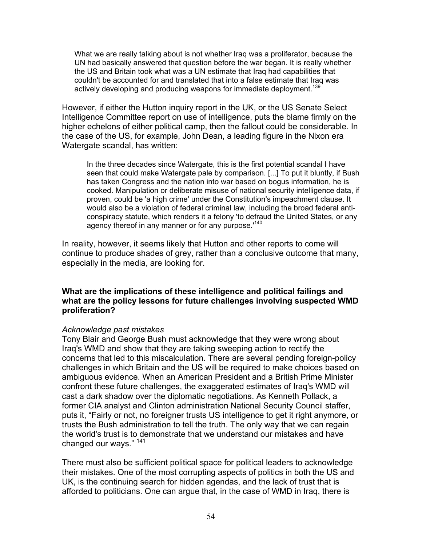What we are really talking about is not whether Iraq was a proliferator, because the UN had basically answered that question before the war began. It is really whether the US and Britain took what was a UN estimate that Iraq had capabilities that couldn't be accounted for and translated that into a false estimate that Iraq was actively developing and producing weapons for immediate deployment.<sup>[139](#page-71-7)</sup>

However, if either the Hutton inquiry report in the UK, or the US Senate Select Intelligence Committee report on use of intelligence, puts the blame firmly on the higher echelons of either political camp, then the fallout could be considerable. In the case of the US, for example, John Dean, a leading figure in the Nixon era Watergate scandal, has written:

In the three decades since Watergate, this is the first potential scandal I have seen that could make Watergate pale by comparison. [...] To put it bluntly, if Bush has taken Congress and the nation into war based on bogus information, he is cooked. Manipulation or deliberate misuse of national security intelligence data, if proven, could be 'a high crime' under the Constitution's impeachment clause. It would also be a violation of federal criminal law, including the broad federal anticonspiracy statute, which renders it a felony 'to defraud the United States, or any agency thereof in any manner or for any purpose.<sup>[140](#page-71-51)</sup>

In reality, however, it seems likely that Hutton and other reports to come will continue to produce shades of grey, rather than a conclusive outcome that many, especially in the media, are looking for.

## **What are the implications of these intelligence and political failings and what are the policy lessons for future challenges involving suspected WMD proliferation?**

#### *Acknowledge past mistakes*

Tony Blair and George Bush must acknowledge that they were wrong about Iraq's WMD and show that they are taking sweeping action to rectify the concerns that led to this miscalculation. There are several pending foreign-policy challenges in which Britain and the US will be required to make choices based on ambiguous evidence. When an American President and a British Prime Minister confront these future challenges, the exaggerated estimates of Iraq's WMD will cast a dark shadow over the diplomatic negotiations. As Kenneth Pollack, a former CIA analyst and Clinton administration National Security Council staffer, puts it, "Fairly or not, no foreigner trusts US intelligence to get it right anymore, or trusts the Bush administration to tell the truth. The only way that we can regain the world's trust is to demonstrate that we understand our mistakes and have changed our ways." [141](#page-71-34)

There must also be sufficient political space for political leaders to acknowledge their mistakes. One of the most corrupting aspects of politics in both the US and UK, is the continuing search for hidden agendas, and the lack of trust that is afforded to politicians. One can argue that, in the case of WMD in Iraq, there is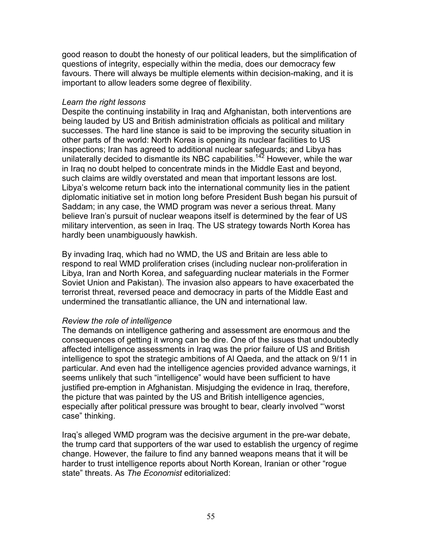good reason to doubt the honesty of our political leaders, but the simplification of questions of integrity, especially within the media, does our democracy few favours. There will always be multiple elements within decision-making, and it is important to allow leaders some degree of flexibility.

### *Learn the right lessons*

Despite the continuing instability in Iraq and Afghanistan, both interventions are being lauded by US and British administration officials as political and military successes. The hard line stance is said to be improving the security situation in other parts of the world: North Korea is opening its nuclear facilities to US inspections; Iran has agreed to additional nuclear safeguards; and Libya has unilaterally decided to dismantle its NBC capabilities.<sup>142</sup> However, while the war in Iraq no doubt helped to concentrate minds in the Middle East and beyond, such claims are wildly overstated and mean that important lessons are lost. Libya's welcome return back into the international community lies in the patient diplomatic initiative set in motion long before President Bush began his pursuit of Saddam; in any case, the WMD program was never a serious threat. Many believe Iran's pursuit of nuclear weapons itself is determined by the fear of US military intervention, as seen in Iraq. The US strategy towards North Korea has hardly been unambiguously hawkish.

By invading Iraq, which had no WMD, the US and Britain are less able to respond to real WMD proliferation crises (including nuclear non-proliferation in Libya, Iran and North Korea, and safeguarding nuclear materials in the Former Soviet Union and Pakistan). The invasion also appears to have exacerbated the terrorist threat, reversed peace and democracy in parts of the Middle East and undermined the transatlantic alliance, the UN and international law.

## *Review the role of intelligence*

The demands on intelligence gathering and assessment are enormous and the consequences of getting it wrong can be dire. One of the issues that undoubtedly affected intelligence assessments in Iraq was the prior failure of US and British intelligence to spot the strategic ambitions of Al Qaeda, and the attack on 9/11 in particular. And even had the intelligence agencies provided advance warnings, it seems unlikely that such "intelligence" would have been sufficient to have justified pre-emption in Afghanistan. Misjudging the evidence in Iraq, therefore, the picture that was painted by the US and British intelligence agencies, especially after political pressure was brought to bear, clearly involved "'worst case" thinking.

Iraq's alleged WMD program was the decisive argument in the pre-war debate, the trump card that supporters of the war used to establish the urgency of regime change. However, the failure to find any banned weapons means that it will be harder to trust intelligence reports about North Korean, Iranian or other "rogue state" threats. As *The Economist* editorialized: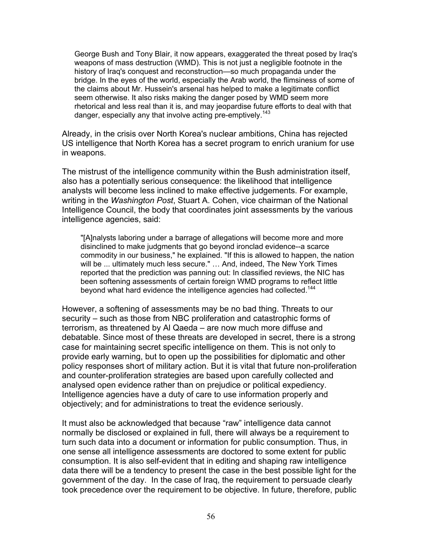George Bush and Tony Blair, it now appears, exaggerated the threat posed by Iraq's weapons of mass destruction (WMD). This is not just a negligible footnote in the history of Iraq's conquest and reconstruction—so much propaganda under the bridge. In the eyes of the world, especially the Arab world, the flimsiness of some of the claims about Mr. Hussein's arsenal has helped to make a legitimate conflict seem otherwise. It also risks making the danger posed by WMD seem more rhetorical and less real than it is, and may jeopardise future efforts to deal with that danger, especially any that involve acting pre-emptively.<sup>[143](#page-71-52)</sup>

Already, in the crisis over North Korea's nuclear ambitions, China has rejected US intelligence that North Korea has a secret program to enrich uranium for use in weapons.

The mistrust of the intelligence community within the Bush administration itself, also has a potentially serious consequence: the likelihood that intelligence analysts will become less inclined to make effective judgements. For example, writing in the *Washington Post*, Stuart A. Cohen, vice chairman of the National Intelligence Council, the body that coordinates joint assessments by the various intelligence agencies, said:

"[A]nalysts laboring under a barrage of allegations will become more and more disinclined to make judgments that go beyond ironclad evidence--a scarce commodity in our business," he explained. "If this is allowed to happen, the nation will be ... ultimately much less secure." … And, indeed, The New York Times reported that the prediction was panning out: In classified reviews, the NIC has been softening assessments of certain foreign WMD programs to reflect little beyond what hard evidence the intelligence agencies had collected.<sup>[144](#page-71-53)</sup>

However, a softening of assessments may be no bad thing. Threats to our security – such as those from NBC proliferation and catastrophic forms of terrorism, as threatened by Al Qaeda – are now much more diffuse and debatable. Since most of these threats are developed in secret, there is a strong case for maintaining secret specific intelligence on them. This is not only to provide early warning, but to open up the possibilities for diplomatic and other policy responses short of military action. But it is vital that future non-proliferation and counter-proliferation strategies are based upon carefully collected and analysed open evidence rather than on prejudice or political expediency. Intelligence agencies have a duty of care to use information properly and objectively; and for administrations to treat the evidence seriously.

It must also be acknowledged that because "raw" intelligence data cannot normally be disclosed or explained in full, there will always be a requirement to turn such data into a document or information for public consumption. Thus, in one sense all intelligence assessments are doctored to some extent for public consumption. It is also self-evident that in editing and shaping raw intelligence data there will be a tendency to present the case in the best possible light for the government of the day. In the case of Iraq, the requirement to persuade clearly took precedence over the requirement to be objective. In future, therefore, public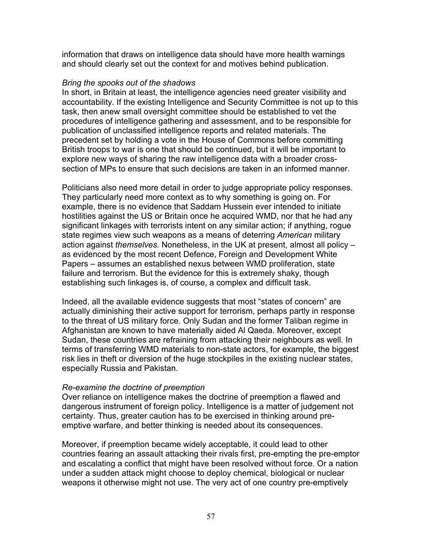information that draws on intelligence data should have more health warnings and should clearly set out the context for and motives behind publication.

### *Bring the spooks out of the shadows*

In short, in Britain at least, the intelligence agencies need greater visibility and accountability. If the existing Intelligence and Security Committee is not up to this task, then anew small oversight committee should be established to vet the procedures of intelligence gathering and assessment, and to be responsible for publication of unclassified intelligence reports and related materials. The precedent set by holding a vote in the House of Commons before committing British troops to war is one that should be continued, but it will be important to explore new ways of sharing the raw intelligence data with a broader crosssection of MPs to ensure that such decisions are taken in an informed manner.

Politicians also need more detail in order to judge appropriate policy responses. They particularly need more context as to why something is going on. For example, there is no evidence that Saddam Hussein ever intended to initiate hostilities against the US or Britain once he acquired WMD, nor that he had any significant linkages with terrorists intent on any similar action; if anything, rogue state regimes view such weapons as a means of deterring *American* military action against *themselves.* Nonetheless, in the UK at present, almost all policy – as evidenced by the most recent Defence, Foreign and Development White Papers – assumes an established nexus between WMD proliferation, state failure and terrorism. But the evidence for this is extremely shaky, though establishing such linkages is, of course, a complex and difficult task.

Indeed, all the available evidence suggests that most "states of concern" are actually diminishing their active support for terrorism, perhaps partly in response to the threat of US military force. Only Sudan and the former Taliban regime in Afghanistan are known to have materially aided Al Qaeda. Moreover, except Sudan, these countries are refraining from attacking their neighbours as well. In terms of transferring WMD materials to non-state actors, for example, the biggest risk lies in theft or diversion of the huge stockpiles in the existing nuclear states, especially Russia and Pakistan.

## *Re-examine the doctrine of preemption*

Over reliance on intelligence makes the doctrine of preemption a flawed and dangerous instrument of foreign policy. Intelligence is a matter of judgement not certainty. Thus, greater caution has to be exercised in thinking around preemptive warfare, and better thinking is needed about its consequences.

Moreover, if preemption became widely acceptable, it could lead to other countries fearing an assault attacking their rivals first, pre-empting the pre-emptor and escalating a conflict that might have been resolved without force. Or a nation under a sudden attack might choose to deploy chemical, biological or nuclear weapons it otherwise might not use. The very act of one country pre-emptively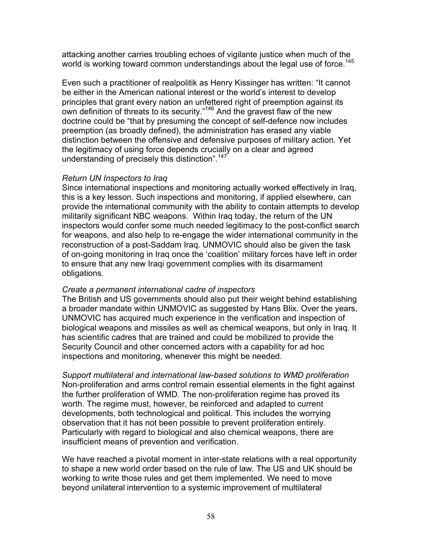attacking another carries troubling echoes of vigilante justice when much of the world is working toward common understandings about the legal use of force.<sup>[145](#page-71-13)</sup>

Even such a practitioner of realpolitik as Henry Kissinger has written: "It cannot be either in the American national interest or the world's interest to develop principles that grant every nation an unfettered right of preemption against its own definition of threats to its security."<sup>146</sup> And the gravest flaw of the new doctrine could be "that by presuming the concept of self-defence now includes preemption (as broadly defined), the administration has erased any viable distinction between the offensive and defensive purposes of military action. Yet the legitimacy of using force depends crucially on a clear and agreed understanding of precisely this distinction".<sup>[147](#page-71-18)</sup>

## *Return UN Inspectors to Iraq*

Since international inspections and monitoring actually worked effectively in Iraq, this is a key lesson. Such inspections and monitoring, if applied elsewhere, can provide the international community with the ability to contain attempts to develop militarily significant NBC weapons. Within Iraq today, the return of the UN inspectors would confer some much needed legitimacy to the post-conflict search for weapons, and also help to re-engage the wider international community in the reconstruction of a post-Saddam Iraq. UNMOVIC should also be given the task of on-going monitoring in Iraq once the 'coalition' military forces have left in order to ensure that any new Iraqi government complies with its disarmament obligations.

## *Create a permanent international cadre of inspectors*

The British and US governments should also put their weight behind establishing a broader mandate within UNMOVIC as suggested by Hans Blix. Over the years, UNMOVIC has acquired much experience in the verification and inspection of biological weapons and missiles as well as chemical weapons, but only in Iraq. It has scientific cadres that are trained and could be mobilized to provide the Security Council and other concerned actors with a capability for ad hoc inspections and monitoring, whenever this might be needed.

*Support multilateral and international law-based solutions to WMD proliferation*  Non-proliferation and arms control remain essential elements in the fight against the further proliferation of WMD. The non-proliferation regime has proved its worth. The regime must, however, be reinforced and adapted to current developments, both technological and political. This includes the worrying observation that it has not been possible to prevent proliferation entirely. Particularly with regard to biological and also chemical weapons, there are insufficient means of prevention and verification.

We have reached a pivotal moment in inter-state relations with a real opportunity to shape a new world order based on the rule of law. The US and UK should be working to write those rules and get them implemented. We need to move beyond unilateral intervention to a systemic improvement of multilateral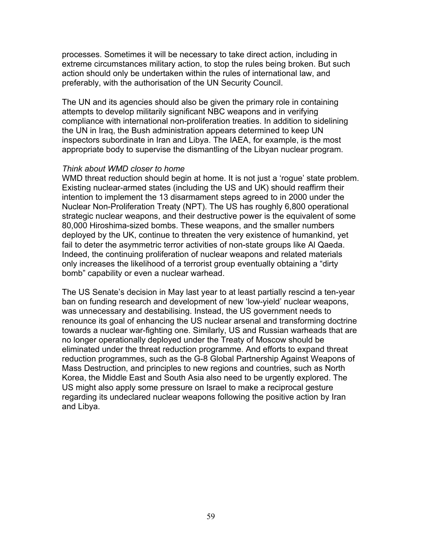processes. Sometimes it will be necessary to take direct action, including in extreme circumstances military action, to stop the rules being broken. But such action should only be undertaken within the rules of international law, and preferably, with the authorisation of the UN Security Council.

The UN and its agencies should also be given the primary role in containing attempts to develop militarily significant NBC weapons and in verifying compliance with international non-proliferation treaties. In addition to sidelining the UN in Iraq, the Bush administration appears determined to keep UN inspectors subordinate in Iran and Libya. The IAEA, for example, is the most appropriate body to supervise the dismantling of the Libyan nuclear program.

#### *Think about WMD closer to home*

WMD threat reduction should begin at home. It is not just a 'rogue' state problem. Existing nuclear-armed states (including the US and UK) should reaffirm their intention to implement the 13 disarmament steps agreed to in 2000 under the Nuclear Non-Proliferation Treaty (NPT). The US has roughly 6,800 operational strategic nuclear weapons, and their destructive power is the equivalent of some 80,000 Hiroshima-sized bombs. These weapons, and the smaller numbers deployed by the UK, continue to threaten the very existence of humankind, yet fail to deter the asymmetric terror activities of non-state groups like Al Qaeda. Indeed, the continuing proliferation of nuclear weapons and related materials only increases the likelihood of a terrorist group eventually obtaining a "dirty bomb" capability or even a nuclear warhead.

The US Senate's decision in May last year to at least partially rescind a ten-year ban on funding research and development of new 'low-yield' nuclear weapons, was unnecessary and destabilising. Instead, the US government needs to renounce its goal of enhancing the US nuclear arsenal and transforming doctrine towards a nuclear war-fighting one. Similarly, US and Russian warheads that are no longer operationally deployed under the Treaty of Moscow should be eliminated under the threat reduction programme. And efforts to expand threat reduction programmes, such as the G-8 Global Partnership Against Weapons of Mass Destruction, and principles to new regions and countries, such as North Korea, the Middle East and South Asia also need to be urgently explored. The US might also apply some pressure on Israel to make a reciprocal gesture regarding its undeclared nuclear weapons following the positive action by Iran and Libya.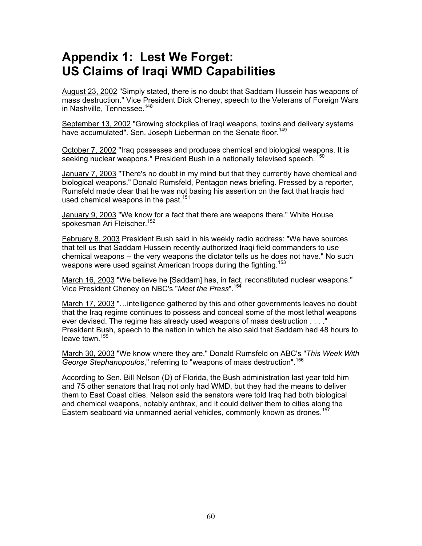# **Appendix 1: Lest We Forget: US Claims of Iraqi WMD Capabilities**

August 23, 2002 "Simply stated, there is no doubt that Saddam Hussein has weapons of mass destruction." Vice President Dick Cheney, speech to the Veterans of Foreign Wars in Nashville, Tennessee.<sup>148</sup>

September 13, 2002 "Growing stockpiles of Iraqi weapons, toxins and delivery systems have accumulated". Sen. Joseph Lieberman on the Senate floor.<sup>[149](#page-71-56)</sup>

October 7, 2002 "Iraq possesses and produces chemical and biological weapons. It is seeking nuclear weapons." President Bush in a nationally televised speech. <sup>150</sup>

January 7, 2003 "There's no doubt in my mind but that they currently have chemical and biological weapons." Donald Rumsfeld, Pentagon news briefing. Pressed by a reporter, Rumsfeld made clear that he was not basing his assertion on the fact that Iraqis had used chemical weapons in the past.<sup>[151](#page-71-58)</sup>

January 9, 2003 "We know for a fact that there are weapons there." White House spokesman Ari Fleischer.<sup>[152](#page-71-59)</sup>

February 8, 2003 President Bush said in his weekly radio address: "We have sources that tell us that Saddam Hussein recently authorized Iraqi field commanders to use chemical weapons -- the very weapons the dictator tells us he does not have." No such weapons were used against American troops during the fighting.<sup>[153](#page-71-60)</sup>

March 16, 2003 "We believe he [Saddam] has, in fact, reconstituted nuclear weapons." Vice President Cheney on NBC's "*Meet the Press*".[154](#page-71-61)

March 17, 2003 "…intelligence gathered by this and other governments leaves no doubt that the Iraq regime continues to possess and conceal some of the most lethal weapons ever devised. The regime has already used weapons of mass destruction . . . ." President Bush, speech to the nation in which he also said that Saddam had 48 hours to leave town.<sup>[155](#page-71-62)</sup>

March 30, 2003 "We know where they are." Donald Rumsfeld on ABC's "*This Week With George Stephanopoulos*," referring to "weapons of mass destruction".[156](#page-71-63)

According to Sen. Bill Nelson (D) of Florida, the Bush administration last year told him and 75 other senators that Iraq not only had WMD, but they had the means to deliver them to East Coast cities. Nelson said the senators were told Iraq had both biological and chemical weapons, notably anthrax, and it could deliver them to cities along the Eastern seaboard via unmanned aerial vehicles, commonly known as drones.<sup>[157](#page-71-64)</sup>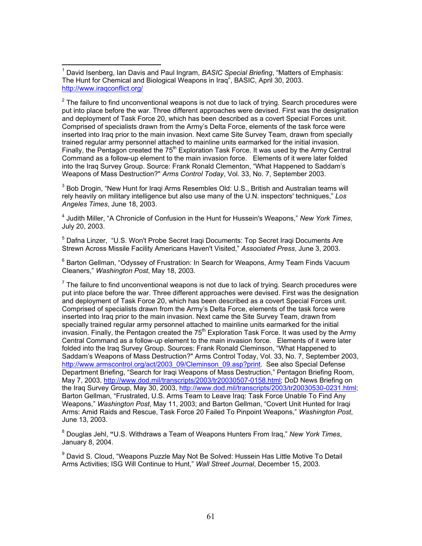$2$  The failure to find unconventional weapons is not due to lack of trying. Search procedures were put into place before the war. Three different approaches were devised. First was the designation and deployment of Task Force 20, which has been described as a covert Special Forces unit. Comprised of specialists drawn from the Army's Delta Force, elements of the task force were inserted into Iraq prior to the main invasion. Next came Site Survey Team, drawn from specially trained regular army personnel attached to mainline units earmarked for the initial invasion. Finally, the Pentagon created the  $75<sup>th</sup>$  Exploration Task Force. It was used by the Army Central Command as a follow-up element to the main invasion force. Elements of it were later folded into the Iraq Survey Group. Source: Frank Ronald Clementon, "What Happened to Saddam's Weapons of Mass Destruction?" *Arms Control Today*, Vol. 33, No. 7, September 2003.

 $3$  Bob Drogin, "New Hunt for Iraqi Arms Resembles Old: U.S., British and Australian teams will rely heavily on military intelligence but also use many of the U.N. inspectors' techniques," *Los Angeles Times*, June 18, 2003.

4 Judith Miller, "A Chronicle of Confusion in the Hunt for Hussein's Weapons," *New York Times*, July 20, 2003.

<sup>5</sup> Dafna Linzer, "U.S. Won't Probe Secret Iraqi Documents: Top Secret Iraqi Documents Are Strewn Across Missile Facility Americans Haven't Visited," *Associated Press*, June 3, 2003.

<sup>6</sup> Barton Gellman, "Odyssey of Frustration: In Search for Weapons, Army Team Finds Vacuum Cleaners," *Washington Post*, May 18, 2003.

 $7$  The failure to find unconventional weapons is not due to lack of trying. Search procedures were put into place before the war. Three different approaches were devised. First was the designation and deployment of Task Force 20, which has been described as a covert Special Forces unit. Comprised of specialists drawn from the Army's Delta Force, elements of the task force were inserted into Iraq prior to the main invasion. Next came the Site Survey Team, drawn from specially trained regular army personnel attached to mainline units earmarked for the initial invasion. Finally, the Pentagon created the  $75<sup>th</sup>$  Exploration Task Force. It was used by the Army Central Command as a follow-up element to the main invasion force. Elements of it were later folded into the Iraq Survey Group. Sources: Frank Ronald Cleminson, "What Happened to Saddam's Weapons of Mass Destruction?" Arms Control Today, Vol. 33, No. 7, September 2003, [http://www.armscontrol.org/act/2003\\_09/Cleminson\\_09.asp?print](http://www.armscontrol.org/act/2003_09/Cleminson_09.asp?print). See also Special Defense Department Briefing, "Search for Iraqi Weapons of Mass Destruction," Pentagon Briefing Room, May 7, 2003, <http://www.dod.mil/transcripts/2003/tr20030507-0158.html>; DoD News Briefing on the Iraq Survey Group, May 30, 2003,<http://www.dod.mil/transcripts/2003/tr20030530-0231.html>; Barton Gellman, "Frustrated, U.S. Arms Team to Leave Iraq: Task Force Unable To Find Any Weapons," *Washington Post*, May 11, 2003; and Barton Gellman, "Covert Unit Hunted for Iraqi Arms: Amid Raids and Rescue, Task Force 20 Failed To Pinpoint Weapons," *Washington Post*, June 13, 2003.

8 Douglas Jehl, **"**U.S. Withdraws a Team of Weapons Hunters From Iraq," *New York Times*, January 8, 2004.

<sup>9</sup> David S. Cloud, "Weapons Puzzle May Not Be Solved: Hussein Has Little Motive To Detail Arms Activities; ISG Will Continue to Hunt," *Wall Street Journal*, December 15, 2003.

 $\overline{a}$ 1 David Isenberg, Ian Davis and Paul Ingram, *BASIC Special Briefing*, "Matters of Emphasis: The Hunt for Chemical and Biological Weapons in Iraq", BASIC, April 30, 2003. <http://www.iraqconflict.org/>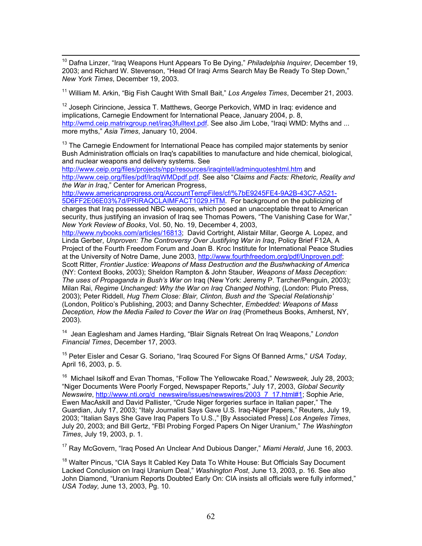10 Dafna Linzer, "Iraq Weapons Hunt Appears To Be Dying," *Philadelphia Inquirer*, December 19, 2003; and Richard W. Stevenson, "Head Of Iraqi Arms Search May Be Ready To Step Down," *New York Times*, December 19, 2003.

11 William M. Arkin, "Big Fish Caught With Small Bait," *Los Angeles Times*, December 21, 2003.

 $12$  Joseph Cirincione, Jessica T. Matthews, George Perkovich, WMD in Iraq: evidence and implications, Carnegie Endowment for International Peace, January 2004, p. 8, <http://wmd.ceip.matrixgroup.net/iraq3fulltext.pdf>. See also Jim Lobe, "Iraqi WMD: Myths and ... more myths," *Asia Times*, January 10, 2004.

 $13$  The Carnegie Endowment for International Peace has compiled major statements by senior Bush Administration officials on Iraq's capabilities to manufacture and hide chemical, biological, and nuclear weapons and delivery systems. See

<http://www.ceip.org/files/projects/npp/resources/iraqintell/adminquoteshtml.htm>and <http://www.ceip.org/files/pdf/IraqWMDpdf.pdf>. See also "*Claims and Facts: Rhetoric, Reality and the War in Iraq*," Center for American Progress,

[http://www.americanprogress.org/AccountTempFiles/cf/%7bE9245FE4-9A2B-43C7-A521-](http://www.americanprogress.org/AccountTempFiles/cf/%7bE9245FE4-9A2B-43C7-A521-5D6FF2E06E03%7d/PRIRAQCLAIMFACT1029.HTM) [5D6FF2E06E03%7d/PRIRAQCLAIMFACT1029.HTM.](http://www.americanprogress.org/AccountTempFiles/cf/%7bE9245FE4-9A2B-43C7-A521-5D6FF2E06E03%7d/PRIRAQCLAIMFACT1029.HTM) For background on the publicizing of charges that Iraq possessed NBC weapons, which posed an unacceptable threat to American security, thus justifying an invasion of Iraq see Thomas Powers, "The Vanishing Case for War," *New York Review of Books*, Vol. 50, No. 19, December 4, 2003,

[http://www.nybooks.com/articles/16813;](http://www.nybooks.com/articles/16813) David Cortright, Alistair Millar, George A. Lopez, and Linda Gerber, *Unproven: The Controversy Over Justifying War in Iraq*, Policy Brief F12A, A Project of the Fourth Freedom Forum and Joan B. Kroc Institute for International Peace Studies at the University of Notre Dame, June 2003, <http://www.fourthfreedom.org/pdf/Unproven.pdf>; Scott Ritter, *Frontier Justice: Weapons of Mass Destruction and the Bushwhacking of America* (NY: Context Books, 2003); Sheldon Rampton & John Stauber, *Weapons of Mass Deception: The uses of Propaganda in Bush's War on* Iraq (New York: Jeremy P. Tarcher/Penguin, 2003); Milan Rai, *Regime Unchanged: Why the War on Iraq Changed Nothing*, (London: Pluto Press, 2003); Peter Riddell, *Hug Them Close: Blair, Clinton, Bush and the 'Special Relationship'* (London, Politico's Publishing, 2003; and Danny Schechter, *Embedded: Weapons of Mass Deception, How the Media Failed to Cover the War on Iraq* (Prometheus Books, Amherst, NY, 2003).

14 Jean Eaglesham and James Harding, "Blair Signals Retreat On Iraq Weapons," *London Financial Times*, December 17, 2003.

15 Peter Eisler and Cesar G. Soriano, "Iraq Scoured For Signs Of Banned Arms," *USA Today*, April 16, 2003, p. 5.

16 Michael Isikoff and Evan Thomas, "Follow The Yellowcake Road," *Newsweek,* July 28, 2003; "Niger Documents Were Poorly Forged, Newspaper Reports," July 17, 2003, *Global Security Newswire*, [http://www.nti.org/d\\_newswire/issues/newswires/2003\\_7\\_17.html#1;](http://www.nti.org/d_newswire/issues/newswires/2003_7_17.html) Sophie Arie, Ewen MacAskill and David Pallister, "Crude Niger forgeries surface in Italian paper," The Guardian, July 17, 2003; "Italy Journalist Says Gave U.S. Iraq-Niger Papers," Reuters, July 19, 2003; "Italian Says She Gave Iraq Papers To U.S.," [By Associated Press] *Los Angeles Times*, July 20, 2003; and Bill Gertz, "FBI Probing Forged Papers On Niger Uranium," *The Washington Times*, July 19, 2003, p. 1.

17 Ray McGovern, "Iraq Posed An Unclear And Dubious Danger," *Miami Herald*, June 16, 2003.

<sup>18</sup> Walter Pincus, "CIA Says It Cabled Key Data To White House: But Officials Say Document Lacked Conclusion on Iraqi Uranium Deal," *Washington Post*, June 13, 2003, p. 16. See also John Diamond, "Uranium Reports Doubted Early On: CIA insists all officials were fully informed," *USA Today,* June 13, 2003, Pg. 10.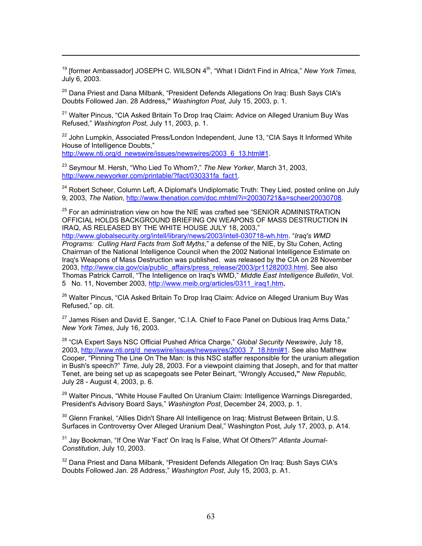<sup>19</sup> Iformer Ambassador] JOSEPH C. WILSON 4<sup>th</sup>, "What I Didn't Find in Africa," *New York Times,* July 6, 2003.

<sup>20</sup> Dana Priest and Dana Milbank, "President Defends Allegations On Iraq: Bush Savs CIA's Doubts Followed Jan. 28 Address**,"** *Washington Post,* July 15, 2003, p. 1.

<sup>21</sup> Walter Pincus, "CIA Asked Britain To Drop Iraq Claim: Advice on Alleged Uranium Buy Was Refused," *Washington Post*, July 11, 2003, p. 1.

 $22$  John Lumpkin, Associated Press/London Independent, June 13, "CIA Savs It Informed White House of Intelligence Doubts,"

[http://www.nti.org/d\\_newswire/issues/newswires/2003\\_6\\_13.html#1.](http://www.nti.org/d_newswire/issues/newswires/2003_6_13.html)

 $\overline{a}$ 

23 Seymour M. Hersh, "Who Lied To Whom?," *The New Yorker*, March 31, 2003, [http://www.newyorker.com/printable/?fact/030331fa\\_fact1](http://www.newyorker.com/printable/?fact/030331fa_fact1).

<sup>24</sup> Robert Scheer, Column Left, A Diplomat's Undiplomatic Truth: They Lied, posted online on July 9, 2003, *The Nation*, [http://www.thenation.com/doc.mhtml?i=20030721&s=scheer20030708.](http://www.thenation.com/doc.mhtml?i=20030721&s=scheer20030708)

 $25$  For an administration view on how the NIE was crafted see "SENIOR ADMINISTRATION OFFICIAL HOLDS BACKGROUND BRIEFING ON WEAPONS OF MASS DESTRUCTION IN IRAQ, AS RELEASED BY THE WHITE HOUSE JULY 18, 2003,"

[http://www.globalsecurity.org/intell/library/news/2003/intell-030718-wh.htm.](http://www.globalsecurity.org/intell/library/news/2003/intell-030718-wh.htm) "*Iraq's WMD Programs: Culling Hard Facts from Soft Myths*," a defense of the NIE, by Stu Cohen, Acting Chairman of the National Intelligence Council when the 2002 National Intelligence Estimate on Iraq's Weapons of Mass Destruction was published. was released by the CIA on 28 November 2003, [http://www.cia.gov/cia/public\\_affairs/press\\_release/2003/pr11282003.html](http://www.cia.gov/cia/public_affairs/press_release/2003/pr11282003.html). See also Thomas Patrick Carroll, "The Intelligence on Iraq's WMD," *Middle East Intelligence Bulletin*, Vol. 5 No. 11, November 2003, [http://www.meib.org/articles/0311\\_iraq1.htm](http://www.meib.org/articles/0311_iraq1.htm)**.**

<sup>26</sup> Walter Pincus, "CIA Asked Britain To Drop Iraq Claim: Advice on Alleged Uranium Buy Was Refused," op. cit.

 $27$  James Risen and David E. Sanger, "C.I.A. Chief to Face Panel on Dubious Irag Arms Data." *New York Times*, July 16, 2003.

28 "CIA Expert Says NSC Official Pushed Africa Charge," *Global Security Newswire*, July 18, 2003, [http://www.nti.org/d\\_newswire/issues/newswires/2003\\_7\\_18.html#1.](http://www.nti.org/d_newswire/issues/newswires/2003_7_18.html) See also Matthew Cooper, "Pinning The Line On The Man: Is this NSC staffer responsible for the uranium allegation in Bush's speech?" *Time,* July 28, 2003. For a viewpoint claiming that Joseph, and for that matter Tenet, are being set up as scapegoats see Peter Beinart, "Wrongly Accused**,"** *New Republic,*  July 28 - August 4, 2003, p. 6.

<sup>29</sup> Walter Pincus, "White House Faulted On Uranium Claim: Intelligence Warnings Disregarded, President's Advisory Board Says," *Washington Post*, December 24, 2003, p. 1.

 $30$  Glenn Frankel, "Allies Didn't Share All Intelligence on Irag: Mistrust Between Britain, U.S. Surfaces in Controversy Over Alleged Uranium Deal," Washington Post, July 17, 2003, p. A14.

31 Jay Bookman, "If One War 'Fact' On Iraq Is False, What Of Others?" *Atlanta Journal-Constitution*, July 10, 2003.

 $32$  Dana Priest and Dana Milbank, "President Defends Allegation On Iraq: Bush Says CIA's Doubts Followed Jan. 28 Address," *Washington Post*, July 15, 2003, p. A1.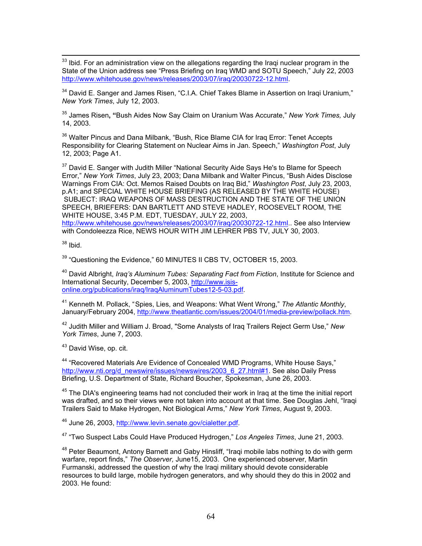<sup>33</sup> Ibid. For an administration view on the allegations regarding the Iraqi nuclear program in the State of the Union address see "Press Briefing on Iraq WMD and SOTU Speech," July 22, 2003 <http://www.whitehouse.gov/news/releases/2003/07/iraq/20030722-12.html>.

 $34$  David E. Sanger and James Risen, "C.I.A. Chief Takes Blame in Assertion on Iragi Uranium." *New York Times*, July 12, 2003.

35 James Risen**, "**Bush Aides Now Say Claim on Uranium Was Accurate," *New York Times,* July 14, 2003.

<sup>36</sup> Walter Pincus and Dana Milbank, "Bush, Rice Blame CIA for Irag Error: Tenet Accepts Responsibility for Clearing Statement on Nuclear Aims in Jan. Speech," *Washington Post*, July 12, 2003; Page A1.

 $37$  David E. Sanger with Judith Miller "National Security Aide Says He's to Blame for Speech Error," *New York Times*, July 23, 2003; Dana Milbank and Walter Pincus, "Bush Aides Disclose Warnings From CIA: Oct. Memos Raised Doubts on Iraq Bid," *Washington Post*, July 23, 2003, p.A1; and SPECIAL WHITE HOUSE BRIEFING (AS RELEASED BY THE WHITE HOUSE) SUBJECT: IRAQ WEAPONS OF MASS DESTRUCTION AND THE STATE OF THE UNION SPEECH, BRIEFERS: DAN BARTLETT AND STEVE HADLEY, ROOSEVELT ROOM, THE WHITE HOUSE, 3:45 P.M. EDT, TUESDAY, JULY 22, 2003,

<http://www.whitehouse.gov/news/releases/2003/07/iraq/20030722-12.html>.. See also Interview with Condoleezza Rice, NEWS HOUR WITH JIM LEHRER PBS TV, JULY 30, 2003.

 $38$  Ibid.

 $39$  "Questioning the Evidence." 60 MINUTES II CBS TV, OCTOBER 15, 2003.

40 David Albright, *Iraq's Aluminum Tubes: Separating Fact from Fiction*, Institute for Science and International Security, December 5, 2003, [http://www.isis](http://www.isis-online.org/publications/iraq/IraqAluminumTubes12-5-03.pdf)[online.org/publications/iraq/IraqAluminumTubes12-5-03.pdf](http://www.isis-online.org/publications/iraq/IraqAluminumTubes12-5-03.pdf).

<sup>41</sup> Kenneth M. Pollack, "Spies, Lies, and Weapons: What Went Wrong," *The Atlantic Monthly*, January/February 2004, [http://www.theatlantic.com/issues/2004/01/media-preview/pollack.htm.](http://www.theatlantic.com/issues/2004/01/media-preview/pollack.htm)

42 Judith Miller and William J. Broad, "Some Analysts of Iraq Trailers Reject Germ Use," *New York Times*, June 7, 2003.

<sup>43</sup> David Wise, op. cit.

44 "Recovered Materials Are Evidence of Concealed WMD Programs, White House Says," [http://www.nti.org/d\\_newswire/issues/newswires/2003\\_6\\_27.html#1.](http://www.nti.org/d_newswire/issues/newswires/2003_6_27.html) See also Daily Press Briefing, U.S. Department of State, Richard Boucher, Spokesman, June 26, 2003.

 $45$  The DIA's engineering teams had not concluded their work in Irag at the time the initial report was drafted, and so their views were not taken into account at that time. See Douglas Jehl, "Iraqi Trailers Said to Make Hydrogen, Not Biological Arms," *New York Times*, August 9, 2003.

46 June 26, 2003, <http://www.levin.senate.gov/cialetter.pdf>.

47 "Two Suspect Labs Could Have Produced Hydrogen," *Los Angeles Times*, June 21, 2003.

<sup>48</sup> Peter Beaumont, Antony Barnett and Gaby Hinsliff, "Iragi mobile labs nothing to do with germ warfare, report finds," *The Observer,* June15, 2003. One experienced observer, Martin Furmanski, addressed the question of why the Iraqi military should devote considerable resources to build large, mobile hydrogen generators, and why should they do this in 2002 and 2003. He found: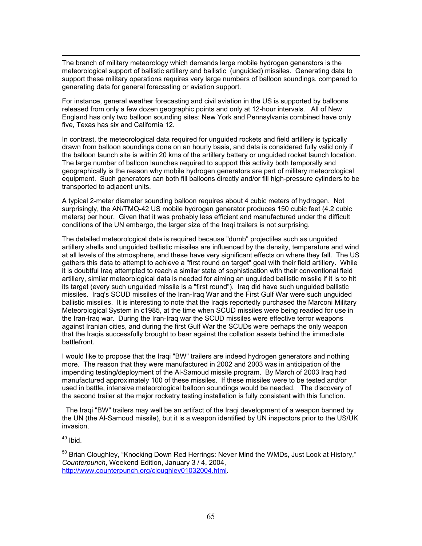$\overline{a}$ The branch of military meteorology which demands large mobile hydrogen generators is the meteorological support of ballistic artillery and ballistic (unguided) missiles. Generating data to support these military operations requires very large numbers of balloon soundings, compared to generating data for general forecasting or aviation support.

For instance, general weather forecasting and civil aviation in the US is supported by balloons released from only a few dozen geographic points and only at 12-hour intervals. All of New England has only two balloon sounding sites: New York and Pennsylvania combined have only five, Texas has six and California 12.

In contrast, the meteorological data required for unguided rockets and field artillery is typically drawn from balloon soundings done on an hourly basis, and data is considered fully valid only if the balloon launch site is within 20 kms of the artillery battery or unguided rocket launch location. The large number of balloon launches required to support this activity both temporally and geographically is the reason why mobile hydrogen generators are part of military meteorological equipment. Such generators can both fill balloons directly and/or fill high-pressure cylinders to be transported to adjacent units.

A typical 2-meter diameter sounding balloon requires about 4 cubic meters of hydrogen. Not surprisingly, the AN/TMQ-42 US mobile hydrogen generator produces 150 cubic feet (4.2 cubic meters) per hour. Given that it was probably less efficient and manufactured under the difficult conditions of the UN embargo, the larger size of the Iraqi trailers is not surprising.

The detailed meteorological data is required because "dumb" projectiles such as unguided artillery shells and unguided ballistic missiles are influenced by the density, temperature and wind at all levels of the atmosphere, and these have very significant effects on where they fall. The US gathers this data to attempt to achieve a "first round on target" goal with their field artillery. While it is doubtful Iraq attempted to reach a similar state of sophistication with their conventional field artillery, similar meteorological data is needed for aiming an unguided ballistic missile if it is to hit its target (every such unguided missile is a "first round"). Iraq did have such unguided ballistic missiles. Iraq's SCUD missiles of the Iran-Iraq War and the First Gulf War were such unguided ballistic missiles. It is interesting to note that the Iraqis reportedly purchased the Marconi Military Meteorological System in c1985, at the time when SCUD missiles were being readied for use in the Iran-Iraq war. During the Iran-Iraq war the SCUD missiles were effective terror weapons against Iranian cities, and during the first Gulf War the SCUDs were perhaps the only weapon that the Iraqis successfully brought to bear against the collation assets behind the immediate battlefront.

I would like to propose that the Iraqi "BW" trailers are indeed hydrogen generators and nothing more. The reason that they were manufactured in 2002 and 2003 was in anticipation of the impending testing/deployment of the Al-Samoud missile program. By March of 2003 Iraq had manufactured approximately 100 of these missiles. If these missiles were to be tested and/or used in battle, intensive meteorological balloon soundings would be needed. The discovery of the second trailer at the major rocketry testing installation is fully consistent with this function.

 The Iraqi "BW" trailers may well be an artifact of the Iraqi development of a weapon banned by the UN (the Al-Samoud missile), but it is a weapon identified by UN inspectors prior to the US/UK invasion.

49 Ibid.

 $50$  Brian Cloughley, "Knocking Down Red Herrings: Never Mind the WMDs, Just Look at History," *Counterpunch*, Weekend Edition, January 3 / 4, 2004, <http://www.counterpunch.org/cloughley01032004.html>.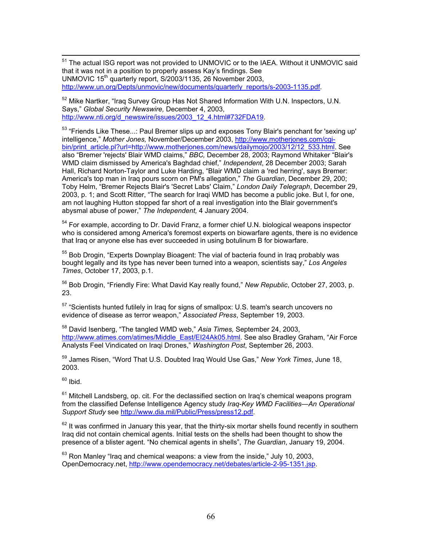<sup>51</sup> The actual ISG report was not provided to UNMOVIC or to the IAEA. Without it UNMOVIC said that it was not in a position to properly assess Kay's findings. See UNMOVIC  $15<sup>th</sup>$  quarterly report, S/2003/1135, 26 November 2003, [http://www.un.org/Depts/unmovic/new/documents/quarterly\\_reports/s-2003-1135.pdf](http://www.un.org/Depts/unmovic/new/documents/quarterly_reports/s-2003-1135.pdf).

<sup>52</sup> Mike Nartker, "Irag Survey Group Has Not Shared Information With U.N. Inspectors, U.N. Says," *Global Security Newswire,* December 4, 2003, [http://www.nti.org/d\\_newswire/issues/2003\\_12\\_4.html#732FDA19.](http://www.nti.org/d_newswire/issues/2003_12_4.html)

<sup>53</sup> "Friends Like These...: Paul Bremer slips up and exposes Tony Blair's penchant for 'sexing up' intelligence," *Mother Jones,* November/December 2003, [http://www.motherjones.com/cgi](http://www.motherjones.com/cgi-bin/print_article.pl?url=http://www.motherjones.com/news/dailymojo/2003/12/12_533.html)[bin/print\\_article.pl?url=http://www.motherjones.com/news/dailymojo/2003/12/12\\_533.html.](http://www.motherjones.com/cgi-bin/print_article.pl?url=http://www.motherjones.com/news/dailymojo/2003/12/12_533.html) See also "Bremer 'rejects' Blair WMD claims," *BBC,* December 28, 2003; Raymond Whitaker "Blair's WMD claim dismissed by America's Baghdad chief," *Independent*, 28 December 2003; Sarah Hall, Richard Norton-Taylor and Luke Harding, "Blair WMD claim a 'red herring', says Bremer: America's top man in Iraq pours scorn on PM's allegation," *The Guardian*, December 29, 200; Toby Helm, "Bremer Rejects Blair's 'Secret Labs' Claim," *London Daily Telegraph*, December 29, 2003, p. 1; and Scott Ritter, "The search for Iraqi WMD has become a public joke. But I, for one, am not laughing Hutton stopped far short of a real investigation into the Blair government's abysmal abuse of power," *The Independent,* 4 January 2004.

 $54$  For example, according to Dr. David Franz, a former chief U.N. biological weapons inspector who is considered among America's foremost experts on biowarfare agents, there is no evidence that Iraq or anyone else has ever succeeded in using botulinum B for biowarfare.

<sup>55</sup> Bob Drogin, "Experts Downplay Bioagent: The vial of bacteria found in Iraq probably was bought legally and its type has never been turned into a weapon, scientists say," *Los Angeles Times*, October 17, 2003, p.1.

56 Bob Drogin, "Friendly Fire: What David Kay really found," *New Republic*, October 27, 2003, p. 23.

 $57$  "Scientists hunted futilely in Iraq for signs of smallpox: U.S. team's search uncovers no evidence of disease as terror weapon," *Associated Press*, September 19, 2003.

58 David Isenberg, "The tangled WMD web," *Asia Times,* September 24, 2003, [http://www.atimes.com/atimes/Middle\\_East/EI24Ak05.html.](http://www.atimes.com/atimes/Middle_East/EI24Ak05.html) See also Bradley Graham, "Air Force Analysts Feel Vindicated on Iraqi Drones," *Washington Post*, September 26, 2003.

59 James Risen, "Word That U.S. Doubted Iraq Would Use Gas," *New York Times*, June 18, 2003.

 $60$  Ibid.

 $61$  Mitchell Landsberg, op. cit. For the declassified section on Iraq's chemical weapons program from the classified Defense Intelligence Agency study *Iraq-Key WMD Facilities—An Operational Support Study* see<http://www.dia.mil/Public/Press/press12.pdf>.

 $62$  It was confirmed in January this year, that the thirty-six mortar shells found recently in southern Iraq did not contain chemical agents. Initial tests on the shells had been thought to show the presence of a blister agent. "No chemical agents in shells", *The Guardian*, January 19, 2004.

 $63$  Ron Manley "Irag and chemical weapons: a view from the inside," July 10, 2003, OpenDemocracy.net, [http://www.opendemocracy.net/debates/article-2-95-1351.jsp.](http://www.opendemocracy.net/debates/article-2-95-1351.jsp)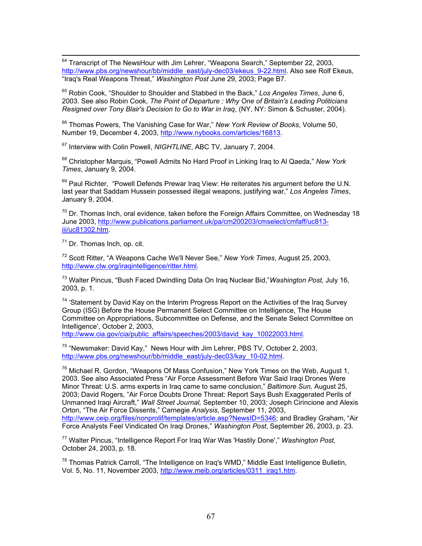<sup>64</sup> Transcript of The NewsHour with Jim Lehrer, "Weapons Search," September 22, 2003, [http://www.pbs.org/newshour/bb/middle\\_east/july-dec03/ekeus\\_9-22.html](http://www.pbs.org/newshour/bb/middle_east/july-dec03/ekeus_9-22.html). Also see Rolf Ekeus, "Iraq's Real Weapons Threat," *Washington Post* June 29, 2003; Page B7.

65 Robin Cook, "Shoulder to Shoulder and Stabbed in the Back," *Los Angeles Times*, June 6, 2003. See also Robin Cook, *The Point of Departure : Why One of Britain's Leading Politicians Resigned over Tony Blair's Decision to Go to War in Iraq*, (NY, NY: Simon & Schuster, 2004).

66 Thomas Powers, The Vanishing Case for War," *New York Review of Books*, Volume 50, Number 19, December 4, 2003, [http://www.nybooks.com/articles/16813.](http://www.nybooks.com/articles/16813)

67 Interview with Colin Powell, *NIGHTLINE*, ABC TV, January 7, 2004.

68 Christopher Marquis, "Powell Admits No Hard Proof in Linking Iraq to Al Qaeda," *New York Times*, January 9, 2004.

 $69$  Paul Richter. "Powell Defends Prewar Iraq View: He reiterates his argument before the U.N. last year that Saddam Hussein possessed illegal weapons, justifying war," *Los Angeles Times*, January 9, 2004.

 $70$  Dr. Thomas Inch, oral evidence, taken before the Foreign Affairs Committee, on Wednesday 18 June 2003, [http://www.publications.parliament.uk/pa/cm200203/cmselect/cmfaff/uc813](http://www.publications.parliament.uk/pa/cm200203/cmselect/cmfaff/uc813-iii/uc81302.htm) [iii/uc81302.htm](http://www.publications.parliament.uk/pa/cm200203/cmselect/cmfaff/uc813-iii/uc81302.htm).

 $71$  Dr. Thomas Inch, op. cit.

72 Scott Ritter, "A Weapons Cache We'll Never See," *New York Times*, August 25, 2003, <http://www.clw.org/iraqintelligence/ritter.html>.

73 Walter Pincus, "Bush Faced Dwindling Data On Iraq Nuclear Bid,"*Washington Post,* July 16, 2003, p. 1.

 $74$  'Statement by David Kay on the Interim Progress Report on the Activities of the Iraq Survey Group (ISG) Before the House Permanent Select Committee on Intelligence, The House Committee on Appropriations, Subcommittee on Defense, and the Senate Select Committee on Intelligence', October 2, 2003,

[http://www.cia.gov/cia/public\\_affairs/speeches/2003/david\\_kay\\_10022003.html](http://www.cia.gov/cia/public_affairs/speeches/2003/david_kay_10022003.html).

<sup>75</sup> "Newsmaker: David Kay," News Hour with Jim Lehrer, PBS TV, October 2, 2003, [http://www.pbs.org/newshour/bb/middle\\_east/july-dec03/kay\\_10-02.html.](http://www.pbs.org/newshour/bb/middle_east/july-dec03/kay_10-02.html)

 $76$  Michael R. Gordon, "Weapons Of Mass Confusion," New York Times on the Web, August 1, 2003. See also Associated Press "Air Force Assessment Before War Said Iraqi Drones Were Minor Threat: U.S. arms experts in Iraq came to same conclusion," *Baltimore Sun,* August 25, 2003; David Rogers, "Air Force Doubts Drone Threat: Report Says Bush Exaggerated Perils of Unmanned Iraqi Aircraft," *Wall Street Journal,* September 10, 2003; Joseph Cirincione and Alexis Orton, "The Air Force Dissents," Carnegie *Analysis*, September 11, 2003, [http://www.ceip.org/files/nonprolif/templates/article.asp?NewsID=5346;](http://www.ceip.org/files/nonprolif/templates/article.asp?NewsID=5346) and Bradley Graham, "Air Force Analysts Feel Vindicated On Iraqi Drones," *Washington Post*, September 26, 2003, p. 23.

77 Walter Pincus, "Intelligence Report For Iraq War Was 'Hastily Done'," *Washington Post*, October 24, 2003, p. 18.

<sup>78</sup> Thomas Patrick Carroll, "The Intelligence on Iraq's WMD," Middle East Intelligence Bulletin, Vol. 5, No. 11, November 2003, [http://www.meib.org/articles/0311\\_iraq1.htm](http://www.meib.org/articles/0311_iraq1.htm).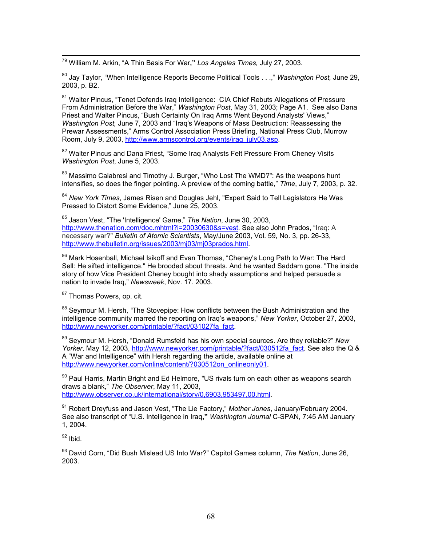79 William M. Arkin, "A Thin Basis For War**,"** *Los Angeles Times,* July 27, 2003.

80 Jay Taylor, "When Intelligence Reports Become Political Tools . . .," *Washington Post,* June 29, 2003, p. B2.

<sup>81</sup> Walter Pincus, "Tenet Defends Irag Intelligence: CIA Chief Rebuts Allegations of Pressure From Administration Before the War," *Washington Post*, May 31, 2003; Page A1. See also Dana Priest and Walter Pincus, "Bush Certainty On Iraq Arms Went Beyond Analysts' Views," *Washington Post,* June 7, 2003 and "Iraq's Weapons of Mass Destruction: Reassessing the Prewar Assessments," Arms Control Association Press Briefing, National Press Club, Murrow Room, July 9, 2003, [http://www.armscontrol.org/events/iraq\\_july03.asp](http://www.armscontrol.org/events/iraq_july03.asp).

<sup>82</sup> Walter Pincus and Dana Priest, "Some Iraq Analysts Felt Pressure From Cheney Visits *Washington Post*, June 5, 2003.

 $83$  Massimo Calabresi and Timothy J. Burger, "Who Lost The WMD?": As the weapons hunt intensifies, so does the finger pointing. A preview of the coming battle," *Time*, July 7, 2003, p. 32.

<sup>84</sup> *New York Times*, James Risen and Douglas Jehl, "Expert Said to Tell Legislators He Was Pressed to Distort Some Evidence," June 25, 2003.

85 Jason Vest, "The 'Intelligence' Game," *The Nation*, June 30, 2003, [http://www.thenation.com/doc.mhtml?i=20030630&s=vest.](http://www.thenation.com/doc.mhtml?i=20030630&s=vest) See also John Prados, "Iraq: A necessary war?" *Bulletin of Atomic Scientists*, May/June 2003, Vol. 59, No. 3, pp. 26-33, <http://www.thebulletin.org/issues/2003/mj03/mj03prados.html>.

<sup>86</sup> Mark Hosenball, Michael Isikoff and Evan Thomas, "Cheney's Long Path to War: The Hard Sell: He sifted intelligence." He brooded about threats. And he wanted Saddam gone. "The inside story of how Vice President Cheney bought into shady assumptions and helped persuade a nation to invade Iraq," *Newsweek*, Nov. 17. 2003.

<sup>87</sup> Thomas Powers, op. cit.

88 Seymour M. Hersh, *"*The Stovepipe: How conflicts between the Bush Administration and the intelligence community marred the reporting on Iraq's weapons," *New Yorker*, October 27, 2003, [http://www.newyorker.com/printable/?fact/031027fa\\_fact.](http://www.newyorker.com/printable/?fact/031027fa_fact)

89 Seymour M. Hersh, "Donald Rumsfeld has his own special sources. Are they reliable?" *New Yorker*, May 12, 2003, [http://www.newyorker.com/printable/?fact/030512fa\\_fact.](http://www.newyorker.com/printable/?fact/030512fa_fact) See also the Q & A "War and Intelligence" with Hersh regarding the article, available online at [http://www.newyorker.com/online/content/?030512on\\_onlineonly01](http://www.newyorker.com/online/content/?030512on_onlineonly01).

90 Paul Harris, Martin Bright and Ed Helmore, "US rivals turn on each other as weapons search draws a blank," *The Observer*, May 11, 2003, <http://www.observer.co.uk/international/story/0,6903,953497,00.html>.

91 Robert Dreyfuss and Jason Vest, "The Lie Factory," *Mother Jones*, January/February 2004. See also transcript of "U.S. Intelligence in Iraq**,"** *Washington Journal* C-SPAN, 7:45 AM January 1, 2004.

 $92$  Ibid.

93 David Corn, "Did Bush Mislead US Into War?" Capitol Games column, *The Nation*, June 26, 2003.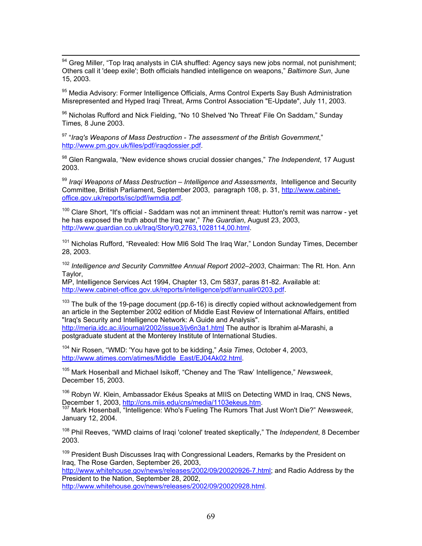94 Greg Miller, "Top Iraq analysts in CIA shuffled: Agency says new jobs normal, not punishment; Others call it 'deep exile'; Both officials handled intelligence on weapons," *Baltimore Sun*, June 15, 2003.

95 Media Advisory: Former Intelligence Officials, Arms Control Experts Say Bush Administration Misrepresented and Hyped Iraqi Threat, Arms Control Association "E-Update", July 11, 2003.

<sup>96</sup> Nicholas Rufford and Nick Fielding, "No 10 Shelved 'No Threat' File On Saddam," Sunday Times*,* 8 June 2003.

97 "*Iraq's Weapons of Mass Destruction - The assessment of the British Government*," [http://www.pm.gov.uk/files/pdf/iraqdossier.pdf.](http://www.pm.gov.uk/files/pdf/iraqdossier.pdf)

98 Glen Rangwala, "New evidence shows crucial dossier changes," *The Independent*, 17 August 2003.

<sup>99</sup> Iraqi Weapons of Mass Destruction – Intelligence and Assessments, Intelligence and Security Committee, British Parliament, September 2003, paragraph 108, p. 31, [http://www.cabinet](http://www.cabinet-office.gov.uk/reports/isc/pdf/iwmdia.pdf)[office.gov.uk/reports/isc/pdf/iwmdia.pdf.](http://www.cabinet-office.gov.uk/reports/isc/pdf/iwmdia.pdf)

<sup>100</sup> Clare Short, "It's official - Saddam was not an imminent threat: Hutton's remit was narrow - yet he has exposed the truth about the Iraq war," *The Guardian*, August 23, 2003, <http://www.guardian.co.uk/Iraq/Story/0,2763,1028114,00.html>.

<sup>101</sup> Nicholas Rufford, "Revealed: How MI6 Sold The Iraq War," London Sunday Times, December 28, 2003.

<sup>102</sup> *Intelligence and Security Committee Annual Report 2002–2003*, Chairman: The Rt. Hon. Ann Taylor,

MP, Intelligence Services Act 1994, Chapter 13, Cm 5837, paras 81-82. Available at: [http://www.cabinet-office.gov.uk/reports/intelligence/pdf/annualir0203.pdf.](http://www.cabinet-office.gov.uk/reports/intelligence/pdf/annualir0203.pdf)

 $103$  The bulk of the 19-page document (pp.6-16) is directly copied without acknowledgement from an article in the September 2002 edition of Middle East Review of International Affairs, entitled "Iraq's Security and Intelligence Network: A Guide and Analysis". <http://meria.idc.ac.il/journal/2002/issue3/jv6n3a1.html></u> The author is Ibrahim al-Marashi, a

postgraduate student at the Monterey Institute of International Studies.

104 Nir Rosen, "WMD: 'You have got to be kidding," *Asia Times*, October 4, 2003, [http://www.atimes.com/atimes/Middle\\_East/EJ04Ak02.html](http://www.atimes.com/atimes/Middle_East/EJ04Ak02.html).

105 Mark Hosenball and Michael Isikoff, "Cheney and The 'Raw' Intelligence," *Newsweek*, December 15, 2003.

<sup>106</sup> Robyn W. Klein, Ambassador Ekéus Speaks at MIIS on Detecting WMD in Iraq, CNS News,<br>December 1, 2003, http://cns.miis.edu/cns/media/1103ekeus.htm.

107 Mark Hosenball, "Intelligence: Who's Fueling The Rumors That Just Won't Die?" Newsweek, January 12, 2004.

108 Phil Reeves, "WMD claims of Iraqi 'colonel' treated skeptically," The *Independent*, 8 December 2003.

<sup>109</sup> President Bush Discusses Iraq with Congressional Leaders, Remarks by the President on Iraq, The Rose Garden, September 26, 2003, <http://www.whitehouse.gov/news/releases/2002/09/20020926-7.html>; and Radio Address by the President to the Nation, September 28, 2002,

<http://www.whitehouse.gov/news/releases/2002/09/20020928.html>.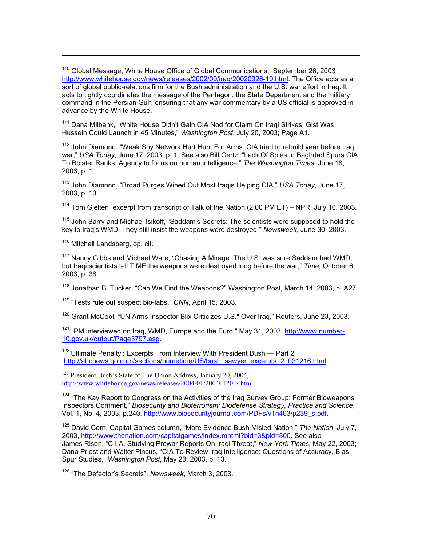$110$  Global Message, White House Office of Global Communications, September 26, 2003 <http://www.whitehouse.gov/news/releases/2002/09/iraq/20020926-19.html>. The Office acts as a sort of global public-relations firm for the Bush administration and the U.S. war effort in Iraq. It acts to tightly coordinates the message of the Pentagon, the State Department and the military command in the Persian Gulf, ensuring that any war commentary by a US official is approved in advance by the White House.

<sup>111</sup> Dana Milbank, "White House Didn't Gain CIA Nod for Claim On Iraqi Strikes: Gist Was Hussein Could Launch in 45 Minutes," *Washington Post*, July 20, 2003; Page A1.

<sup>112</sup> John Diamond, "Weak Spy Network Hurt Hunt For Arms: CIA tried to rebuild year before Iraq war," *USA Today*, June 17, 2003, p. 1. See also Bill Gertz, "Lack Of Spies In Baghdad Spurs CIA To Bolster Ranks: Agency to focus on human intelligence," *The Washington Times,* June 18, 2003, p. 1.

113 John Diamond, "Broad Purges Wiped Out Most Iraqis Helping CIA," *USA Today*, June 17, 2003, p. 13.

<sup>114</sup> Tom Gielten, excerpt from transcript of Talk of the Nation (2:00 PM ET) – NPR, July 10, 2003.

<sup>115</sup> John Barry and Michael Isikoff, "Saddam's Secrets: The scientists were supposed to hold the key to Iraq's WMD. They still insist the weapons were destroyed," *Newsweek*, June 30, 2003.

<sup>116</sup> Mitchell Landsberg, op. cit.

 $\overline{a}$ 

 $117$  Nancy Gibbs and Michael Ware, "Chasing A Mirage: The U.S. was sure Saddam had WMD, but Iraqi scientists tell TIME the weapons were destroyed long before the war," *Time,* October 6, 2003, p. 38.

 $118$  Jonathan B. Tucker, "Can We Find the Weapons?" Washington Post, March 14, 2003, p. A27.

119 "Tests rule out suspect bio-labs," *CNN*, April 15, 2003.

<sup>120</sup> Grant McCool, "UN Arms Inspector Blix Criticizes U.S." Over Iraq," Reuters, June 23, 2003.

<sup>121</sup> "PM interviewed on Iraq, WMD, Europe and the Euro," May 31, 2003, http://www.number-10.gov.uk/output/Page3797.asp.

 $122$ <sup>22</sup>'Ultimate Penalty': Excerpts From Interview With President Bush - Part 2 [http://abcnews.go.com/sections/primetime/US/bush\\_sawyer\\_excerpts\\_2\\_031216.html](http://abcnews.go.com/sections/primetime/US/bush_sawyer_excerpts_2_031216.html).

123 President Bush's State of The Union Address, January 20, 2004, http://www.whitehouse.gov/news/releases/2004/01/20040120-7.html.

<sup>124</sup> "The Kay Report to Congress on the Activities of the Iraq Survey Group: Former Bioweapons Inspectors Comment," *Biosecurity and Bioterrorism: Biodefense Strategy, Practice and Science*, Vol. 1, No. 4, 2003, p.240, http://www.biosecurityjournal.com/PDFs/v1n403/p239\_s.pdf.

125 David Corn, Capital Games column, "More Evidence Bush Misled Nation," *The Nation*, July 7, 2003, http://www.thenation.com/capitalgames/index.mhtml?bid=3&pid=800. See also James Risen, "C.I.A. Studying Prewar Reports On Iraqi Threat," *New York Times,* May 22, 2003; Dana Priest and Walter Pincus, "CIA To Review Iraq Intelligence: Questions of Accuracy, Bias Spur Studies," *Washington Post*, May 23, 2003, p. 13.

126 "The Defector's Secrets", *Newsweek*, March 3, 2003.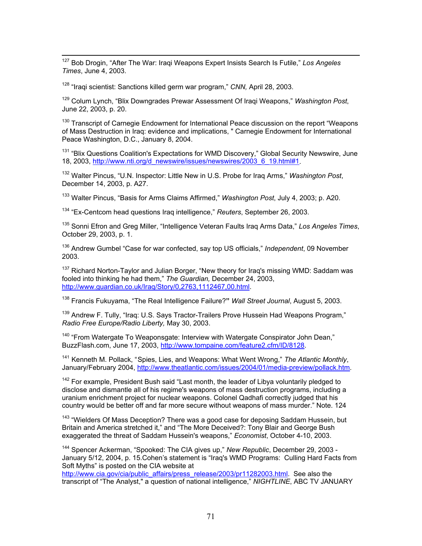127 Bob Drogin, "After The War: Iraqi Weapons Expert Insists Search Is Futile," *Los Angeles Times*, June 4, 2003.

128 "Iraqi scientist: Sanctions killed germ war program," *CNN,* April 28, 2003.

129 Colum Lynch, "Blix Downgrades Prewar Assessment Of Iraqi Weapons," *Washington Post*, June 22, 2003, p. 20.

<sup>130</sup> Transcript of Carnegie Endowment for International Peace discussion on the report "Weapons" of Mass Destruction in Iraq: evidence and implications, " Carnegie Endowment for International Peace Washington, D.C., January 8, 2004.

<sup>[131](http://www.dod.mil/transcripts/2003/tr20030530-0231.html)</sup> "Blix Questions Coalition's Expectations for WMD Discovery," Global Security Newswire, June [18, 2003, http://www.nti.org/d\\_newswire/issues/newswires/2003\\_6\\_19.html#1.](http://www.dod.mil/transcripts/2003/tr20030507-0158.html) 

132 Walter Pincus, "U.N. Inspector: Little New in U.S. Probe for Iraq Arms," *Washington Post*, December 14, 2003, p. A27.

133 Walter Pincus, "Basis for Arms Claims Affirmed," *Washington Post*, July 4, 2003; p. A20.

134 "Ex-Centcom head questions Iraq intelligence," *Reuters*, September 26, 2003.

135 Sonni Efron and Greg Miller, "Intelligence Veteran Faults Iraq Arms Data," *Los Angeles Times*, October 29, 2003, p. 1.

136 Andrew Gumbel "Case for war confected, say top US officials," *Independent*, 09 November 2003.

 $137$  $137$  Richard Norton-Taylor and Julian Borger, "New theory for Iraq's missing WMD: Saddam was fooled into thinking he had them," *The Guardian,* December 24, 2003, http://www.guardian.co.uk/Iraq/Story/0,2763,1112467,00.html.

138 Francis Fukuyama, "The Real Intelligence Failure?**"** *Wall Street Journal*, August 5, 2003.

<sup>139</sup> Andrew F. Tully, "Iraq: U.S. Says Tractor-Trailers Prove Hussein Had Weapons Program," *Radio Free Europe/Radio Liberty,* May 30, 2003.

 $140$  "From Watergate To Weaponsgate: Interview with Watergate Conspirator John Dean," [BuzzFlash.com, June 17, 2003, http://www.tompaine.com/feature2.cfm/ID/8128.](http://www.fourthfreedom.org/pdf/Unproven.pdf) 

<sup>141</sup> Kenneth M. Pollack, "Spies, Lies, and Weapons: What Went Wrong," *The Atlantic Monthly*, January/February 2004, http://www.theatlantic.com/issues/2004/01/media-preview/pollack.htm.

 $142$  For example, President Bush said "Last month, the leader of Libya voluntarily pledged to disclose and dismantle all of his regime's weapons of mass destruction programs, including a uranium enrichment project for nuclear weapons. Colonel Qadhafi correctly judged that his country would be better off and far more secure without weapons of mass murder." Note. 124

<sup>[1](http://www.nti.org/d_newswire/issues/newswires/2003_7_17.html)43</sup> "Wielders Of Mass Deception? There was a good case for deposing Saddam Hussein, but Britain and America stretched it," and "The More Deceived?: Tony Blair and George Bush exaggerated the threat of Saddam Hussein's weapons," *Economist*, October 4-10, 2003.

144 Spencer Ackerman, "Spooked: The CIA gives up," *New Republic*, December 29, 2003 - January 5/12, 2004, p. 15.Cohen's statement is "Iraq's WMD Programs: Culling Hard Facts from Soft Myths" is posted on the CIA website at

http://www.cia.gov/cia/public\_affairs/press\_release/2003/pr11282003.html. See also the transcript of "The Analyst," a question of national intelligence," *NIGHTLINE*, ABC TV JANUARY